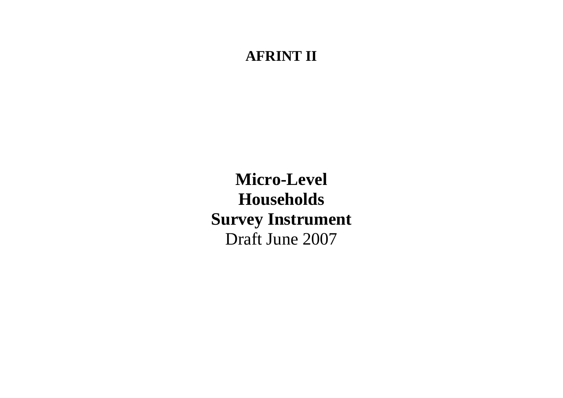## **AFRINT II**

**Micro-Level Households Survey Instrument**  Draft June 2007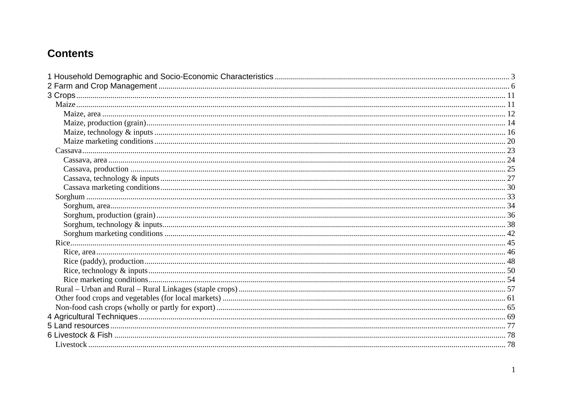## **Contents**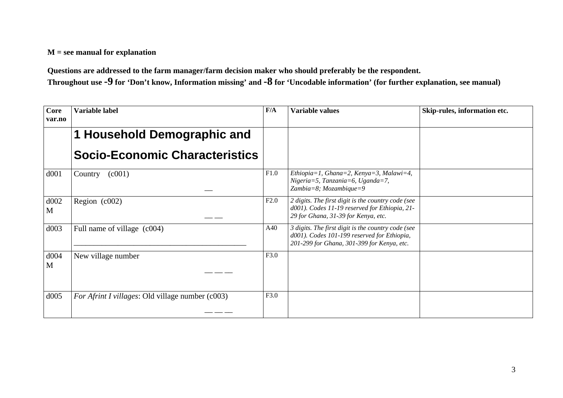## **M = see manual for explanation**

**Questions are addressed to the farm manager/farm decision maker who should preferably be the respondent.** 

**Throughout use -9 for 'Don't know, Information missing' and -8 for 'Uncodable information' (for further explanation, see manual)** 

| <b>Core</b><br>var.no | Variable label                                   | F/A  | <b>Variable values</b>                                                                                                                          | Skip-rules, information etc. |
|-----------------------|--------------------------------------------------|------|-------------------------------------------------------------------------------------------------------------------------------------------------|------------------------------|
|                       | 1 Household Demographic and                      |      |                                                                                                                                                 |                              |
|                       | <b>Socio-Economic Characteristics</b>            |      |                                                                                                                                                 |                              |
| d001                  | (c001)<br>Country                                | F1.0 | Ethiopia=1, Ghana=2, Kenya=3, Malawi=4,<br>$Nigeniz = 5$ , Tanzania=6, Uganda=7,<br>Zambia=8; Mozambique=9                                      |                              |
| d002<br>M             | Region (c002)                                    | F2.0 | 2 digits. The first digit is the country code (see<br>d001). Codes 11-19 reserved for Ethiopia, 21-<br>29 for Ghana, 31-39 for Kenya, etc.      |                              |
| d003                  | Full name of village (c004)                      | A40  | 3 digits. The first digit is the country code (see<br>d001). Codes 101-199 reserved for Ethiopia,<br>201-299 for Ghana, 301-399 for Kenya, etc. |                              |
| d004<br>M             | New village number                               | F3.0 |                                                                                                                                                 |                              |
| d005                  | For Afrint I villages: Old village number (c003) | F3.0 |                                                                                                                                                 |                              |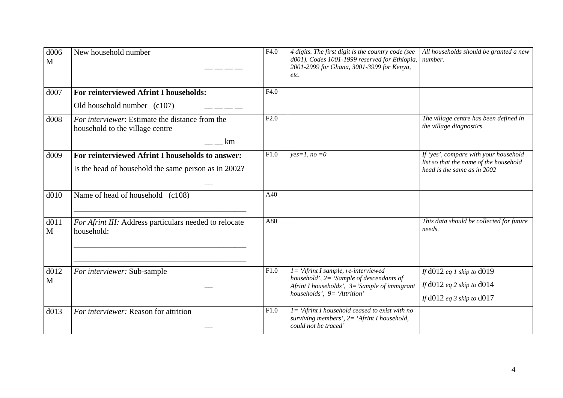| d006<br>M | New household number                                                                                     | F4.0 | 4 digits. The first digit is the country code (see<br>d001). Codes 1001-1999 reserved for Ethiopia,<br>2001-2999 for Ghana, 3001-3999 for Kenya,<br>etc.                     | All households should be granted a new<br>number.                                                              |
|-----------|----------------------------------------------------------------------------------------------------------|------|------------------------------------------------------------------------------------------------------------------------------------------------------------------------------|----------------------------------------------------------------------------------------------------------------|
| d007      | For reinterviewed Afrint I households:                                                                   | F4.0 |                                                                                                                                                                              |                                                                                                                |
|           | Old household number (c107)                                                                              |      |                                                                                                                                                                              |                                                                                                                |
| d008      | For interviewer: Estimate the distance from the<br>household to the village centre                       | F2.0 |                                                                                                                                                                              | The village centre has been defined in<br>the village diagnostics.                                             |
|           | km                                                                                                       |      |                                                                                                                                                                              |                                                                                                                |
| d009      | For reinterviewed Afrint I households to answer:<br>Is the head of household the same person as in 2002? | F1.0 | $yes=1, no=0$                                                                                                                                                                | If 'yes', compare with your household<br>list so that the name of the household<br>head is the same as in 2002 |
| d010      | Name of head of household (c108)                                                                         | A40  |                                                                                                                                                                              |                                                                                                                |
| d011<br>M | For Afrint III: Address particulars needed to relocate<br>household:                                     | A80  |                                                                                                                                                                              | This data should be collected for future<br>needs.                                                             |
| d012<br>M | For interviewer: Sub-sample                                                                              | F1.0 | $I = 'A$ frint I sample, re-interviewed<br>household', $2 =$ 'Sample of descendants of<br>Afrint I households', $3 =$ 'Sample of immigrant<br>households', $9 = 'Attention'$ | If $d012$ eq 1 skip to $d019$<br>If $d012$ eq 2 skip to $d014$<br>If $d012$ eq 3 skip to $d017$                |
| d013      | For interviewer: Reason for attrition                                                                    | F1.0 | $I = 'A$ frint I household ceased to exist with no<br>surviving members', $2 = 'A$ frint I household,<br>could not be traced'                                                |                                                                                                                |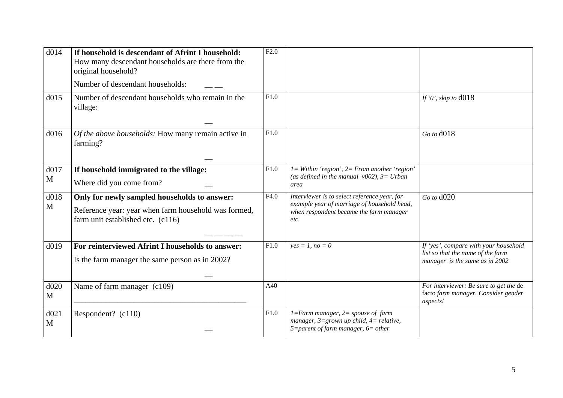| d014      | If household is descendant of Afrint I household:<br>How many descendant households are there from the<br>original household?<br>Number of descendant households: | F2.0 |                                                                                                                                                |                                                                                                              |
|-----------|-------------------------------------------------------------------------------------------------------------------------------------------------------------------|------|------------------------------------------------------------------------------------------------------------------------------------------------|--------------------------------------------------------------------------------------------------------------|
| d015      | Number of descendant households who remain in the<br>village:                                                                                                     | F1.0 |                                                                                                                                                | If $\theta$ , skip to d018                                                                                   |
| d016      | Of the above households: How many remain active in<br>farming?                                                                                                    | F1.0 |                                                                                                                                                | Go to d018                                                                                                   |
| d017<br>M | If household immigrated to the village:<br>Where did you come from?                                                                                               | F1.0 | $I = Within 'region', 2 = From another 'region'$<br>(as defined in the manual $v002$ ), $3=U$ rban<br>area                                     |                                                                                                              |
| d018<br>M | Only for newly sampled households to answer:<br>Reference year: year when farm household was formed,<br>farm unit established etc. (c116)                         | F4.0 | Interviewer is to select reference year, for<br>example year of marriage of household head,<br>when respondent became the farm manager<br>etc. | Go to d020                                                                                                   |
| d019      | For reinterviewed Afrint I households to answer:<br>Is the farm manager the same person as in 2002?                                                               | F1.0 | $yes = 1, no = 0$                                                                                                                              | If 'yes', compare with your household<br>list so that the name of the farm<br>manager is the same as in 2002 |
| d020<br>M | Name of farm manager (c109)                                                                                                                                       | A40  |                                                                                                                                                | For interviewer: Be sure to get the de<br>facto farm manager. Consider gender<br>aspects!                    |
| d021<br>M | Respondent? (c110)                                                                                                                                                | F1.0 | $1 = Farm$ manager, $2 =$ spouse of farm<br>manager, $3 =$ grown up child, $4 =$ relative,<br>5=parent of farm manager, $6$ = other            |                                                                                                              |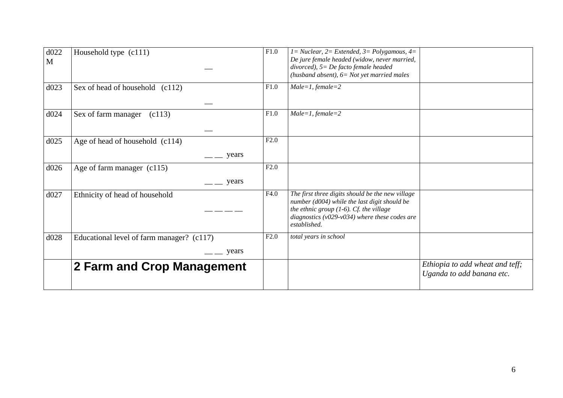| d022<br>$\mathbf{M}$ | Household type (c111)                             | F1.0 | $1 = Nuclear$ , $2 = Extended$ , $3 = Polygamous$ , $4 =$<br>De jure female headed (widow, never married,<br>divorced), $5 = De$ facto female headed<br>(husband absent), $6 = Not$ yet married males               |                                                              |
|----------------------|---------------------------------------------------|------|---------------------------------------------------------------------------------------------------------------------------------------------------------------------------------------------------------------------|--------------------------------------------------------------|
| d023                 | Sex of head of household (c112)                   | F1.0 | $Male = 1, female = 2$                                                                                                                                                                                              |                                                              |
| d024                 | Sex of farm manager<br>(c113)                     | F1.0 | $Male = 1, female = 2$                                                                                                                                                                                              |                                                              |
| d025                 | Age of head of household (c114)<br>$\equiv$ years | F2.0 |                                                                                                                                                                                                                     |                                                              |
| d026                 | Age of farm manager (c115)<br>years               | F2.0 |                                                                                                                                                                                                                     |                                                              |
| d027                 | Ethnicity of head of household                    | F4.0 | The first three digits should be the new village<br>number (d004) while the last digit should be<br>the ethnic group $(1-6)$ . Cf. the village<br>diagnostics ( $v029-v034$ ) where these codes are<br>established. |                                                              |
| d028                 | Educational level of farm manager? (c117)         | F2.0 | total years in school                                                                                                                                                                                               |                                                              |
|                      | $\equiv$ years                                    |      |                                                                                                                                                                                                                     |                                                              |
|                      | 2 Farm and Crop Management                        |      |                                                                                                                                                                                                                     | Ethiopia to add wheat and teff;<br>Uganda to add banana etc. |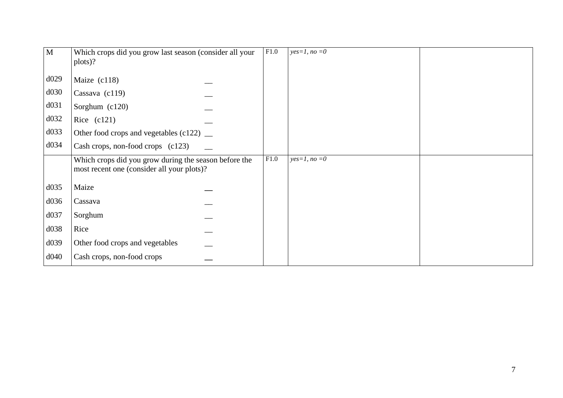| $\overline{M}$ | Which crops did you grow last season (consider all your                                             | F1.0 | $yes=1, no=0$ |  |
|----------------|-----------------------------------------------------------------------------------------------------|------|---------------|--|
|                | plots)?                                                                                             |      |               |  |
|                |                                                                                                     |      |               |  |
| d029           | Maize $(c118)$                                                                                      |      |               |  |
| d030           | Cassava (c119)                                                                                      |      |               |  |
| d031           | Sorghum (c120)                                                                                      |      |               |  |
| d032           | Rice $(c121)$                                                                                       |      |               |  |
| d033           | Other food crops and vegetables $(c122)$ __                                                         |      |               |  |
| d034           | Cash crops, non-food crops (c123)                                                                   |      |               |  |
|                | Which crops did you grow during the season before the<br>most recent one (consider all your plots)? | F1.0 | $yes=1, no=0$ |  |
| d035           | Maize                                                                                               |      |               |  |
| d036           | Cassava                                                                                             |      |               |  |
| d037           | Sorghum                                                                                             |      |               |  |
| d038           | Rice                                                                                                |      |               |  |
| d039           | Other food crops and vegetables                                                                     |      |               |  |
| d040           | Cash crops, non-food crops                                                                          |      |               |  |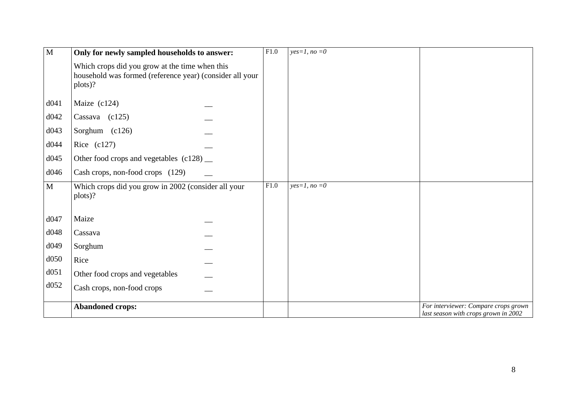| $\overline{M}$ | Only for newly sampled households to answer:                                                                          | $\overline{F1.0}$ | $yes=1, no=0$ |                                                                              |
|----------------|-----------------------------------------------------------------------------------------------------------------------|-------------------|---------------|------------------------------------------------------------------------------|
|                | Which crops did you grow at the time when this<br>household was formed (reference year) (consider all your<br>plots)? |                   |               |                                                                              |
| d041           | Maize $(c124)$                                                                                                        |                   |               |                                                                              |
| d042           | Cassava $(c125)$                                                                                                      |                   |               |                                                                              |
| d043           | Sorghum (c126)                                                                                                        |                   |               |                                                                              |
| d044           | Rice $(c127)$                                                                                                         |                   |               |                                                                              |
| d045           | Other food crops and vegetables (c128) __                                                                             |                   |               |                                                                              |
| d046           | Cash crops, non-food crops (129)                                                                                      |                   |               |                                                                              |
| M              | Which crops did you grow in 2002 (consider all your<br>plots)?                                                        | F1.0              | $yes=1, no=0$ |                                                                              |
| d047           | Maize                                                                                                                 |                   |               |                                                                              |
| d048           | Cassava                                                                                                               |                   |               |                                                                              |
| d049           | Sorghum                                                                                                               |                   |               |                                                                              |
| d050           | Rice                                                                                                                  |                   |               |                                                                              |
| d051           | Other food crops and vegetables                                                                                       |                   |               |                                                                              |
| d052           | Cash crops, non-food crops                                                                                            |                   |               |                                                                              |
|                | <b>Abandoned crops:</b>                                                                                               |                   |               | For interviewer: Compare crops grown<br>last season with crops grown in 2002 |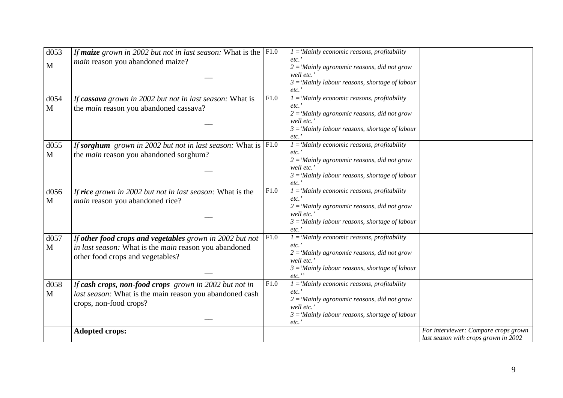| d053 | If maize grown in 2002 but not in last season: What is the              | F1.0 | $1 =$ 'Mainly economic reasons, profitability               |                                      |
|------|-------------------------------------------------------------------------|------|-------------------------------------------------------------|--------------------------------------|
| M    | main reason you abandoned maize?                                        |      | etc.<br>$2 =$ 'Mainly agronomic reasons, did not grow       |                                      |
|      |                                                                         |      | well etc.'                                                  |                                      |
|      |                                                                         |      | $3 =$ 'Mainly labour reasons, shortage of labour            |                                      |
|      |                                                                         |      | etc.                                                        |                                      |
| d054 | If cassava grown in 2002 but not in last season: What is                | F1.0 | $I = 'Mainly economic reasons, profitability$               |                                      |
| M    | the main reason you abandoned cassava?                                  |      | etc.                                                        |                                      |
|      |                                                                         |      | $2 =$ 'Mainly agronomic reasons, did not grow               |                                      |
|      |                                                                         |      | well etc.'                                                  |                                      |
|      |                                                                         |      | $3 =$ 'Mainly labour reasons, shortage of labour<br>etc.    |                                      |
| d055 | If sorghum grown in 2002 but not in last season: What is $ F1.0\rangle$ |      | $I =$ 'Mainly economic reasons, profitability               |                                      |
| M    | the <i>main</i> reason you abandoned sorghum?                           |      | etc.'                                                       |                                      |
|      |                                                                         |      | $2 =$ 'Mainly agronomic reasons, did not grow               |                                      |
|      |                                                                         |      | well etc.'                                                  |                                      |
|      |                                                                         |      | $3 =$ 'Mainly labour reasons, shortage of labour            |                                      |
|      |                                                                         |      | etc.                                                        |                                      |
| d056 | If rice grown in 2002 but not in last season: What is the               | F1.0 | $1 =$ 'Mainly economic reasons, profitability               |                                      |
| M    | main reason you abandoned rice?                                         |      | etc.                                                        |                                      |
|      |                                                                         |      | $2 =$ 'Mainly agronomic reasons, did not grow<br>well etc.' |                                      |
|      |                                                                         |      | $3 =$ 'Mainly labour reasons, shortage of labour            |                                      |
|      |                                                                         |      | etc.                                                        |                                      |
| d057 | If other food crops and vegetables grown in 2002 but not                | F1.0 | $1 =$ 'Mainly economic reasons, profitability               |                                      |
| M    | in last season: What is the main reason you abandoned                   |      | etc.                                                        |                                      |
|      | other food crops and vegetables?                                        |      | $2 =$ 'Mainly agronomic reasons, did not grow               |                                      |
|      |                                                                         |      | well etc.'                                                  |                                      |
|      |                                                                         |      | $3 =$ 'Mainly labour reasons, shortage of labour            |                                      |
| d058 |                                                                         | F1.0 | etc.<br>$1 =$ 'Mainly economic reasons, profitability       |                                      |
|      | If cash crops, non-food crops grown in 2002 but not in                  |      | etc.                                                        |                                      |
| M    | last season: What is the main reason you abandoned cash                 |      | $2 =$ 'Mainly agronomic reasons, did not grow               |                                      |
|      | crops, non-food crops?                                                  |      | well etc.'                                                  |                                      |
|      |                                                                         |      | $3 =$ 'Mainly labour reasons, shortage of labour            |                                      |
|      |                                                                         |      | etc.                                                        |                                      |
|      | <b>Adopted crops:</b>                                                   |      |                                                             | For interviewer: Compare crops grown |
|      |                                                                         |      |                                                             | last season with crops grown in 2002 |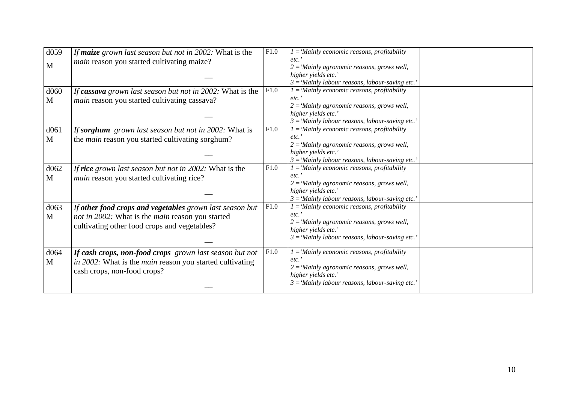| d059             | If maize grown last season but not in 2002: What is the         | F1.0 | $1 =$ 'Mainly economic reasons, profitability            |  |
|------------------|-----------------------------------------------------------------|------|----------------------------------------------------------|--|
|                  | main reason you started cultivating maize?                      |      | etc.                                                     |  |
| M                |                                                                 |      | $2 =$ 'Mainly agronomic reasons, grows well,             |  |
|                  |                                                                 |      | higher yields etc.'                                      |  |
|                  |                                                                 |      | $3 =$ 'Mainly labour reasons, labour-saving etc.'        |  |
| d <sub>060</sub> | If cassava grown last season but not in 2002: What is the       | F1.0 | $1 =$ 'Mainly economic reasons, profitability            |  |
| M                | main reason you started cultivating cassava?                    |      | $etc.$ '                                                 |  |
|                  |                                                                 |      | $2 =$ 'Mainly agronomic reasons, grows well,             |  |
|                  |                                                                 |      | higher yields etc.'                                      |  |
|                  |                                                                 |      | $3 =$ 'Mainly labour reasons, labour-saving etc.'        |  |
| d061             | If sorghum grown last season but not in 2002: What is           | F1.0 | $1 = 'Mainly economic reasons, profitability$            |  |
| M                | the <i>main</i> reason you started cultivating sorghum?         |      | $etc.$ '                                                 |  |
|                  |                                                                 |      | $2 =$ 'Mainly agronomic reasons, grows well,             |  |
|                  |                                                                 |      | higher yields etc.'                                      |  |
|                  |                                                                 |      | $3 =$ 'Mainly labour reasons, labour-saving etc.'        |  |
| d062             | If rice grown last season but not in 2002: What is the          | F1.0 | $1 =$ 'Mainly economic reasons, profitability            |  |
| M                | <i>main</i> reason you started cultivating rice?                |      | etc.                                                     |  |
|                  |                                                                 |      | $2 =$ 'Mainly agronomic reasons, grows well,             |  |
|                  |                                                                 |      | higher yields etc.'                                      |  |
|                  |                                                                 |      | $3 =$ 'Mainly labour reasons, labour-saving etc.'        |  |
| d063             | If other food crops and vegetables grown last season but        | F1.0 | $\overline{I}$ = 'Mainly economic reasons, profitability |  |
| M                | not in 2002: What is the main reason you started                |      | etc.                                                     |  |
|                  | cultivating other food crops and vegetables?                    |      | $2 =$ 'Mainly agronomic reasons, grows well,             |  |
|                  |                                                                 |      | higher yields etc.'                                      |  |
|                  |                                                                 |      | $3 =$ 'Mainly labour reasons, labour-saving etc.'        |  |
| d064             | If cash crops, non-food crops grown last season but not         | F1.0 | $1 =$ 'Mainly economic reasons, profitability            |  |
| M                | in 2002. What is the <i>main</i> reason you started cultivating |      | etc.                                                     |  |
|                  |                                                                 |      | $2 =$ 'Mainly agronomic reasons, grows well,             |  |
|                  | cash crops, non-food crops?                                     |      | higher yields etc.'                                      |  |
|                  |                                                                 |      | $3 =$ 'Mainly labour reasons, labour-saving etc.'        |  |
|                  |                                                                 |      |                                                          |  |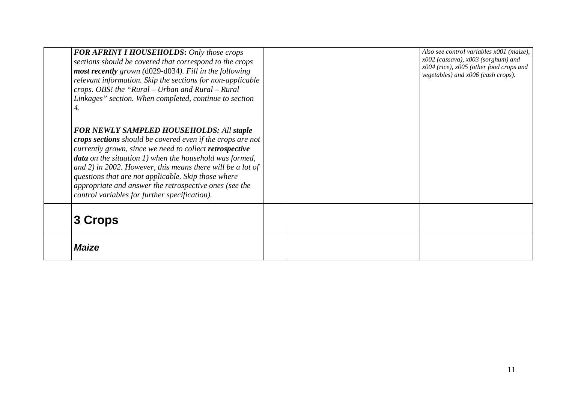| <b>Maize</b>                                                                                                                                                                                                                                                                                                                                                                                                                                                                           |  |                                                                                                                                                                         |
|----------------------------------------------------------------------------------------------------------------------------------------------------------------------------------------------------------------------------------------------------------------------------------------------------------------------------------------------------------------------------------------------------------------------------------------------------------------------------------------|--|-------------------------------------------------------------------------------------------------------------------------------------------------------------------------|
| 3 Crops                                                                                                                                                                                                                                                                                                                                                                                                                                                                                |  |                                                                                                                                                                         |
| 4.<br><b>FOR NEWLY SAMPLED HOUSEHOLDS: All staple</b><br>crops sections should be covered even if the crops are not<br>currently grown, since we need to collect retrospective<br><b>data</b> on the situation $1$ ) when the household was formed,<br>and $2$ ) in 2002. However, this means there will be a lot of<br>questions that are not applicable. Skip those where<br>appropriate and answer the retrospective ones (see the<br>control variables for further specification). |  |                                                                                                                                                                         |
| <b>FOR AFRINT I HOUSEHOLDS: Only those crops</b><br>sections should be covered that correspond to the crops<br>most recently grown (d029-d034). Fill in the following<br>relevant information. Skip the sections for non-applicable<br>crops. OBS! the "Rural – Urban and Rural – Rural<br>Linkages" section. When completed, continue to section                                                                                                                                      |  | Also see control variables x001 (maize),<br>$x002$ (cassava), $x003$ (sorghum) and<br>$x004$ (rice), $x005$ (other food crops and<br>vegetables) and x006 (cash crops). |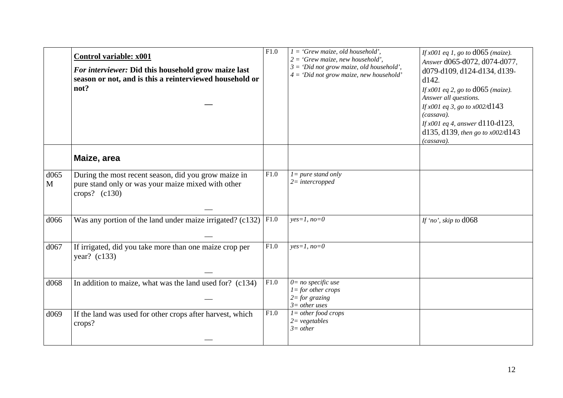|           | <b>Control variable: x001</b><br>For interviewer: Did this household grow maize last<br>season or not, and is this a reinterviewed household or<br>not? | F1.0 | $1 = 'Grew$ maize, old household',<br>$2 = 'Grew$ maize, new household',<br>$3 = 'Did not grow maize, old household'.$<br>$4 = 'Did not grow maize, new household'$ | If $x001$ eq 1, go to $d065$ (maize).<br>Answer d065-d072, d074-d077,<br>d079-d109, d124-d134, d139-<br>d142.<br><i>If x001 eq 2, go to d065 (maize).</i><br>Answer all questions.<br>If $x001$ eq 3, go to $x002$ /d143<br>(cassava).<br><i>If x001 eq 4, answer</i> $d110-d123$ ,<br>d135, d139, then go to $x002$ /d143<br>(cassava). |
|-----------|---------------------------------------------------------------------------------------------------------------------------------------------------------|------|---------------------------------------------------------------------------------------------------------------------------------------------------------------------|------------------------------------------------------------------------------------------------------------------------------------------------------------------------------------------------------------------------------------------------------------------------------------------------------------------------------------------|
|           | Maize, area                                                                                                                                             |      |                                                                                                                                                                     |                                                                                                                                                                                                                                                                                                                                          |
| d065<br>M | During the most recent season, did you grow maize in<br>pure stand only or was your maize mixed with other<br>crops? $(c130)$                           | F1.0 | $l = pure$ stand only<br>$2$ = intercropped                                                                                                                         |                                                                                                                                                                                                                                                                                                                                          |
| d066      | Was any portion of the land under maize irrigated? (c132)                                                                                               | F1.0 | $yes=1, no=0$                                                                                                                                                       | If 'no', skip to d068                                                                                                                                                                                                                                                                                                                    |
| d067      | If irrigated, did you take more than one maize crop per<br>year? (c133)                                                                                 | F1.0 | $yes=1, no=0$                                                                                                                                                       |                                                                                                                                                                                                                                                                                                                                          |
| d068      | In addition to maize, what was the land used for? (c134)                                                                                                | F1.0 | $0=$ no specific use<br>$l =$ for other crops<br>$2 = for$ grazing<br>$3=$ other uses                                                                               |                                                                                                                                                                                                                                                                                                                                          |
| d069      | If the land was used for other crops after harvest, which<br>crops?                                                                                     | F1.0 | $l = other food crops$<br>$2 = vegetables$<br>$3=other$                                                                                                             |                                                                                                                                                                                                                                                                                                                                          |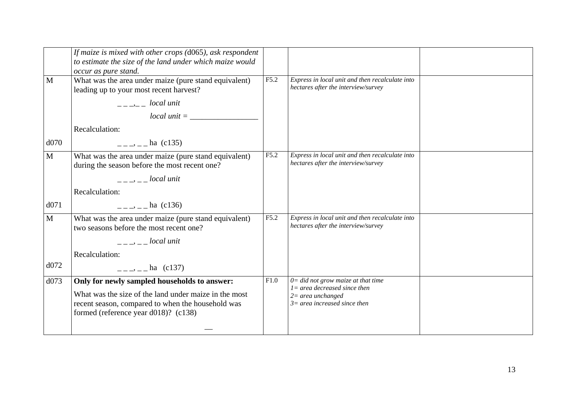|              | If maize is mixed with other crops $(d065)$ , ask respondent<br>to estimate the size of the land under which maize would<br>occur as pure stand.                                                                                                                                                                    |      |                                                                                        |  |
|--------------|---------------------------------------------------------------------------------------------------------------------------------------------------------------------------------------------------------------------------------------------------------------------------------------------------------------------|------|----------------------------------------------------------------------------------------|--|
| $\mathbf{M}$ | What was the area under maize (pure stand equivalent)<br>leading up to your most recent harvest?                                                                                                                                                                                                                    | F5.2 | Express in local unit and then recalculate into<br>hectares after the interview/survey |  |
|              | $\frac{1}{2}$ $\frac{1}{2}$ $\frac{1}{2}$ $\frac{1}{2}$ $\frac{1}{2}$ $\frac{1}{2}$ $\frac{1}{2}$ $\frac{1}{2}$ $\frac{1}{2}$ $\frac{1}{2}$ $\frac{1}{2}$ $\frac{1}{2}$ $\frac{1}{2}$ $\frac{1}{2}$ $\frac{1}{2}$ $\frac{1}{2}$ $\frac{1}{2}$ $\frac{1}{2}$ $\frac{1}{2}$ $\frac{1}{2}$ $\frac{1}{2}$ $\frac{1}{2}$ |      |                                                                                        |  |
|              |                                                                                                                                                                                                                                                                                                                     |      |                                                                                        |  |
|              | Recalculation:                                                                                                                                                                                                                                                                                                      |      |                                                                                        |  |
| d070         | $\frac{1}{2}$ - $\frac{1}{2}$ ha (c135)                                                                                                                                                                                                                                                                             |      |                                                                                        |  |
| $\mathbf{M}$ | What was the area under maize (pure stand equivalent)<br>during the season before the most recent one?                                                                                                                                                                                                              | F5.2 | Express in local unit and then recalculate into<br>hectares after the interview/survey |  |
|              | <i>discription is local unit</i>                                                                                                                                                                                                                                                                                    |      |                                                                                        |  |
|              | Recalculation:                                                                                                                                                                                                                                                                                                      |      |                                                                                        |  |
| d071         | $\frac{1}{2}$ - $\frac{1}{2}$ - $\frac{1}{2}$ ha (c136)                                                                                                                                                                                                                                                             |      |                                                                                        |  |
| M            | What was the area under maize (pure stand equivalent)<br>two seasons before the most recent one?                                                                                                                                                                                                                    | F5.2 | Express in local unit and then recalculate into<br>hectares after the interview/survey |  |
|              | $-- -- local unit$                                                                                                                                                                                                                                                                                                  |      |                                                                                        |  |
|              | Recalculation:                                                                                                                                                                                                                                                                                                      |      |                                                                                        |  |
| d072         | $=-\frac{1}{2}$ – ha (c137)                                                                                                                                                                                                                                                                                         |      |                                                                                        |  |
| d073         | Only for newly sampled households to answer:                                                                                                                                                                                                                                                                        | F1.0 | $0 =$ did not grow maize at that time<br>$l = area decreased since then$               |  |
|              | What was the size of the land under maize in the most                                                                                                                                                                                                                                                               |      | $2=$ area unchanged                                                                    |  |
|              | recent season, compared to when the household was                                                                                                                                                                                                                                                                   |      | $3=$ area increased since then                                                         |  |
|              | formed (reference year d018)? (c138)                                                                                                                                                                                                                                                                                |      |                                                                                        |  |
|              |                                                                                                                                                                                                                                                                                                                     |      |                                                                                        |  |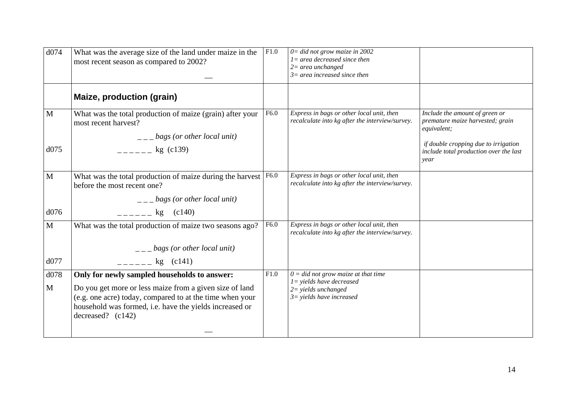| d074                 | What was the average size of the land under maize in the<br>most recent season as compared to 2002?                                                                                                                                                   | F1.0 | $0 =$ did not grow maize in 2002<br>$I = area decreased since then$<br>$2=$ area unchanged<br>$3=$ area increased since then  |                                                                                                                                                                             |
|----------------------|-------------------------------------------------------------------------------------------------------------------------------------------------------------------------------------------------------------------------------------------------------|------|-------------------------------------------------------------------------------------------------------------------------------|-----------------------------------------------------------------------------------------------------------------------------------------------------------------------------|
|                      | Maize, production (grain)                                                                                                                                                                                                                             |      |                                                                                                                               |                                                                                                                                                                             |
| $\mathbf{M}$<br>d075 | What was the total production of maize (grain) after your<br>most recent harvest?<br>$\frac{1}{2}$ = $\frac{1}{2}$ bags (or other local unit)<br>$-$ - $-$ kg (c139)                                                                                  | F6.0 | Express in bags or other local unit, then<br>recalculate into kg after the interview/survey.                                  | Include the amount of green or<br>premature maize harvested; grain<br>equivalent;<br>if double cropping due to irrigation<br>include total production over the last<br>year |
| M<br>d076            | What was the total production of maize during the harvest<br>before the most recent one?<br>$\frac{1}{2}$ = $\frac{1}{2}$ bags (or other local unit)                                                                                                  | F6.0 | Express in bags or other local unit, then<br>recalculate into kg after the interview/survey.                                  |                                                                                                                                                                             |
| $\mathbf{M}$<br>d077 | $-$ - $-$ - $\frac{1}{2}$ (c140)<br>What was the total production of maize two seasons ago?<br>$\frac{1}{2}$ – $\frac{1}{2}$ bags (or other local unit)<br>$-$ - $-$ kg (c141)                                                                        | F6.0 | Express in bags or other local unit, then<br>recalculate into kg after the interview/survey.                                  |                                                                                                                                                                             |
| d078<br>$\mathbf{M}$ | Only for newly sampled households to answer:<br>Do you get more or less maize from a given size of land<br>(e.g. one acre) today, compared to at the time when your<br>household was formed, i.e. have the yields increased or<br>decreased? $(c142)$ | F1.0 | $0 =$ did not grow maize at that time<br>$1 =$ yields have decreased<br>$2 =$ yields unchanged<br>$3 =$ yields have increased |                                                                                                                                                                             |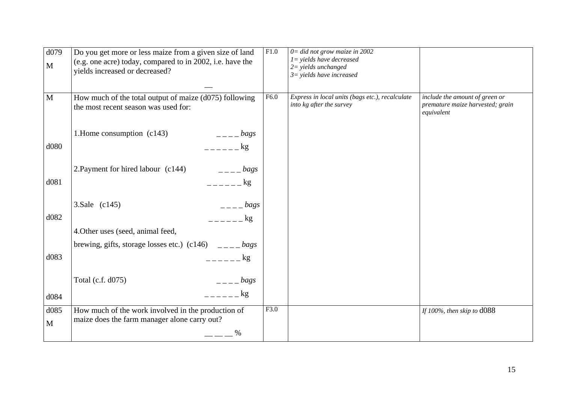| d079<br>M    | Do you get more or less maize from a given size of land<br>(e.g. one acre) today, compared to in 2002, i.e. have the<br>yields increased or decreased? | F1.0 | $0 =$ did not grow maize in $\overline{2002}$<br>$1 =$ yields have decreased<br>$2 =$ yields unchanged<br>$3 =$ yields have increased |                                                                                  |
|--------------|--------------------------------------------------------------------------------------------------------------------------------------------------------|------|---------------------------------------------------------------------------------------------------------------------------------------|----------------------------------------------------------------------------------|
| $\mathbf{M}$ | How much of the total output of maize (d075) following<br>the most recent season was used for:                                                         | F6.0 | Express in local units (bags etc.), recalculate<br>into kg after the survey                                                           | include the amount of green or<br>premature maize harvested; grain<br>equivalent |
|              | 1. Home consumption (c143)<br>$   bags$                                                                                                                |      |                                                                                                                                       |                                                                                  |
| d080         | $     \frac{kg}{g}$                                                                                                                                    |      |                                                                                                                                       |                                                                                  |
|              | 2. Payment for hired labour (c144)<br>$=-\frac{bag}{g}$                                                                                                |      |                                                                                                                                       |                                                                                  |
| d081         | $     \frac{kg}{g}$                                                                                                                                    |      |                                                                                                                                       |                                                                                  |
|              | 3. Sale (c145)<br>$---$ bags                                                                                                                           |      |                                                                                                                                       |                                                                                  |
| d082         | $   \log$                                                                                                                                              |      |                                                                                                                                       |                                                                                  |
|              | 4. Other uses (seed, animal feed,                                                                                                                      |      |                                                                                                                                       |                                                                                  |
|              | brewing, gifts, storage losses etc.) (c146) $\qquad \qquad \_ \_ \_ \_ \, bags$                                                                        |      |                                                                                                                                       |                                                                                  |
| d083         | $     \frac{kg}{g}$                                                                                                                                    |      |                                                                                                                                       |                                                                                  |
|              | Total (c.f. d075)<br>$\frac{1}{2}$ - $\frac{1}{2}$ bags                                                                                                |      |                                                                                                                                       |                                                                                  |
| d084         | $     \log$                                                                                                                                            |      |                                                                                                                                       |                                                                                  |
| d085         | How much of the work involved in the production of                                                                                                     | F3.0 |                                                                                                                                       | If 100%, then skip to d088                                                       |
| M            | maize does the farm manager alone carry out?                                                                                                           |      |                                                                                                                                       |                                                                                  |
|              |                                                                                                                                                        |      |                                                                                                                                       |                                                                                  |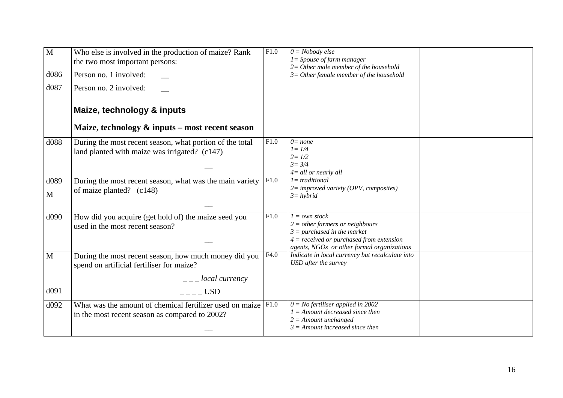| $\overline{M}$<br>d086<br>d087 | Who else is involved in the production of maize? Rank<br>the two most important persons:<br>Person no. 1 involved:<br>Person no. 2 involved:       | F1.0 | $0 = Nobody$ else<br>$I = Spouse of farm manager$<br>$2=$ Other male member of the household<br>$3=$ Other female member of the household                                            |  |
|--------------------------------|----------------------------------------------------------------------------------------------------------------------------------------------------|------|--------------------------------------------------------------------------------------------------------------------------------------------------------------------------------------|--|
|                                | Maize, technology & inputs                                                                                                                         |      |                                                                                                                                                                                      |  |
|                                | Maize, technology & inputs – most recent season                                                                                                    |      |                                                                                                                                                                                      |  |
| d088                           | During the most recent season, what portion of the total<br>land planted with maize was irrigated? (c147)                                          | F1.0 | $0 = none$<br>$l = 1/4$<br>$2 = 1/2$<br>$3 = 3/4$<br>$4 =$ all or nearly all                                                                                                         |  |
| d089<br>M                      | During the most recent season, what was the main variety<br>of maize planted? $(c148)$                                                             | F1.0 | $l = traditional$<br>$2 =$ improved variety (OPV, composites)<br>$3 = hybrid$                                                                                                        |  |
| d090                           | How did you acquire (get hold of) the maize seed you<br>used in the most recent season?                                                            | F1.0 | $1 = own stock$<br>$2 = other farmers or neighborhoods$<br>$3 = purchased$ in the market<br>$4 = received$ or purchased from extension<br>agents, NGOs or other formal organizations |  |
| $\mathbf{M}$                   | During the most recent season, how much money did you<br>spend on artificial fertiliser for maize?<br>$\frac{1}{2}$ – $\frac{1}{2}$ local currency | F4.0 | Indicate in local currency but recalculate into<br>USD after the survey                                                                                                              |  |
| d091                           | USD                                                                                                                                                |      |                                                                                                                                                                                      |  |
| d092                           | What was the amount of chemical fertilizer used on maize $ F1.0\rangle$<br>in the most recent season as compared to 2002?                          |      | $0 = No$ fertiliser applied in 2002<br>$1 =$ Amount decreased since then<br>$2 =$ Amount unchanged<br>$3 =$ Amount increased since then                                              |  |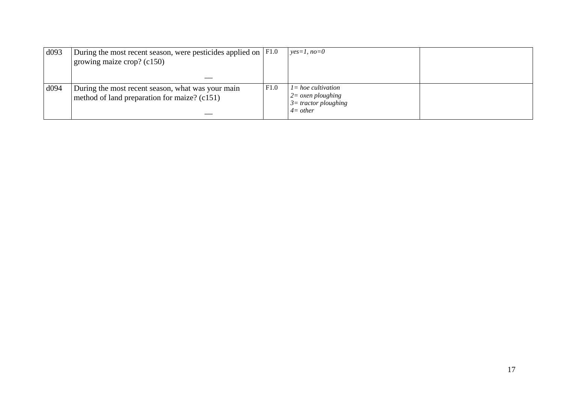| d093     | During the most recent season, were pesticides applied on $ F1.0\rangle$                          |      | $ves=1, no=0$                                                                                     |  |
|----------|---------------------------------------------------------------------------------------------------|------|---------------------------------------------------------------------------------------------------|--|
|          | growing maize crop? $(c150)$                                                                      |      |                                                                                                   |  |
|          |                                                                                                   |      |                                                                                                   |  |
| $\log_4$ | During the most recent season, what was your main<br>method of land preparation for maize? (c151) | F1.0 | $l = hoe$ cultivation<br>$2 = \alpha$ <i>sen ploughing</i><br>$3=$ tractor ploughing<br>$4=other$ |  |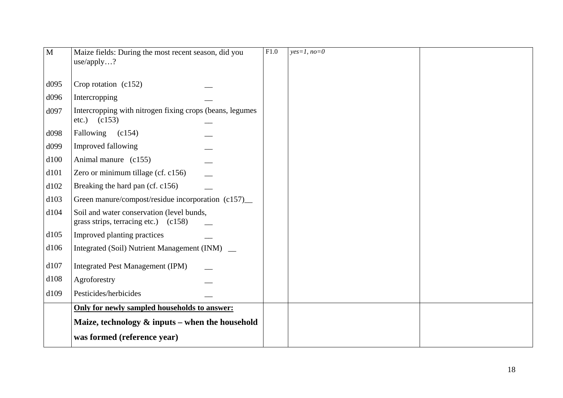| $\mathbf{M}$ | Maize fields: During the most recent season, did you<br>use/apply?                | F1.0 | $yes=1, no=0$ |  |
|--------------|-----------------------------------------------------------------------------------|------|---------------|--|
| d095         | Crop rotation (c152)                                                              |      |               |  |
| d096         | Intercropping                                                                     |      |               |  |
| d097         | Intercropping with nitrogen fixing crops (beans, legumes)<br>$etc.)$ $(c153)$     |      |               |  |
| d098         | Fallowing (c154)                                                                  |      |               |  |
| d099         | Improved fallowing                                                                |      |               |  |
| d100         | Animal manure (c155)                                                              |      |               |  |
| d101         | Zero or minimum tillage (cf. c156)                                                |      |               |  |
| d102         | Breaking the hard pan (cf. c156)                                                  |      |               |  |
| d103         | Green manure/compost/residue incorporation (c157)_                                |      |               |  |
| d104         | Soil and water conservation (level bunds,<br>grass strips, terracing etc.) (c158) |      |               |  |
| d105         | Improved planting practices                                                       |      |               |  |
| d106         | Integrated (Soil) Nutrient Management (INM) _                                     |      |               |  |
| d107         | Integrated Pest Management (IPM)                                                  |      |               |  |
| d108         | Agroforestry                                                                      |      |               |  |
| d109         | Pesticides/herbicides                                                             |      |               |  |
|              | Only for newly sampled households to answer:                                      |      |               |  |
|              | Maize, technology $\&$ inputs – when the household                                |      |               |  |
|              | was formed (reference year)                                                       |      |               |  |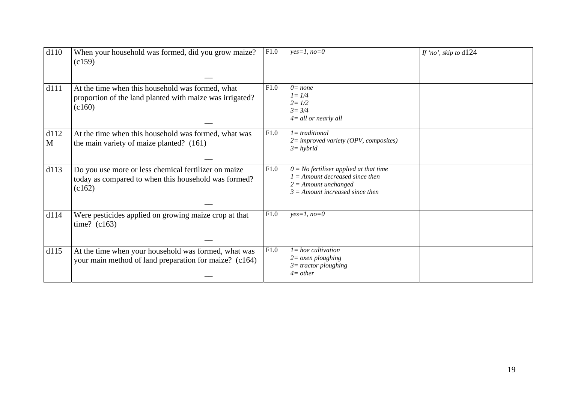| d110      | When your household was formed, did you grow maize?<br>(c159)                                                          | F1.0 | $yes=1, no=0$                                                                                                                                | If 'no', skip to d124 |
|-----------|------------------------------------------------------------------------------------------------------------------------|------|----------------------------------------------------------------------------------------------------------------------------------------------|-----------------------|
|           |                                                                                                                        |      |                                                                                                                                              |                       |
| d111      | At the time when this household was formed, what<br>proportion of the land planted with maize was irrigated?<br>(c160) | F1.0 | $0 = none$<br>$l = 1/4$<br>$2 = 1/2$<br>$3 = 3/4$<br>$4 =$ all or nearly all                                                                 |                       |
| d112<br>M | At the time when this household was formed, what was<br>the main variety of maize planted? (161)                       | F1.0 | $l = traditional$<br>$2 =$ improved variety (OPV, composites)<br>$3 = hybrid$                                                                |                       |
| d113      | Do you use more or less chemical fertilizer on maize<br>today as compared to when this household was formed?<br>(c162) | F1.0 | $0 = No$ fertiliser applied at that time<br>$1 =$ Amount decreased since then<br>$2 =$ Amount unchanged<br>$3 =$ Amount increased since then |                       |
| d114      | Were pesticides applied on growing maize crop at that<br>time? $(c163)$                                                | F1.0 | $yes=1, no=0$                                                                                                                                |                       |
| d115      | At the time when your household was formed, what was<br>your main method of land preparation for maize? (c164)         | F1.0 | $l = hoe$ cultivation<br>$2 = \alpha$ <i>sen ploughing</i><br>$3$ = tractor ploughing<br>$4=other$                                           |                       |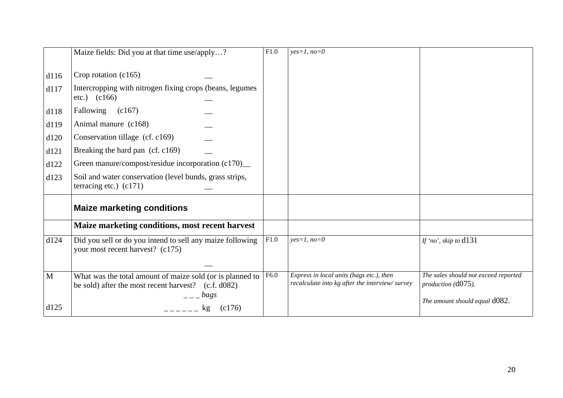|                                                      | Maize fields: Did you at that time use/apply?                                                                                                                                                                                                                                  | F1.0 | $yes=1, no=0$                                                                              |                                                                                                   |
|------------------------------------------------------|--------------------------------------------------------------------------------------------------------------------------------------------------------------------------------------------------------------------------------------------------------------------------------|------|--------------------------------------------------------------------------------------------|---------------------------------------------------------------------------------------------------|
| d116<br>d117<br>d118<br>d119<br>d120<br>d121<br>d122 | Crop rotation (c165)<br>Intercropping with nitrogen fixing crops (beans, legumes)<br>$etc.)$ $(c166)$<br>Fallowing (c167)<br>Animal manure (c168)<br>Conservation tillage (cf. c169)<br>Breaking the hard pan (cf. c169)<br>Green manure/compost/residue incorporation (c170)_ |      |                                                                                            |                                                                                                   |
| d123                                                 | Soil and water conservation (level bunds, grass strips,<br>terracing etc.) $(c171)$                                                                                                                                                                                            |      |                                                                                            |                                                                                                   |
|                                                      | <b>Maize marketing conditions</b>                                                                                                                                                                                                                                              |      |                                                                                            |                                                                                                   |
|                                                      | Maize marketing conditions, most recent harvest                                                                                                                                                                                                                                |      |                                                                                            |                                                                                                   |
| d124                                                 | Did you sell or do you intend to sell any maize following<br>your most recent harvest? (c175)                                                                                                                                                                                  | F1.0 | $yes=1, no=0$                                                                              | If 'no', skip to $d131$                                                                           |
| $\mathbf{M}$<br>d125                                 | What was the total amount of maize sold (or is planned to<br>be sold) after the most recent harvest? (c.f. d082)<br>$  bags$<br>(c176)<br>kg                                                                                                                                   | F6.0 | Express in local units (bags etc.), then<br>recalculate into kg after the interview/survey | The sales should not exceed reported<br>production $(d075)$ .<br>The amount should equal $d082$ . |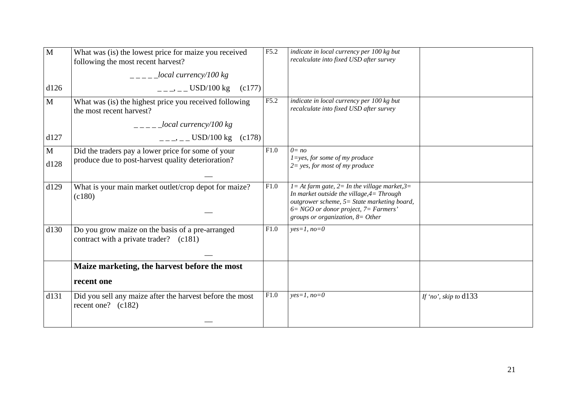| $\mathbf{M}$         | What was (is) the lowest price for maize you received<br>following the most recent harvest?<br>$\frac{1}{2}$ = $\frac{1}{2}$ local currency/100 kg | F5.2 | indicate in local currency per 100 kg but<br>recalculate into fixed USD after survey                                                                                                                                                     |                         |
|----------------------|----------------------------------------------------------------------------------------------------------------------------------------------------|------|------------------------------------------------------------------------------------------------------------------------------------------------------------------------------------------------------------------------------------------|-------------------------|
| d126                 | $=-$ , $-$ USD/100 kg (c177)                                                                                                                       |      |                                                                                                                                                                                                                                          |                         |
| $\mathbf{M}$         | What was (is) the highest price you received following<br>the most recent harvest?                                                                 | F5.2 | indicate in local currency per 100 kg but<br>recalculate into fixed USD after survey                                                                                                                                                     |                         |
|                      | $\_{local \, currency/100 \, kg}$                                                                                                                  |      |                                                                                                                                                                                                                                          |                         |
| d127                 | $=-$ , $=-$ USD/100 kg (c178)                                                                                                                      |      |                                                                                                                                                                                                                                          |                         |
| $\mathbf{M}$<br>d128 | Did the traders pay a lower price for some of your<br>produce due to post-harvest quality deterioration?                                           | F1.0 | $0 = no$<br>$1 = yes$ , for some of my produce<br>$2 = yes$ , for most of my produce                                                                                                                                                     |                         |
| d129                 | What is your main market outlet/crop depot for maize?<br>(c180)                                                                                    | F1.0 | $l = At farm$ gate, $2 = In$ the village market, $3 =$<br>In market outside the village, $4 = Through$<br>outgrower scheme, 5= State marketing board,<br>$6 = NGO$ or donor project, $7 = Farmers'$<br>groups or organization, $8=Other$ |                         |
| d130                 | Do you grow maize on the basis of a pre-arranged<br>contract with a private trader? (c181)                                                         | F1.0 | $yes=1, no=0$                                                                                                                                                                                                                            |                         |
|                      | Maize marketing, the harvest before the most                                                                                                       |      |                                                                                                                                                                                                                                          |                         |
|                      | recent one                                                                                                                                         |      |                                                                                                                                                                                                                                          |                         |
| d131                 | Did you sell any maize after the harvest before the most<br>recent one? $(c182)$                                                                   | F1.0 | $yes=1, no=0$                                                                                                                                                                                                                            | If 'no', skip to $d133$ |
|                      |                                                                                                                                                    |      |                                                                                                                                                                                                                                          |                         |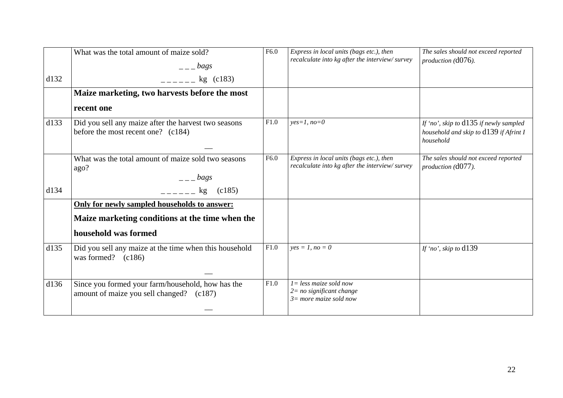| d132 | What was the total amount of maize sold?<br>$  bags$<br>$    \frac{1}{2}$ (c183)                                        | F6.0 | Express in local units (bags etc.), then<br>recalculate into kg after the interview/survey    | The sales should not exceed reported<br>$production (d076)$ .                                   |
|------|-------------------------------------------------------------------------------------------------------------------------|------|-----------------------------------------------------------------------------------------------|-------------------------------------------------------------------------------------------------|
|      | Maize marketing, two harvests before the most                                                                           |      |                                                                                               |                                                                                                 |
|      | recent one                                                                                                              |      |                                                                                               |                                                                                                 |
| d133 | Did you sell any maize after the harvest two seasons<br>before the most recent one? (c184)                              | F1.0 | $yes=1, no=0$                                                                                 | If 'no', skip to $d135$ if newly sampled<br>household and skip to d139 if Afrint I<br>household |
|      | What was the total amount of maize sold two seasons<br>ago?<br>$  bags$                                                 | F6.0 | Express in local units (bags etc.), then<br>recalculate into kg after the interview/survey    | The sales should not exceed reported<br>production (d077).                                      |
| d134 | $=-$ kg<br>(c185)                                                                                                       |      |                                                                                               |                                                                                                 |
|      | Only for newly sampled households to answer:<br>Maize marketing conditions at the time when the<br>household was formed |      |                                                                                               |                                                                                                 |
| d135 | Did you sell any maize at the time when this household<br>was formed? $(c186)$                                          | F1.0 | $yes = 1, no = 0$                                                                             | If 'no', skip to $d139$                                                                         |
| d136 | Since you formed your farm/household, how has the<br>amount of maize you sell changed? (c187)                           | F1.0 | $l = less \, maize \, sold \, now$<br>$2 = no$ significant change<br>$3=$ more maize sold now |                                                                                                 |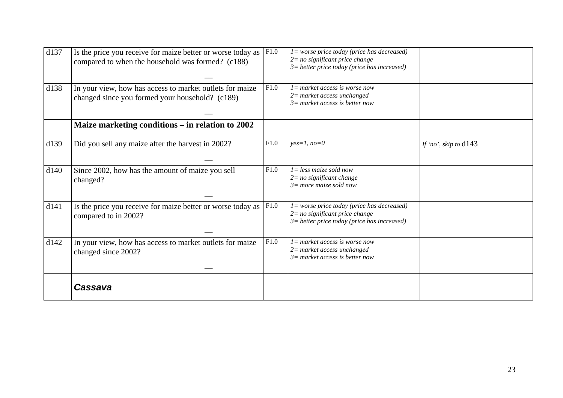| d137 | Is the price you receive for maize better or worse today as<br>compared to when the household was formed? (c188) | F1.0 | 1= worse price today (price has decreased)<br>$2 = no$ significant price change<br>$3$ = better price today (price has increased)   |                         |
|------|------------------------------------------------------------------------------------------------------------------|------|-------------------------------------------------------------------------------------------------------------------------------------|-------------------------|
| d138 | In your view, how has access to market outlets for maize<br>changed since you formed your household? (c189)      | F1.0 | $l = market access$ is worse now<br>$2=$ market access unchanged<br>$3=$ market access is better now                                |                         |
|      | Maize marketing conditions - in relation to 2002                                                                 |      |                                                                                                                                     |                         |
| d139 | Did you sell any maize after the harvest in 2002?                                                                | F1.0 | $yes=1, no=0$                                                                                                                       | If 'no', skip to $d143$ |
| d140 | Since 2002, how has the amount of maize you sell<br>changed?                                                     | F1.0 | $l = less \, maize \, sold \, now$<br>$2 = no$ significant change<br>$3=$ more maize sold now                                       |                         |
| d141 | Is the price you receive for maize better or worse today as<br>compared to in 2002?                              | F1.0 | $l = worse$ price today (price has decreased)<br>$2=$ no significant price change<br>$3$ = better price today (price has increased) |                         |
| d142 | In your view, how has access to market outlets for maize<br>changed since 2002?                                  | F1.0 | $l =$ market access is worse now<br>$2=$ market access unchanged<br>$3=$ market access is better now                                |                         |
|      | Cassava                                                                                                          |      |                                                                                                                                     |                         |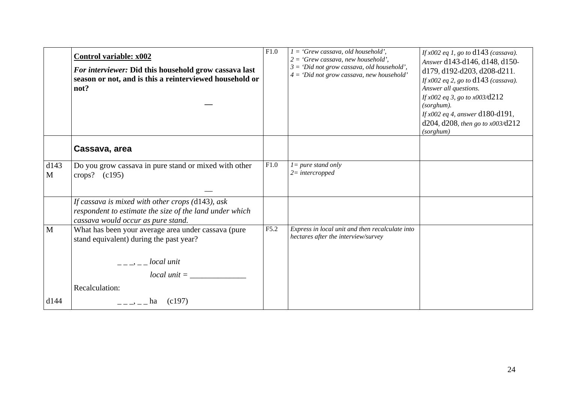|           | Control variable: x002<br>For interviewer: Did this household grow cassava last<br>season or not, and is this a reinterviewed household or<br>not?                                                                                                                                                                                                                                                                                                 | F1.0 | $1 = 'Grew$ cassava, old household',<br>$2 = 'Grew$ cassava, new household',<br>$3 = 'Did$ not grow cassava, old household',<br>$4 = 'Did not grow cassava, new household'$ | If $x002$ eq 1, go to $d143$ (cassava).<br>Answer d143-d146, d148, d150-<br>d179, d192-d203, d208-d211.<br>If $x002$ eq 2, go to $d143$ (cassava).<br>Answer all questions.<br>If $x002$ eq 3, go to $x003/\text{d}212$<br>$(sorghum)$ .<br><i>If</i> $x002$ eq 4, answer d180-d191,<br>d204, d208, then go to $x003$ /d212<br>(sorghum) |
|-----------|----------------------------------------------------------------------------------------------------------------------------------------------------------------------------------------------------------------------------------------------------------------------------------------------------------------------------------------------------------------------------------------------------------------------------------------------------|------|-----------------------------------------------------------------------------------------------------------------------------------------------------------------------------|------------------------------------------------------------------------------------------------------------------------------------------------------------------------------------------------------------------------------------------------------------------------------------------------------------------------------------------|
|           | Cassava, area                                                                                                                                                                                                                                                                                                                                                                                                                                      |      |                                                                                                                                                                             |                                                                                                                                                                                                                                                                                                                                          |
| d143<br>M | Do you grow cassava in pure stand or mixed with other<br>crops? $(c195)$                                                                                                                                                                                                                                                                                                                                                                           | F1.0 | $l = pure$ stand only<br>$2=$ intercropped                                                                                                                                  |                                                                                                                                                                                                                                                                                                                                          |
|           | If cassava is mixed with other crops (d143), ask<br>respondent to estimate the size of the land under which<br>cassava would occur as pure stand.                                                                                                                                                                                                                                                                                                  |      |                                                                                                                                                                             |                                                                                                                                                                                                                                                                                                                                          |
| M         | What has been your average area under cassava (pure<br>stand equivalent) during the past year?<br>$\frac{1}{2}$ = $\frac{1}{2}$ = $\frac{1}{2}$   $\frac{1}{2}$   $\frac{1}{2}$   $\frac{1}{2}$   $\frac{1}{2}$   $\frac{1}{2}$   $\frac{1}{2}$   $\frac{1}{2}$   $\frac{1}{2}$   $\frac{1}{2}$   $\frac{1}{2}$   $\frac{1}{2}$   $\frac{1}{2}$   $\frac{1}{2}$   $\frac{1}{2}$   $\frac{1}{2}$   $\frac{1$<br>$local unit = \_$<br>Recalculation: | F5.2 | Express in local unit and then recalculate into<br>hectares after the interview/survey                                                                                      |                                                                                                                                                                                                                                                                                                                                          |
| d144      | (c197)<br>$-- A$                                                                                                                                                                                                                                                                                                                                                                                                                                   |      |                                                                                                                                                                             |                                                                                                                                                                                                                                                                                                                                          |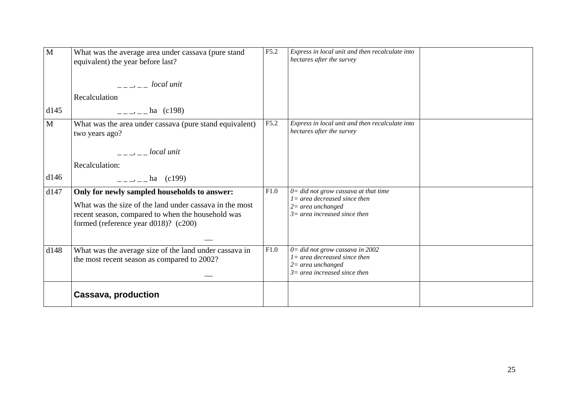| M            | What was the average area under cassava (pure stand<br>equivalent) the year before last?<br>$\frac{1}{2}$ $\frac{1}{2}$ $\frac{1}{2}$ $\frac{1}{2}$ $\frac{1}{2}$ $\frac{1}{2}$ $\frac{1}{2}$ $\frac{1}{2}$ $\frac{1}{2}$ $\frac{1}{2}$ $\frac{1}{2}$ $\frac{1}{2}$ $\frac{1}{2}$ $\frac{1}{2}$ $\frac{1}{2}$ $\frac{1}{2}$ $\frac{1}{2}$ $\frac{1}{2}$ $\frac{1}{2}$ $\frac{1}{2}$ $\frac{1}{2}$ $\frac{1}{2}$<br>Recalculation | F5.2 | Express in local unit and then recalculate into<br>hectares after the survey                                                        |  |
|--------------|----------------------------------------------------------------------------------------------------------------------------------------------------------------------------------------------------------------------------------------------------------------------------------------------------------------------------------------------------------------------------------------------------------------------------------|------|-------------------------------------------------------------------------------------------------------------------------------------|--|
| d145         | $=-\frac{1}{2}$ – ha (c198)                                                                                                                                                                                                                                                                                                                                                                                                      |      |                                                                                                                                     |  |
| $\mathbf{M}$ | What was the area under cassava (pure stand equivalent)<br>two years ago?                                                                                                                                                                                                                                                                                                                                                        | F5.2 | Express in local unit and then recalculate into<br>hectares after the survey                                                        |  |
|              | $\frac{1}{2}$ $\frac{1}{2}$ $\frac{1}{2}$ $\frac{1}{2}$ $\frac{1}{2}$ $\frac{1}{2}$ $\frac{1}{2}$ $\frac{1}{2}$ $\frac{1}{2}$ $\frac{1}{2}$ $\frac{1}{2}$ $\frac{1}{2}$ $\frac{1}{2}$ $\frac{1}{2}$ $\frac{1}{2}$ $\frac{1}{2}$ $\frac{1}{2}$ $\frac{1}{2}$ $\frac{1}{2}$ $\frac{1}{2}$ $\frac{1}{2}$ $\frac{1}{2}$                                                                                                              |      |                                                                                                                                     |  |
|              | Recalculation:                                                                                                                                                                                                                                                                                                                                                                                                                   |      |                                                                                                                                     |  |
| d146         | $=-\frac{1}{2}$ , $-\frac{1}{2}$ ha (c199)                                                                                                                                                                                                                                                                                                                                                                                       |      |                                                                                                                                     |  |
| d147         | Only for newly sampled households to answer:<br>What was the size of the land under cassava in the most<br>recent season, compared to when the household was<br>formed (reference year d018)? $(c200)$                                                                                                                                                                                                                           | F1.0 | $0 =$ did not grow cassava at that time<br>$l =$ area decreased since then<br>$2=$ area unchanged<br>$3=$ area increased since then |  |
| d148         | What was the average size of the land under cassava in<br>the most recent season as compared to 2002?                                                                                                                                                                                                                                                                                                                            | F1.0 | $0 =$ did not grow cassava in 2002<br>$l = area decreased since then$<br>$2$ = area unchanged<br>$3=$ area increased since then     |  |
|              | <b>Cassava, production</b>                                                                                                                                                                                                                                                                                                                                                                                                       |      |                                                                                                                                     |  |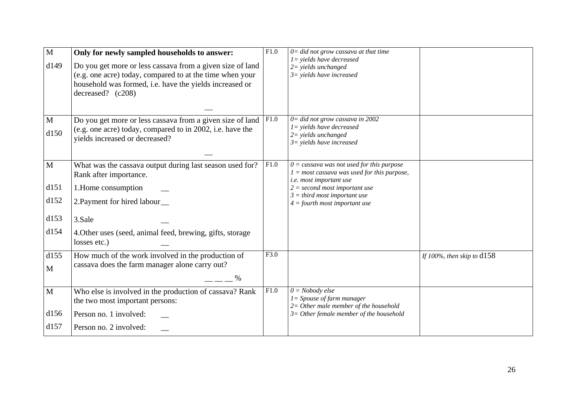| $\mathbf{M}$<br>d149                         | Only for newly sampled households to answer:<br>Do you get more or less cassava from a given size of land<br>(e.g. one acre) today, compared to at the time when your<br>household was formed, i.e. have the yields increased or<br>decreased? $(c208)$ | F1.0 | $0 =$ did not grow cassava at that time<br>$1 =$ yields have decreased<br>$2 =$ yields unchanged<br>$3 =$ yields have increased                                                                                                 |                              |
|----------------------------------------------|---------------------------------------------------------------------------------------------------------------------------------------------------------------------------------------------------------------------------------------------------------|------|---------------------------------------------------------------------------------------------------------------------------------------------------------------------------------------------------------------------------------|------------------------------|
| $\mathbf M$<br>d150                          | Do you get more or less cassava from a given size of land<br>(e.g. one acre) today, compared to in 2002, i.e. have the<br>yields increased or decreased?                                                                                                | F1.0 | $0 =$ did not grow cassava in 2002<br>$1 =$ yields have decreased<br>$2 =$ yields unchanged<br>$3 =$ yields have increased                                                                                                      |                              |
| $\mathbf{M}$<br>d151<br>d152<br>d153<br>d154 | What was the cassava output during last season used for?<br>Rank after importance.<br>1. Home consumption<br>2. Payment for hired labour_<br>3.Sale<br>4. Other uses (seed, animal feed, brewing, gifts, storage<br>losses etc.)                        | F1.0 | $0 =$ cassava was not used for this purpose<br>$1 = most$ cassava was used for this purpose,<br>i.e. most important use<br>$2 = second most important use$<br>$3 = third$ most important use<br>$4 =$ fourth most important use |                              |
| d155<br>M                                    | How much of the work involved in the production of<br>cassava does the farm manager alone carry out?<br>$\%$                                                                                                                                            | F3.0 |                                                                                                                                                                                                                                 | If 100%, then skip to $d158$ |
| $\mathbf{M}$<br>d156<br>d157                 | Who else is involved in the production of cassava? Rank<br>the two most important persons:<br>Person no. 1 involved:<br>Person no. 2 involved:                                                                                                          | F1.0 | $0 = Nobody$ else<br>$1 = Spouse of farm manager$<br>$2=$ Other male member of the household<br>$3=$ Other female member of the household                                                                                       |                              |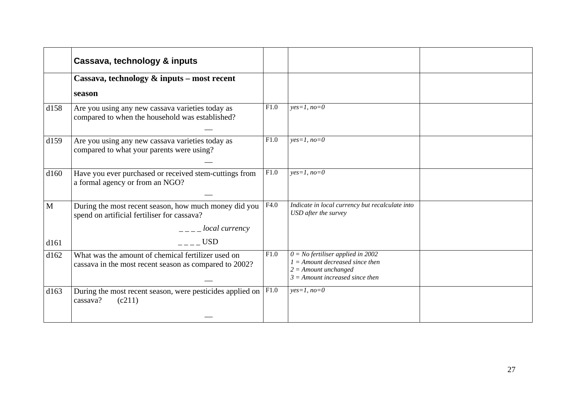|              | Cassava, technology & inputs                                                                                                                                                                                                                                                                                                                                                                                                |      |                                                                                                                                         |  |
|--------------|-----------------------------------------------------------------------------------------------------------------------------------------------------------------------------------------------------------------------------------------------------------------------------------------------------------------------------------------------------------------------------------------------------------------------------|------|-----------------------------------------------------------------------------------------------------------------------------------------|--|
|              | Cassava, technology $\&$ inputs – most recent                                                                                                                                                                                                                                                                                                                                                                               |      |                                                                                                                                         |  |
|              | season                                                                                                                                                                                                                                                                                                                                                                                                                      |      |                                                                                                                                         |  |
| d158         | Are you using any new cassava varieties today as<br>compared to when the household was established?                                                                                                                                                                                                                                                                                                                         | F1.0 | $yes=1, no=0$                                                                                                                           |  |
| d159         | Are you using any new cassava varieties today as<br>compared to what your parents were using?                                                                                                                                                                                                                                                                                                                               | F1.0 | $yes=1, no=0$                                                                                                                           |  |
| d160         | Have you ever purchased or received stem-cuttings from<br>a formal agency or from an NGO?                                                                                                                                                                                                                                                                                                                                   | F1.0 | $yes=1, no=0$                                                                                                                           |  |
| $\mathbf{M}$ | During the most recent season, how much money did you<br>spend on artificial fertiliser for cassava?<br>$\frac{1}{2}$ $\frac{1}{2}$ $\frac{1}{2}$ $\frac{1}{2}$ $\frac{1}{2}$ $\frac{1}{2}$ $\frac{1}{2}$ $\frac{1}{2}$ $\frac{1}{2}$ $\frac{1}{2}$ $\frac{1}{2}$ $\frac{1}{2}$ $\frac{1}{2}$ $\frac{1}{2}$ $\frac{1}{2}$ $\frac{1}{2}$ $\frac{1}{2}$ $\frac{1}{2}$ $\frac{1}{2}$ $\frac{1}{2}$ $\frac{1}{2}$ $\frac{1}{2}$ | F4.0 | Indicate in local currency but recalculate into<br>USD after the survey                                                                 |  |
| d161         | <b>USD</b>                                                                                                                                                                                                                                                                                                                                                                                                                  |      |                                                                                                                                         |  |
| d162         | What was the amount of chemical fertilizer used on<br>cassava in the most recent season as compared to 2002?                                                                                                                                                                                                                                                                                                                | F1.0 | $0 = No$ fertiliser applied in 2002<br>$1 =$ Amount decreased since then<br>$2 =$ Amount unchanged<br>$3 =$ Amount increased since then |  |
| d163         | During the most recent season, were pesticides applied on<br>cassava?<br>(c211)                                                                                                                                                                                                                                                                                                                                             | F1.0 | $yes=1, no=0$                                                                                                                           |  |
|              |                                                                                                                                                                                                                                                                                                                                                                                                                             |      |                                                                                                                                         |  |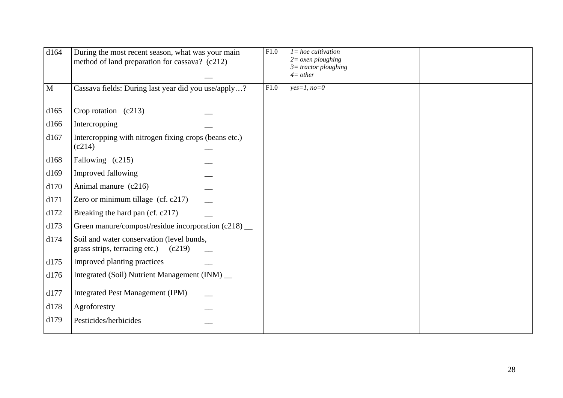|                                         | F1.0                                                                                                                                                                                                                                                                                                                                                                      | $l = hoe$ <i>cultivation</i><br>$2 = \alpha$ <i>sen ploughing</i><br>$3$ = tractor ploughing<br>$4=other$ |  |
|-----------------------------------------|---------------------------------------------------------------------------------------------------------------------------------------------------------------------------------------------------------------------------------------------------------------------------------------------------------------------------------------------------------------------------|-----------------------------------------------------------------------------------------------------------|--|
|                                         | F1.0                                                                                                                                                                                                                                                                                                                                                                      | $yes=1, no=0$                                                                                             |  |
| Crop rotation $(c213)$                  |                                                                                                                                                                                                                                                                                                                                                                           |                                                                                                           |  |
| Intercropping                           |                                                                                                                                                                                                                                                                                                                                                                           |                                                                                                           |  |
| (c214)                                  |                                                                                                                                                                                                                                                                                                                                                                           |                                                                                                           |  |
| Fallowing (c215)                        |                                                                                                                                                                                                                                                                                                                                                                           |                                                                                                           |  |
| Improved fallowing                      |                                                                                                                                                                                                                                                                                                                                                                           |                                                                                                           |  |
| Animal manure (c216)                    |                                                                                                                                                                                                                                                                                                                                                                           |                                                                                                           |  |
| Zero or minimum tillage (cf. c217)      |                                                                                                                                                                                                                                                                                                                                                                           |                                                                                                           |  |
| Breaking the hard pan (cf. c217)        |                                                                                                                                                                                                                                                                                                                                                                           |                                                                                                           |  |
|                                         |                                                                                                                                                                                                                                                                                                                                                                           |                                                                                                           |  |
| grass strips, terracing etc.)<br>(c219) |                                                                                                                                                                                                                                                                                                                                                                           |                                                                                                           |  |
| Improved planting practices             |                                                                                                                                                                                                                                                                                                                                                                           |                                                                                                           |  |
|                                         |                                                                                                                                                                                                                                                                                                                                                                           |                                                                                                           |  |
| <b>Integrated Pest Management (IPM)</b> |                                                                                                                                                                                                                                                                                                                                                                           |                                                                                                           |  |
| Agroforestry                            |                                                                                                                                                                                                                                                                                                                                                                           |                                                                                                           |  |
| Pesticides/herbicides                   |                                                                                                                                                                                                                                                                                                                                                                           |                                                                                                           |  |
|                                         | During the most recent season, what was your main<br>method of land preparation for cassava? (c212)<br>Cassava fields: During last year did you use/apply?<br>Intercropping with nitrogen fixing crops (beans etc.)<br>Green manure/compost/residue incorporation (c218) __<br>Soil and water conservation (level bunds,<br>Integrated (Soil) Nutrient Management (INM) _ |                                                                                                           |  |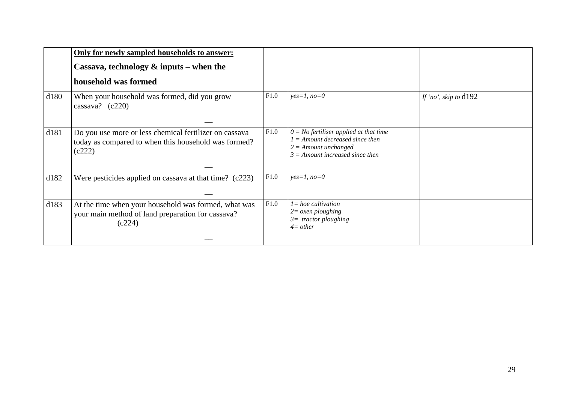|      | Only for newly sampled households to answer:<br>Cassava, technology $\&$ inputs – when the<br>household was formed       |      |                                                                                                                                              |                         |
|------|--------------------------------------------------------------------------------------------------------------------------|------|----------------------------------------------------------------------------------------------------------------------------------------------|-------------------------|
| d180 | When your household was formed, did you grow<br>cassava? $(c220)$                                                        | F1.0 | $yes=1, no=0$                                                                                                                                | If 'no', skip to $d192$ |
| d181 | Do you use more or less chemical fertilizer on cassava<br>today as compared to when this household was formed?<br>(c222) | F1.0 | $0 = No$ fertiliser applied at that time<br>$1 =$ Amount decreased since then<br>$2 =$ Amount unchanged<br>$3 =$ Amount increased since then |                         |
| d182 | Were pesticides applied on cassava at that time? (c223)                                                                  | F1.0 | $yes=1, no=0$                                                                                                                                |                         |
| d183 | At the time when your household was formed, what was<br>your main method of land preparation for cassava?<br>(c224)      | F1.0 | $l = hoe$ <i>cultivation</i><br>$2 = \alpha$ <i>zen ploughing</i><br>$3=$ tractor ploughing<br>$4=other$                                     |                         |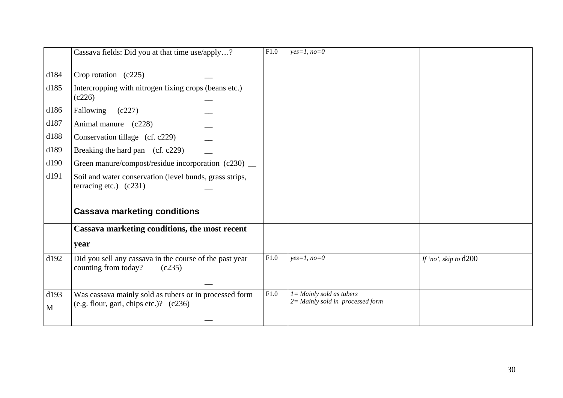|           | Cassava fields: Did you at that time use/apply?                                                    | F1.0 | $yes=1, no=0$                                                      |                         |
|-----------|----------------------------------------------------------------------------------------------------|------|--------------------------------------------------------------------|-------------------------|
| d184      | Crop rotation $(c225)$                                                                             |      |                                                                    |                         |
| d185      | Intercropping with nitrogen fixing crops (beans etc.)<br>(c226)                                    |      |                                                                    |                         |
| d186      | Fallowing (c227)                                                                                   |      |                                                                    |                         |
| d187      | Animal manure (c228)                                                                               |      |                                                                    |                         |
| d188      | Conservation tillage (cf. c229)                                                                    |      |                                                                    |                         |
| d189      | Breaking the hard pan (cf. c229)                                                                   |      |                                                                    |                         |
| d190      | Green manure/compost/residue incorporation (c230) _                                                |      |                                                                    |                         |
| d191      | Soil and water conservation (level bunds, grass strips,<br>terracing etc.) $(c231)$                |      |                                                                    |                         |
|           | <b>Cassava marketing conditions</b>                                                                |      |                                                                    |                         |
|           | Cassava marketing conditions, the most recent                                                      |      |                                                                    |                         |
|           | year                                                                                               |      |                                                                    |                         |
| d192      | Did you sell any cassava in the course of the past year<br>counting from today?<br>(c235)          | F1.0 | $yes=1, no=0$                                                      | If 'no', skip to $d200$ |
| d193<br>M | Was cassava mainly sold as tubers or in processed form<br>(e.g. flour, gari, chips etc.)? $(c236)$ | F1.0 | $I =$ Mainly sold as tubers<br>$2 =$ Mainly sold in processed form |                         |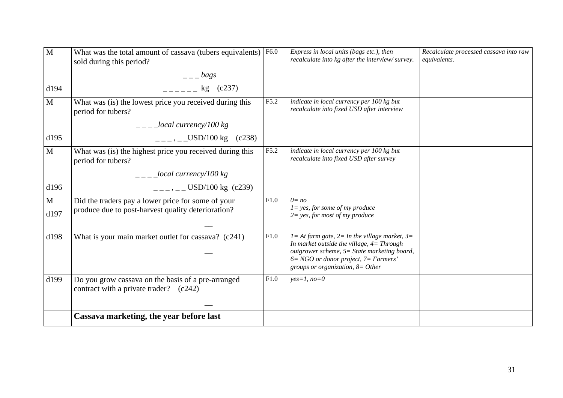| M            | What was the total amount of cassava (tubers equivalents)<br>sold during this period?        | F6.0 | Express in local units (bags etc.), then<br>recalculate into kg after the interview/survey.                                    | Recalculate processed cassava into raw<br>equivalents. |
|--------------|----------------------------------------------------------------------------------------------|------|--------------------------------------------------------------------------------------------------------------------------------|--------------------------------------------------------|
|              | $  \log s$                                                                                   |      |                                                                                                                                |                                                        |
| d194         | $-$ - $-$ kg (c237)                                                                          |      |                                                                                                                                |                                                        |
| $\mathbf{M}$ | What was (is) the lowest price you received during this<br>period for tubers?                | F5.2 | indicate in local currency per 100 kg but<br>recalculate into fixed USD after interview                                        |                                                        |
|              | $\frac{1}{2}$ - $\frac{1}{2}$ local currency/100 kg                                          |      |                                                                                                                                |                                                        |
| d195         | $---, ---USD/100$ kg (c238)                                                                  |      |                                                                                                                                |                                                        |
| $\mathbf{M}$ | What was (is) the highest price you received during this<br>period for tubers?               | F5.2 | indicate in local currency per 100 kg but<br>recalculate into fixed USD after survey                                           |                                                        |
|              | $\frac{1}{2}$ _ _ _ _ local currency/100 kg                                                  |      |                                                                                                                                |                                                        |
| d196         | $=-$ , $=-$ USD/100 kg (c239)                                                                |      |                                                                                                                                |                                                        |
| $\mathbf{M}$ | Did the traders pay a lower price for some of your                                           | F1.0 | $0 = no$<br>$l = yes$ , for some of my produce                                                                                 |                                                        |
| d197         | produce due to post-harvest quality deterioration?                                           |      | $2 = yes$ , for most of my produce                                                                                             |                                                        |
| d198         | What is your main market outlet for cassava? (c241)                                          | F1.0 | $I = At farm gate, 2 = In the village market, 3 =$<br>In market outside the village, $4=Through$                               |                                                        |
|              |                                                                                              |      | outgrower scheme, 5= State marketing board,<br>$6 = NGO$ or donor project, $7 = Farmers'$<br>groups or organization, $8=Other$ |                                                        |
| d199         | Do you grow cassava on the basis of a pre-arranged<br>contract with a private trader? (c242) | F1.0 | $yes=1, no=0$                                                                                                                  |                                                        |
|              |                                                                                              |      |                                                                                                                                |                                                        |
|              | Cassava marketing, the year before last                                                      |      |                                                                                                                                |                                                        |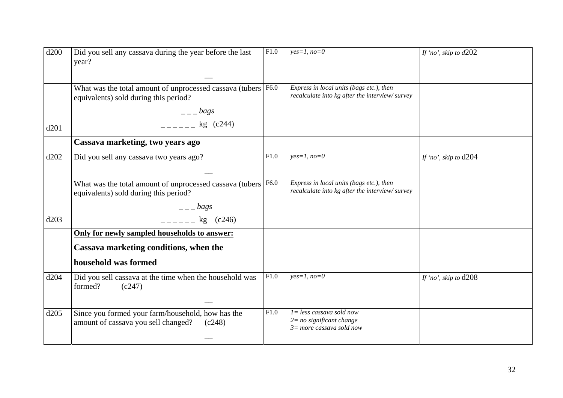| d200 | Did you sell any cassava during the year before the last<br>year?                                  | F1.0 | $yes=1, no=0$                                                                              | If 'no', skip to $d202$ |
|------|----------------------------------------------------------------------------------------------------|------|--------------------------------------------------------------------------------------------|-------------------------|
|      | What was the total amount of unprocessed cassava (tubers<br>equivalents) sold during this period?  | F6.0 | Express in local units (bags etc.), then<br>recalculate into kg after the interview/survey |                         |
|      | $  bags$                                                                                           |      |                                                                                            |                         |
| d201 | $-$ - - - - $\log$ (c244)                                                                          |      |                                                                                            |                         |
|      | Cassava marketing, two years ago                                                                   |      |                                                                                            |                         |
| d202 | Did you sell any cassava two years ago?                                                            | F1.0 | $yes=1, no=0$                                                                              | If 'no', skip to $d204$ |
|      | What was the total amount of unprocessed cassava (tubers<br>equivalents) sold during this period?  | F6.0 | Express in local units (bags etc.), then<br>recalculate into kg after the interview/survey |                         |
|      | $  \log s$                                                                                         |      |                                                                                            |                         |
| d203 | kg (c246)                                                                                          |      |                                                                                            |                         |
|      | Only for newly sampled households to answer:                                                       |      |                                                                                            |                         |
|      | Cassava marketing conditions, when the                                                             |      |                                                                                            |                         |
|      | household was formed                                                                               |      |                                                                                            |                         |
| d204 | Did you sell cassava at the time when the household was<br>formed?<br>(c247)                       | F1.0 | $yes=1, no=0$                                                                              | If 'no', skip to $d208$ |
| d205 | Since you formed your farm/household, how has the<br>amount of cassava you sell changed?<br>(c248) | F1.0 | $1 = less$ cassava sold now<br>$2 = no$ significant change<br>$3=$ more cassava sold now   |                         |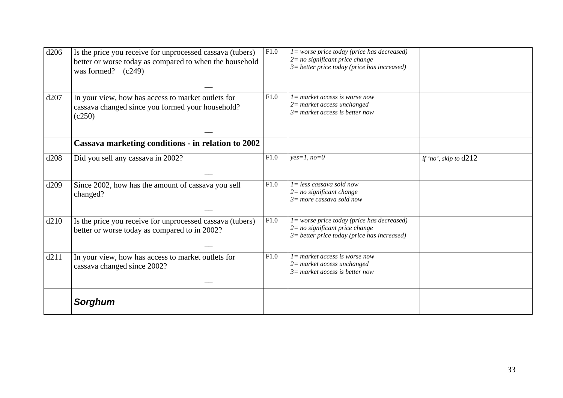| d206 | Is the price you receive for unprocessed cassava (tubers)<br>better or worse today as compared to when the household<br>was formed? $(c249)$ | F1.0 | $l = worse\ price\ today\ (price\ has\ decreased)$<br>$2=$ no significant price change<br>$3=$ better price today (price has increased) |                         |
|------|----------------------------------------------------------------------------------------------------------------------------------------------|------|-----------------------------------------------------------------------------------------------------------------------------------------|-------------------------|
| d207 | In your view, how has access to market outlets for<br>cassava changed since you formed your household?<br>(c250)                             | F1.0 | $l = market access$ is worse now<br>$2$ = market access unchanged<br>$3=$ market access is better now                                   |                         |
|      | Cassava marketing conditions - in relation to 2002                                                                                           |      |                                                                                                                                         |                         |
| d208 | Did you sell any cassava in 2002?                                                                                                            | F1.0 | $yes=1, no=0$                                                                                                                           | if 'no', skip to $d212$ |
| d209 | Since 2002, how has the amount of cassava you sell<br>changed?                                                                               | F1.0 | $I = less$ cassava sold now<br>$2 = no$ significant change<br>$3=$ more cassava sold now                                                |                         |
| d210 | Is the price you receive for unprocessed cassava (tubers)<br>better or worse today as compared to in 2002?                                   | F1.0 | $l = worse price today (price has decreased)$<br>$2 = no$ significant price change<br>$3$ = better price today (price has increased)    |                         |
| d211 | In your view, how has access to market outlets for<br>cassava changed since 2002?                                                            | F1.0 | $l =$ market access is worse now<br>$2$ = market access unchanged<br>$3=$ market access is better now                                   |                         |
|      | <b>Sorghum</b>                                                                                                                               |      |                                                                                                                                         |                         |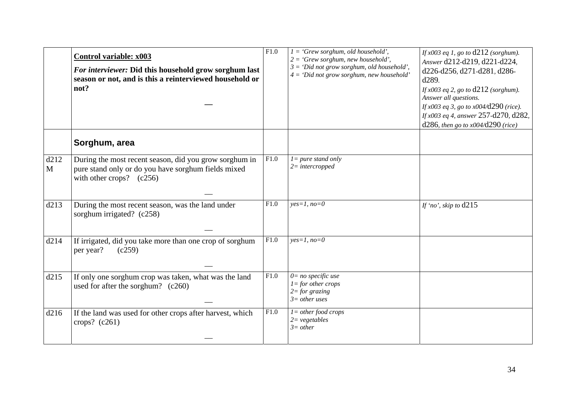|                      | <b>Control variable: x003</b><br>For interviewer: Did this household grow sorghum last<br>season or not, and is this a reinterviewed household or<br>not? | F1.0              | $I = 'Grew \, sorghum, old \, household'.$<br>$2 = 'Grew \, sorghum, new \, household'.$<br>$3 = 'Did not grow sorghum, old household'.$<br>$4 = 'Did not grow sorghum, new household'$ | If $x003$ eq 1, go to $d212$ (sorghum).<br>Answer d212-d219, d221-d224,<br>d226-d256, d271-d281, d286-<br>d289.<br>If $x003$ eq 2, go to $d212$ (sorghum).<br>Answer all questions.<br>If $x003$ eq 3, go to $x004$ /d290 (rice).<br>If x003 eq 4, answer 257-d270, d282,<br>$d286$ , then go to $x004/d290$ (rice) |
|----------------------|-----------------------------------------------------------------------------------------------------------------------------------------------------------|-------------------|-----------------------------------------------------------------------------------------------------------------------------------------------------------------------------------------|---------------------------------------------------------------------------------------------------------------------------------------------------------------------------------------------------------------------------------------------------------------------------------------------------------------------|
|                      | Sorghum, area                                                                                                                                             |                   |                                                                                                                                                                                         |                                                                                                                                                                                                                                                                                                                     |
| d212<br>$\mathbf{M}$ | During the most recent season, did you grow sorghum in<br>pure stand only or do you have sorghum fields mixed<br>with other crops? $(c256)$               | F1.0              | $l = pure$ stand only<br>$2=$ intercropped                                                                                                                                              |                                                                                                                                                                                                                                                                                                                     |
| d213                 | During the most recent season, was the land under<br>sorghum irrigated? (c258)                                                                            | F1.0              | $yes=1, no=0$                                                                                                                                                                           | If 'no', skip to $d215$                                                                                                                                                                                                                                                                                             |
| d214                 | If irrigated, did you take more than one crop of sorghum<br>per year?<br>(c259)                                                                           | $\overline{F1.0}$ | $yes=1, no=0$                                                                                                                                                                           |                                                                                                                                                                                                                                                                                                                     |
| d215                 | If only one sorghum crop was taken, what was the land<br>used for after the sorghum? (c260)                                                               | F1.0              | $0=$ no specific use<br>$l =$ for other crops<br>$2 = for$ grazing<br>$3=$ other uses                                                                                                   |                                                                                                                                                                                                                                                                                                                     |
| d216                 | If the land was used for other crops after harvest, which<br>crops? $(c261)$                                                                              | F1.0              | $l = other food crops$<br>$2 = vegetables$<br>$3=other$                                                                                                                                 |                                                                                                                                                                                                                                                                                                                     |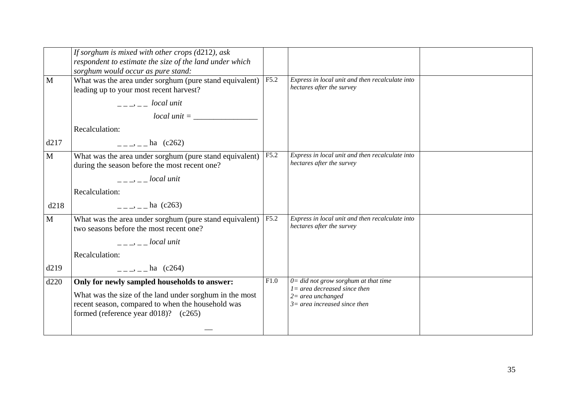|              | If sorghum is mixed with other crops $(d212)$ , ask<br>respondent to estimate the size of the land under which<br>sorghum would occur as pure stand:                                                                                                                                                      |      |                                                                              |  |
|--------------|-----------------------------------------------------------------------------------------------------------------------------------------------------------------------------------------------------------------------------------------------------------------------------------------------------------|------|------------------------------------------------------------------------------|--|
| M            | What was the area under sorghum (pure stand equivalent)<br>leading up to your most recent harvest?                                                                                                                                                                                                        | F5.2 | Express in local unit and then recalculate into<br>hectares after the survey |  |
|              | $-- local unit$                                                                                                                                                                                                                                                                                           |      |                                                                              |  |
|              |                                                                                                                                                                                                                                                                                                           |      |                                                                              |  |
|              | Recalculation:                                                                                                                                                                                                                                                                                            |      |                                                                              |  |
| d217         | $=-\frac{1}{2}$ – ha (c262)                                                                                                                                                                                                                                                                               |      |                                                                              |  |
| M            | What was the area under sorghum (pure stand equivalent)<br>during the season before the most recent one?                                                                                                                                                                                                  | F5.2 | Express in local unit and then recalculate into<br>hectares after the survey |  |
|              | <i>docal unit</i>                                                                                                                                                                                                                                                                                         |      |                                                                              |  |
|              | Recalculation:                                                                                                                                                                                                                                                                                            |      |                                                                              |  |
| d218         | $=-\frac{1}{2}$ – ha (c263)                                                                                                                                                                                                                                                                               |      |                                                                              |  |
| $\mathbf{M}$ | What was the area under sorghum (pure stand equivalent)<br>two seasons before the most recent one?                                                                                                                                                                                                        | F5.2 | Express in local unit and then recalculate into<br>hectares after the survey |  |
|              | $\frac{1}{2}$ = $\frac{1}{2}$ = $\frac{1}{2}$   $\frac{1}{2}$   $\frac{1}{2}$   $\frac{1}{2}$   $\frac{1}{2}$   $\frac{1}{2}$   $\frac{1}{2}$   $\frac{1}{2}$   $\frac{1}{2}$   $\frac{1}{2}$   $\frac{1}{2}$   $\frac{1}{2}$   $\frac{1}{2}$   $\frac{1}{2}$   $\frac{1}{2}$   $\frac{1}{2}$   $\frac{1$ |      |                                                                              |  |
|              | Recalculation:                                                                                                                                                                                                                                                                                            |      |                                                                              |  |
| d219         | $=-\frac{1}{2}$ – $\frac{1}{2}$ ha (c264)                                                                                                                                                                                                                                                                 |      |                                                                              |  |
| d220         | Only for newly sampled households to answer:                                                                                                                                                                                                                                                              | F1.0 | $0 =$ did not grow sorghum at that time<br>$l = area decreased since then$   |  |
|              | What was the size of the land under sorghum in the most                                                                                                                                                                                                                                                   |      | $2=$ area unchanged                                                          |  |
|              | recent season, compared to when the household was<br>formed (reference year d018)? $(c265)$                                                                                                                                                                                                               |      | $3=$ area increased since then                                               |  |
|              |                                                                                                                                                                                                                                                                                                           |      |                                                                              |  |
|              |                                                                                                                                                                                                                                                                                                           |      |                                                                              |  |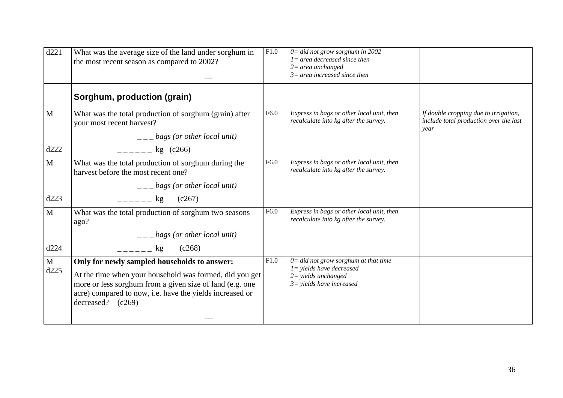| d221         | What was the average size of the land under sorghum in<br>the most recent season as compared to 2002?                                                                                                                                                  | F1.0 | $0 =$ did not grow sorghum in 2002<br>$l = area decreased since then$<br>$2$ = area unchanged<br>$3=$ area increased since then |                                                                                         |
|--------------|--------------------------------------------------------------------------------------------------------------------------------------------------------------------------------------------------------------------------------------------------------|------|---------------------------------------------------------------------------------------------------------------------------------|-----------------------------------------------------------------------------------------|
|              | Sorghum, production (grain)                                                                                                                                                                                                                            |      |                                                                                                                                 |                                                                                         |
| $\mathbf{M}$ | What was the total production of sorghum (grain) after<br>your most recent harvest?<br>$\frac{1}{1}$ = $\frac{1}{2}$ bags (or other local unit)                                                                                                        | F6.0 | Express in bags or other local unit, then<br>recalculate into kg after the survey.                                              | If double cropping due to irrigation,<br>include total production over the last<br>vear |
| d222         | $-$ - $-$ - $-$ kg (c266)                                                                                                                                                                                                                              |      |                                                                                                                                 |                                                                                         |
| $\mathbf{M}$ | What was the total production of sorghum during the<br>harvest before the most recent one?                                                                                                                                                             | F6.0 | Express in bags or other local unit, then<br>recalculate into kg after the survey.                                              |                                                                                         |
|              | $\frac{1}{1}$ = $\frac{1}{2}$ bags (or other local unit)                                                                                                                                                                                               |      |                                                                                                                                 |                                                                                         |
| d223         | $=  \log$<br>(c267)                                                                                                                                                                                                                                    |      |                                                                                                                                 |                                                                                         |
| $\mathbf{M}$ | What was the total production of sorghum two seasons<br>ago?                                                                                                                                                                                           | F6.0 | Express in bags or other local unit, then<br>recalculate into kg after the survey.                                              |                                                                                         |
|              | $\frac{1}{2}$ – $\frac{1}{2}$ bags (or other local unit)                                                                                                                                                                                               |      |                                                                                                                                 |                                                                                         |
| d224         | (c268)<br>kg                                                                                                                                                                                                                                           |      |                                                                                                                                 |                                                                                         |
| M<br>d225    | Only for newly sampled households to answer:<br>At the time when your household was formed, did you get<br>more or less sorghum from a given size of land (e.g. one<br>acre) compared to now, i.e. have the yields increased or<br>decreased? $(c269)$ | F1.0 | $0 =$ did not grow sorghum at that time<br>$1 =$ yields have decreased<br>$2 =$ yields unchanged<br>$3$ = yields have increased |                                                                                         |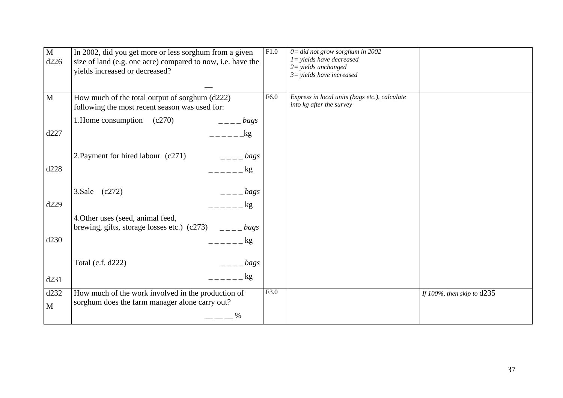| $\mathbf{M}$<br>d226 | In 2002, did you get more or less sorghum from a given<br>size of land (e.g. one acre) compared to now, i.e. have the<br>yields increased or decreased? | F1.0 | $0 =$ did not grow sorghum in 2002<br>$1 =$ yields have decreased<br>$2 =$ yields unchanged<br>$3$ = yields have increased |                              |
|----------------------|---------------------------------------------------------------------------------------------------------------------------------------------------------|------|----------------------------------------------------------------------------------------------------------------------------|------------------------------|
| $\mathbf{M}$         | How much of the total output of sorghum (d222)<br>following the most recent season was used for:                                                        | F6.0 | Express in local units (bags etc.), calculate<br>into kg after the survey                                                  |                              |
|                      | 1. Home consumption (c270)<br>$\frac{1}{2}$ = $\frac{1}{2}$ bags                                                                                        |      |                                                                                                                            |                              |
| d227                 |                                                                                                                                                         |      |                                                                                                                            |                              |
| d228                 | 2. Payment for hired labour (c271)<br>$   bags$<br>$     \log$                                                                                          |      |                                                                                                                            |                              |
| d229                 | 3.Sale (c272)<br>$   bags$<br>$  -$<br>kg                                                                                                               |      |                                                                                                                            |                              |
|                      | 4. Other uses (seed, animal feed,<br>brewing, gifts, storage losses etc.) (c273) $\qquad \qquad \qquad \_ \qquad \_ \_ \_ \_ \, bags$                   |      |                                                                                                                            |                              |
| d230                 | $     \frac{kg}{g}$                                                                                                                                     |      |                                                                                                                            |                              |
|                      | Total (c.f. d222)<br>$=-\frac{bags}{2}$                                                                                                                 |      |                                                                                                                            |                              |
| d231                 | kg                                                                                                                                                      |      |                                                                                                                            |                              |
| d232<br>M            | How much of the work involved in the production of<br>sorghum does the farm manager alone carry out?                                                    | F3.0 |                                                                                                                            | If 100%, then skip to $d235$ |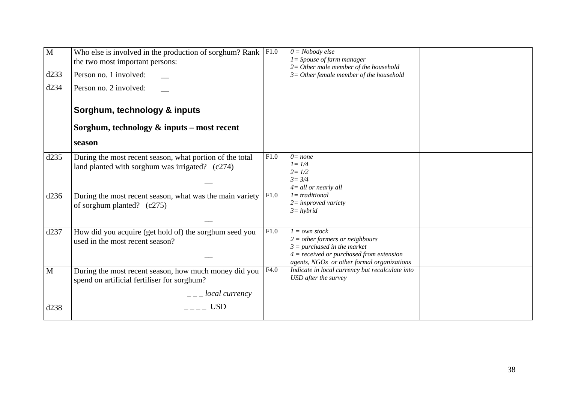| $\mathbf{M}$ | Who else is involved in the production of sorghum? Rank $ F1.0\rangle$<br>the two most important persons:   |      | $0 = Nobody$ else<br>$1 = Spouse of farm manager$<br>$2=$ Other male member of the household                                                                                         |  |
|--------------|-------------------------------------------------------------------------------------------------------------|------|--------------------------------------------------------------------------------------------------------------------------------------------------------------------------------------|--|
| d233         | Person no. 1 involved:                                                                                      |      | $3=$ Other female member of the household                                                                                                                                            |  |
| d234         | Person no. 2 involved:                                                                                      |      |                                                                                                                                                                                      |  |
|              | Sorghum, technology & inputs                                                                                |      |                                                                                                                                                                                      |  |
|              | Sorghum, technology $\&$ inputs – most recent                                                               |      |                                                                                                                                                                                      |  |
|              | season                                                                                                      |      |                                                                                                                                                                                      |  |
| d235         | During the most recent season, what portion of the total<br>land planted with sorghum was irrigated? (c274) | F1.0 | $0 = none$<br>$l = 1/4$<br>$2 = 1/2$<br>$3 = 3/4$<br>$4 =$ all or nearly all                                                                                                         |  |
| d236         | During the most recent season, what was the main variety<br>of sorghum planted? $(c275)$                    | F1.0 | $l = traditional$<br>$2 = improved\ variety$<br>$3 = hybrid$                                                                                                                         |  |
| d237         | How did you acquire (get hold of) the sorghum seed you<br>used in the most recent season?                   | F1.0 | $1 = own stock$<br>$2 = other farmers or neighborhoods$<br>$3 = purchased$ in the market<br>$4 = received$ or purchased from extension<br>agents, NGOs or other formal organizations |  |
| $\mathbf{M}$ | During the most recent season, how much money did you<br>spend on artificial fertiliser for sorghum?        | F4.0 | Indicate in local currency but recalculate into<br>USD after the survey                                                                                                              |  |
|              |                                                                                                             |      |                                                                                                                                                                                      |  |
| d238         | <b>USD</b>                                                                                                  |      |                                                                                                                                                                                      |  |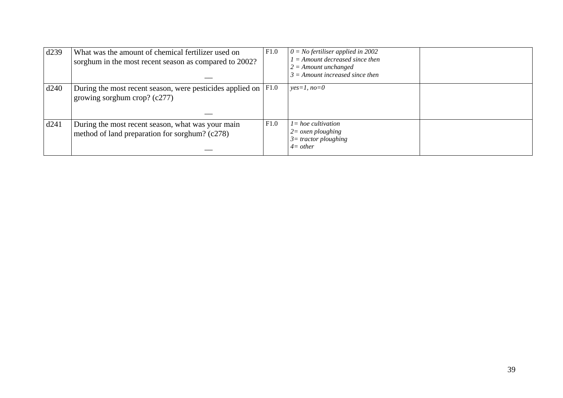| d239 | What was the amount of chemical fertilizer used on<br>sorghum in the most recent season as compared to 2002? | F1.0 | $0 = No$ fertiliser applied in 2002<br>$I =$ Amount decreased since then<br>$2 =$ Amount unchanged<br>$3 =$ Amount increased since then |  |
|------|--------------------------------------------------------------------------------------------------------------|------|-----------------------------------------------------------------------------------------------------------------------------------------|--|
| d240 | During the most recent season, were pesticides applied on  <br>growing sorghum crop? $(c277)$                | F1.0 | $yes=1, no=0$                                                                                                                           |  |
| d241 | During the most recent season, what was your main<br>method of land preparation for sorghum? (c278)          | F1.0 | $l = hoe$ cultivation<br>$2 = \alpha$ <i>zen ploughing</i><br>$3=$ tractor ploughing<br>$4=other$                                       |  |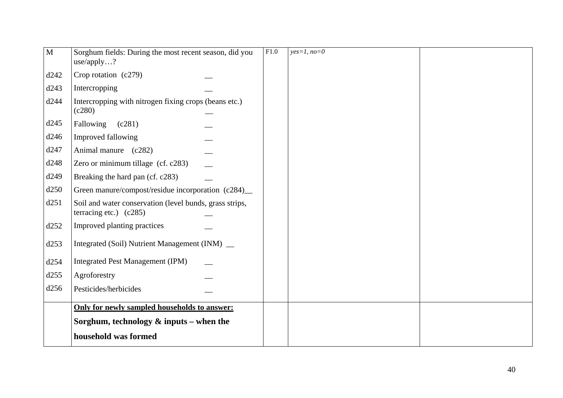| $\mathbf{M}$ | Sorghum fields: During the most recent season, did you<br>use/apply?                | F1.0 | $yes=1, no=0$ |  |
|--------------|-------------------------------------------------------------------------------------|------|---------------|--|
| d242         | Crop rotation $(c279)$                                                              |      |               |  |
| d243         | Intercropping                                                                       |      |               |  |
| d244         | Intercropping with nitrogen fixing crops (beans etc.)<br>(c280)                     |      |               |  |
| d245         | Fallowing<br>(c281)                                                                 |      |               |  |
| d246         | Improved fallowing                                                                  |      |               |  |
| d247         | Animal manure (c282)                                                                |      |               |  |
| d248         | Zero or minimum tillage (cf. c283)                                                  |      |               |  |
| d249         | Breaking the hard pan (cf. c283)                                                    |      |               |  |
| d250         | Green manure/compost/residue incorporation (c284)_                                  |      |               |  |
| d251         | Soil and water conservation (level bunds, grass strips,<br>terracing etc.) $(c285)$ |      |               |  |
| d252         | Improved planting practices                                                         |      |               |  |
| d253         | Integrated (Soil) Nutrient Management (INM) _                                       |      |               |  |
| d254         | <b>Integrated Pest Management (IPM)</b>                                             |      |               |  |
| d255         | Agroforestry                                                                        |      |               |  |
| d256         | Pesticides/herbicides                                                               |      |               |  |
|              | Only for newly sampled households to answer:                                        |      |               |  |
|              | Sorghum, technology $\&$ inputs – when the                                          |      |               |  |
|              | household was formed                                                                |      |               |  |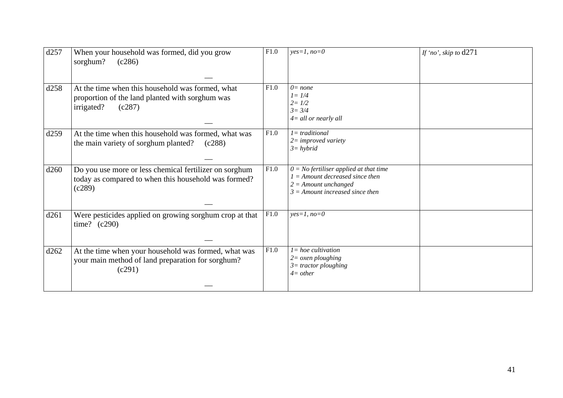| d257 | When your household was formed, did you grow<br>sorghum?<br>(c286)                                                          | F1.0 | $yes=1, no=0$                                                                                                                                | If 'no', skip to $d271$ |
|------|-----------------------------------------------------------------------------------------------------------------------------|------|----------------------------------------------------------------------------------------------------------------------------------------------|-------------------------|
| d258 | At the time when this household was formed, what<br>proportion of the land planted with sorghum was<br>irrigated?<br>(c287) | F1.0 | $0 = none$<br>$l = 1/4$<br>$2 = 1/2$<br>$3 = 3/4$<br>$4 =$ all or nearly all                                                                 |                         |
| d259 | At the time when this household was formed, what was<br>the main variety of sorghum planted?<br>(c288)                      | F1.0 | $l = traditional$<br>$2 = improved\ variety$<br>$3 = hybrid$                                                                                 |                         |
| d260 | Do you use more or less chemical fertilizer on sorghum<br>today as compared to when this household was formed?<br>(c289)    | F1.0 | $0 = No$ fertiliser applied at that time<br>$1 =$ Amount decreased since then<br>$2 =$ Amount unchanged<br>$3 =$ Amount increased since then |                         |
| d261 | Were pesticides applied on growing sorghum crop at that<br>time? $(c290)$                                                   | F1.0 | $yes=1, no=0$                                                                                                                                |                         |
| d262 | At the time when your household was formed, what was<br>your main method of land preparation for sorghum?<br>(c291)         | F1.0 | $l = hoe$ cultivation<br>$2 = \alpha$ <i>sen ploughing</i><br>$3 =$ tractor ploughing<br>$4=other$                                           |                         |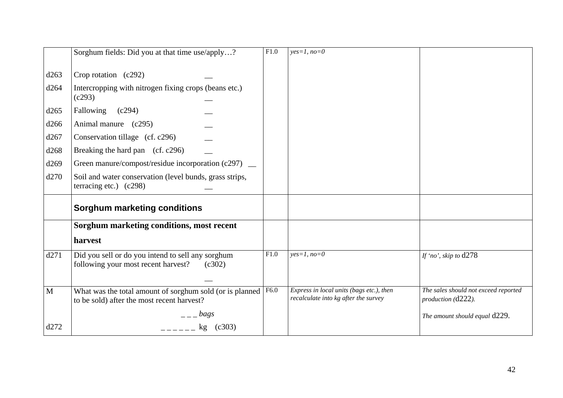|      | Sorghum fields: Did you at that time use/apply?                                                                       | F1.0 | $yes=1, no=0$                                                                    |                                                            |
|------|-----------------------------------------------------------------------------------------------------------------------|------|----------------------------------------------------------------------------------|------------------------------------------------------------|
| d263 | Crop rotation (c292)                                                                                                  |      |                                                                                  |                                                            |
| d264 | Intercropping with nitrogen fixing crops (beans etc.)<br>(c293)                                                       |      |                                                                                  |                                                            |
| d265 | Fallowing<br>(c294)                                                                                                   |      |                                                                                  |                                                            |
| d266 | Animal manure (c295)                                                                                                  |      |                                                                                  |                                                            |
| d267 | Conservation tillage (cf. c296)                                                                                       |      |                                                                                  |                                                            |
| d268 | Breaking the hard pan (cf. c296)                                                                                      |      |                                                                                  |                                                            |
| d269 | Green manure/compost/residue incorporation (c297) _                                                                   |      |                                                                                  |                                                            |
| d270 | Soil and water conservation (level bunds, grass strips,<br>terracing etc.) $(c298)$                                   |      |                                                                                  |                                                            |
|      | <b>Sorghum marketing conditions</b>                                                                                   |      |                                                                                  |                                                            |
|      | Sorghum marketing conditions, most recent                                                                             |      |                                                                                  |                                                            |
|      | harvest                                                                                                               |      |                                                                                  |                                                            |
| d271 | Did you sell or do you intend to sell any sorghum<br>following your most recent harvest?<br>(c302)                    | F1.0 | $yes=1, no=0$                                                                    | If 'no', skip to $d278$                                    |
| M    | What was the total amount of sorghum sold (or is planned $ F6.0\rangle$<br>to be sold) after the most recent harvest? |      | Express in local units (bags etc.), then<br>recalculate into kg after the survey | The sales should not exceed reported<br>production (d222). |
|      | $=-\log s$                                                                                                            |      |                                                                                  | The amount should equal d229.                              |
| d272 | kg (c303)                                                                                                             |      |                                                                                  |                                                            |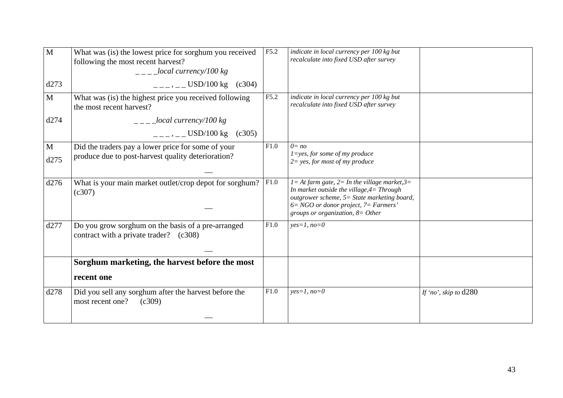| What was (is) the lowest price for sorghum you received<br>following the most recent harvest?<br>$\frac{1}{2}$ - $\frac{1}{2}$ local currency/100 kg<br>$---,---$ USD/100 kg (c304) | F5.2 | indicate in local currency per 100 kg but<br>recalculate into fixed USD after survey                                                                                                                                                    |                       |
|-------------------------------------------------------------------------------------------------------------------------------------------------------------------------------------|------|-----------------------------------------------------------------------------------------------------------------------------------------------------------------------------------------------------------------------------------------|-----------------------|
| What was (is) the highest price you received following<br>the most recent harvest?                                                                                                  | F5.2 | indicate in local currency per 100 kg but<br>recalculate into fixed USD after survey                                                                                                                                                    |                       |
| $\frac{1}{2}$ = $\frac{1}{2}$ local currency/100 kg<br>$\mu_{--}$ , $\mu_{--}$ USD/100 kg (c305)                                                                                    |      |                                                                                                                                                                                                                                         |                       |
| Did the traders pay a lower price for some of your<br>produce due to post-harvest quality deterioration?                                                                            | F1.0 | $0 = no$<br>$1 = yes$ , for some of my produce<br>$2 = yes$ , for most of my produce                                                                                                                                                    |                       |
| What is your main market outlet/crop depot for sorghum?<br>(c307)                                                                                                                   | F1.0 | $I = At$ farm gate, $2 = In$ the village market, $3 =$<br>In market outside the village, $4=$ Through<br>outgrower scheme, 5= State marketing board,<br>$6 = NGO$ or donor project, $7 = Farmers'$<br>groups or organization, $8=Other$ |                       |
| Do you grow sorghum on the basis of a pre-arranged<br>contract with a private trader? (c308)                                                                                        | F1.0 | $yes=1, no=0$                                                                                                                                                                                                                           |                       |
| Sorghum marketing, the harvest before the most                                                                                                                                      |      |                                                                                                                                                                                                                                         |                       |
| recent one                                                                                                                                                                          |      |                                                                                                                                                                                                                                         |                       |
| Did you sell any sorghum after the harvest before the<br>most recent one?<br>(c309)                                                                                                 | F1.0 | $yes=1, no=0$                                                                                                                                                                                                                           | If 'no', skip to d280 |
|                                                                                                                                                                                     |      |                                                                                                                                                                                                                                         |                       |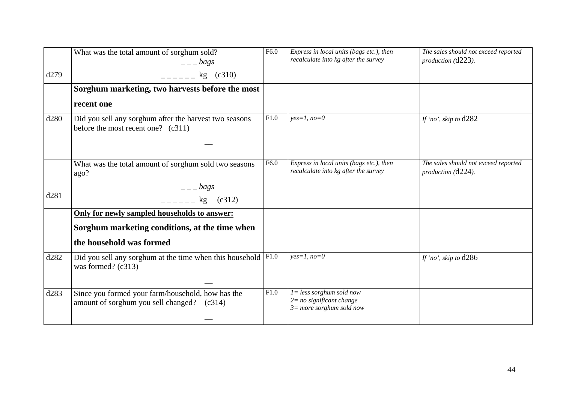|      | What was the total amount of sorghum sold?<br>$   bags$                                         | F6.0             | Express in local units (bags etc.), then<br>recalculate into kg after the survey         | The sales should not exceed reported<br>production (d223). |
|------|-------------------------------------------------------------------------------------------------|------------------|------------------------------------------------------------------------------------------|------------------------------------------------------------|
| d279 | $-- kg$ (c310)                                                                                  |                  |                                                                                          |                                                            |
|      | Sorghum marketing, two harvests before the most                                                 |                  |                                                                                          |                                                            |
|      | recent one                                                                                      |                  |                                                                                          |                                                            |
| d280 | Did you sell any sorghum after the harvest two seasons<br>before the most recent one? $(c311)$  | F1.0             | $yes=1, no=0$                                                                            | If 'no', skip to $d282$                                    |
|      |                                                                                                 |                  |                                                                                          |                                                            |
|      | What was the total amount of sorghum sold two seasons<br>ago?                                   | F <sub>6.0</sub> | Express in local units (bags etc.), then<br>recalculate into kg after the survey         | The sales should not exceed reported<br>production (d224). |
|      | $=-\frac{bags}{a}$                                                                              |                  |                                                                                          |                                                            |
| d281 | (c312)<br>$\frac{1}{2}$ kg                                                                      |                  |                                                                                          |                                                            |
|      | Only for newly sampled households to answer:                                                    |                  |                                                                                          |                                                            |
|      | Sorghum marketing conditions, at the time when                                                  |                  |                                                                                          |                                                            |
|      | the household was formed                                                                        |                  |                                                                                          |                                                            |
| d282 | Did you sell any sorghum at the time when this household $ F1.0\rangle$<br>was formed? (c313)   |                  | $yes=1, no=0$                                                                            | If 'no', skip to $d286$                                    |
|      |                                                                                                 |                  |                                                                                          |                                                            |
| d283 | Since you formed your farm/household, how has the<br>amount of sorghum you sell changed? (c314) | F1.0             | $l = less$ sorghum sold now<br>$2 = no$ significant change<br>$3=$ more sorghum sold now |                                                            |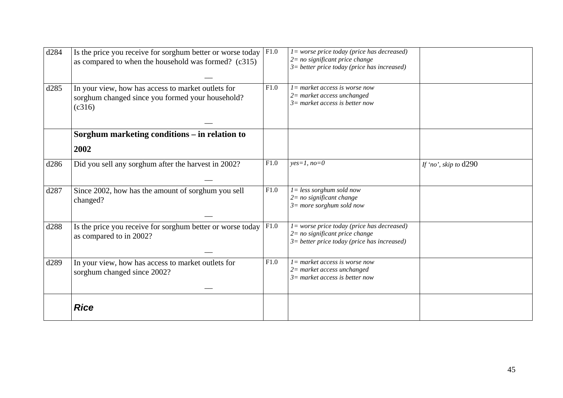| d284 | Is the price you receive for sorghum better or worse today<br>as compared to when the household was formed? (c315) | F1.0 | $l = worse$ price today (price has decreased)<br>$2=$ no significant price change<br>$3$ = better price today (price has increased) |                         |
|------|--------------------------------------------------------------------------------------------------------------------|------|-------------------------------------------------------------------------------------------------------------------------------------|-------------------------|
| d285 | In your view, how has access to market outlets for<br>sorghum changed since you formed your household?<br>(c316)   | F1.0 | $l =$ market access is worse now<br>$2$ = market access unchanged<br>$3=$ market access is better now                               |                         |
|      | Sorghum marketing conditions – in relation to                                                                      |      |                                                                                                                                     |                         |
|      | 2002                                                                                                               |      |                                                                                                                                     |                         |
| d286 | Did you sell any sorghum after the harvest in 2002?                                                                | F1.0 | $yes=1, no=0$                                                                                                                       | If 'no', skip to $d290$ |
| d287 | Since 2002, how has the amount of sorghum you sell<br>changed?                                                     | F1.0 | $1 = less$ sorghum sold now<br>$2 = no$ significant change<br>$3 = more$ sorghum sold now                                           |                         |
| d288 | Is the price you receive for sorghum better or worse today<br>as compared to in 2002?                              | F1.0 | $l = worse price today (price has decreased)$<br>$2=$ no significant price change<br>$3$ = better price today (price has increased) |                         |
| d289 | In your view, how has access to market outlets for<br>sorghum changed since 2002?                                  | F1.0 | $l =$ market access is worse now<br>$2$ = market access unchanged<br>$3=$ market access is better now                               |                         |
|      | <b>Rice</b>                                                                                                        |      |                                                                                                                                     |                         |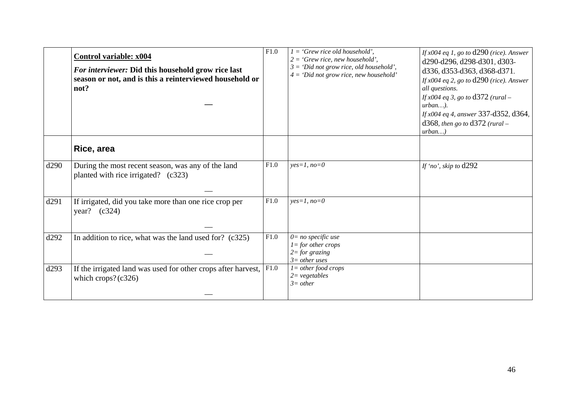|      | <b>Control variable: x004</b><br>For interviewer: Did this household grow rice last<br>season or not, and is this a reinterviewed household or<br>not? | F1.0 | $1 = 'Grew$ rice old household',<br>$2 = 'Grew$ rice, new household',<br>$3 = 'Did not grow rice, old household'.$<br>$4 = 'Did not grow rice, new household'$ | If $x004$ eq 1, go to $d290$ (rice). Answer<br>d290-d296, d298-d301, d303-<br>d336, d353-d363, d368-d371.<br>If $x004$ eq 2, go to $d290$ (rice). Answer<br>all questions.<br><i>If x004 eq 3, go to d372 (rural –</i><br>$urban$ ).<br>If x004 eq 4, answer 337-d352, d364,<br>d368, then go to d372 (rural –<br>$urban$ ) |
|------|--------------------------------------------------------------------------------------------------------------------------------------------------------|------|----------------------------------------------------------------------------------------------------------------------------------------------------------------|-----------------------------------------------------------------------------------------------------------------------------------------------------------------------------------------------------------------------------------------------------------------------------------------------------------------------------|
|      | Rice, area                                                                                                                                             |      |                                                                                                                                                                |                                                                                                                                                                                                                                                                                                                             |
| d290 | During the most recent season, was any of the land<br>planted with rice irrigated? (c323)                                                              | F1.0 | $yes=1, no=0$                                                                                                                                                  | If 'no', skip to $d292$                                                                                                                                                                                                                                                                                                     |
| d291 | If irrigated, did you take more than one rice crop per<br>year? $(c324)$                                                                               | F1.0 | $yes=1, no=0$                                                                                                                                                  |                                                                                                                                                                                                                                                                                                                             |
| d292 | In addition to rice, what was the land used for? $(c325)$                                                                                              | F1.0 | $0=$ no specific use<br>$1 =$ for other crops<br>$2 = for$ grazing<br>$3=$ other uses                                                                          |                                                                                                                                                                                                                                                                                                                             |
| d293 | If the irrigated land was used for other crops after harvest, $ F1.0\rangle$<br>which crops? $(c326)$                                                  |      | $l = other food crops$<br>$2 = vegetables$<br>$3=other$                                                                                                        |                                                                                                                                                                                                                                                                                                                             |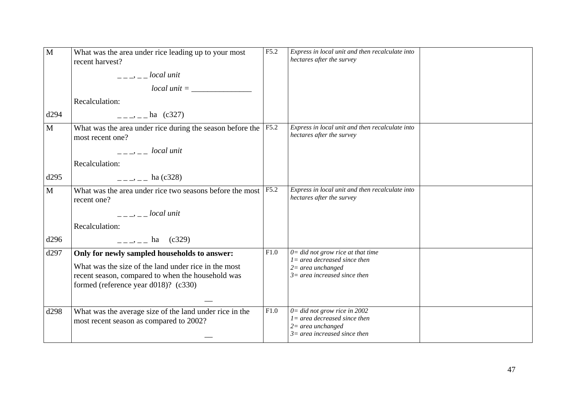| M            | What was the area under rice leading up to your most<br>recent harvest?<br>$---,---local unit$<br>$local unit =$<br>Recalculation:                                                                                                                                                                                                                                                                   | F5.2 | Express in local unit and then recalculate into<br>hectares after the survey                                                     |  |
|--------------|------------------------------------------------------------------------------------------------------------------------------------------------------------------------------------------------------------------------------------------------------------------------------------------------------------------------------------------------------------------------------------------------------|------|----------------------------------------------------------------------------------------------------------------------------------|--|
| d294         | $=-\frac{1}{2}$ – ha (c327)                                                                                                                                                                                                                                                                                                                                                                          |      |                                                                                                                                  |  |
| $\mathbf{M}$ | What was the area under rice during the season before the<br>most recent one?<br>$\frac{1}{2}$ $\frac{1}{2}$ $\frac{1}{2}$ $\frac{1}{2}$ $\frac{1}{2}$ $\frac{1}{2}$ $\frac{1}{2}$ $\frac{1}{2}$ $\frac{1}{2}$ $\frac{1}{2}$ $\frac{1}{2}$ $\frac{1}{2}$ $\frac{1}{2}$ $\frac{1}{2}$ $\frac{1}{2}$ $\frac{1}{2}$ $\frac{1}{2}$ $\frac{1}{2}$ $\frac{1}{2}$ $\frac{1}{2}$ $\frac{1}{2}$ $\frac{1}{2}$ | F5.2 | Express in local unit and then recalculate into<br>hectares after the survey                                                     |  |
| d295         | Recalculation:<br>$---,---$ ha (c328)                                                                                                                                                                                                                                                                                                                                                                |      |                                                                                                                                  |  |
| $\mathbf{M}$ | What was the area under rice two seasons before the most<br>recent one?                                                                                                                                                                                                                                                                                                                              | F5.2 | Express in local unit and then recalculate into<br>hectares after the survey                                                     |  |
|              | $-- Iocal unit$<br>Recalculation:                                                                                                                                                                                                                                                                                                                                                                    |      |                                                                                                                                  |  |
| d296         | $\frac{1}{2}$ - $\frac{1}{2}$ ha (c329)                                                                                                                                                                                                                                                                                                                                                              |      |                                                                                                                                  |  |
| d297         | Only for newly sampled households to answer:<br>What was the size of the land under rice in the most<br>recent season, compared to when the household was<br>formed (reference year d018)? (c330)                                                                                                                                                                                                    | F1.0 | $0 =$ did not grow rice at that time<br>$l = area decreased since then$<br>$2=$ area unchanged<br>$3=$ area increased since then |  |
| d298         | What was the average size of the land under rice in the<br>most recent season as compared to 2002?                                                                                                                                                                                                                                                                                                   | F1.0 | $0 =$ did not grow rice in 2002<br>$l = area decreased since then$<br>$2=area$ unchanged<br>$3=$ area increased since then       |  |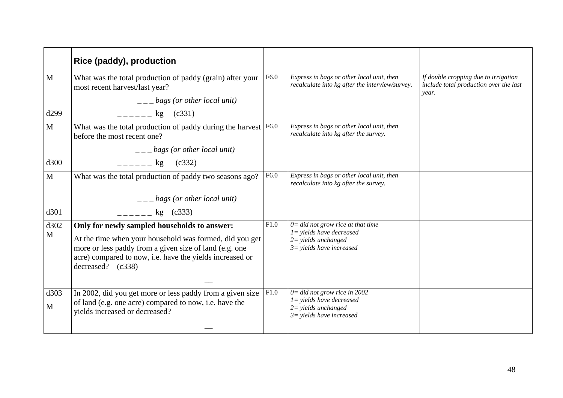|                      | Rice (paddy), production                                                                                                                                                                                                                           |      |                                                                                                                              |                                                                                         |
|----------------------|----------------------------------------------------------------------------------------------------------------------------------------------------------------------------------------------------------------------------------------------------|------|------------------------------------------------------------------------------------------------------------------------------|-----------------------------------------------------------------------------------------|
| M                    | What was the total production of paddy (grain) after your<br>most recent harvest/last year?                                                                                                                                                        | F6.0 | Express in bags or other local unit, then<br>recalculate into kg after the interview/survey.                                 | If double cropping due to irrigation<br>include total production over the last<br>year. |
|                      | $\frac{1}{1}$ - $\frac{1}{2}$ bags (or other local unit)                                                                                                                                                                                           |      |                                                                                                                              |                                                                                         |
| d299                 | $-$ - - - - $\log$ (c331)                                                                                                                                                                                                                          |      |                                                                                                                              |                                                                                         |
| $\mathbf{M}$         | What was the total production of paddy during the harvest   F6.0<br>before the most recent one?                                                                                                                                                    |      | Express in bags or other local unit, then<br>recalculate into kg after the survey.                                           |                                                                                         |
|                      | $\frac{1}{1}$ = $\frac{1}{2}$ bags (or other local unit)                                                                                                                                                                                           |      |                                                                                                                              |                                                                                         |
| d300                 | $=$ $=$ $=$ $ =$ $ \log$ (c332)                                                                                                                                                                                                                    |      |                                                                                                                              |                                                                                         |
| $\mathbf{M}$         | What was the total production of paddy two seasons ago?                                                                                                                                                                                            | F6.0 | Express in bags or other local unit, then<br>recalculate into kg after the survey.                                           |                                                                                         |
|                      | $\frac{1}{2}$ – $\frac{1}{2}$ bags (or other local unit)                                                                                                                                                                                           |      |                                                                                                                              |                                                                                         |
| d301                 | $\frac{1}{2}$ = $\frac{1}{2}$ = kg (c333)                                                                                                                                                                                                          |      |                                                                                                                              |                                                                                         |
| d302<br>$\mathbf{M}$ | Only for newly sampled households to answer:<br>At the time when your household was formed, did you get<br>more or less paddy from a given size of land (e.g. one<br>acre) compared to now, i.e. have the yields increased or<br>decreased? (c338) | F1.0 | $0 =$ did not grow rice at that time<br>$1 =$ yields have decreased<br>$2 = yields$ unchanged<br>$3 =$ yields have increased |                                                                                         |
| d303<br>M            | In 2002, did you get more or less paddy from a given size<br>of land (e.g. one acre) compared to now, i.e. have the<br>yields increased or decreased?                                                                                              | F1.0 | $0 =$ did not grow rice in 2002<br>$1 =$ yields have decreased<br>$2 =$ yields unchanged<br>$3 =$ yields have increased      |                                                                                         |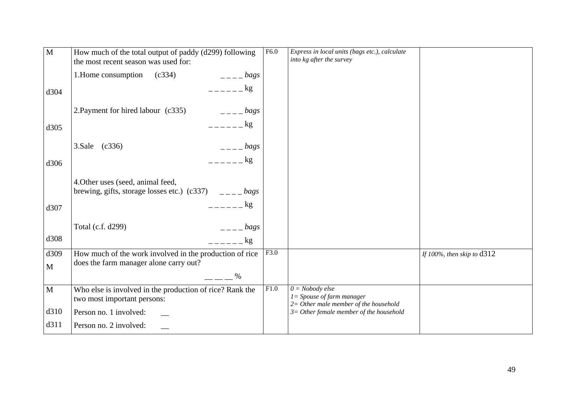| $\mathbf{M}$ | How much of the total output of paddy (d299) following<br>the most recent season was used for: | F6.0 | Express in local units (bags etc.), calculate<br>into kg after the survey                    |                              |
|--------------|------------------------------------------------------------------------------------------------|------|----------------------------------------------------------------------------------------------|------------------------------|
|              | 1. Home consumption<br>(c334)<br>$=-\frac{bags}{2}$                                            |      |                                                                                              |                              |
| d304         | $=   \log$                                                                                     |      |                                                                                              |                              |
|              | 2. Payment for hired labour (c335)<br>$---$ bags                                               |      |                                                                                              |                              |
| d305         | $=   \log$                                                                                     |      |                                                                                              |                              |
|              | (c336)<br>3.Sale<br>$=-\frac{bags}{2}$                                                         |      |                                                                                              |                              |
| d306         | $=-=-\frac{1}{2}$                                                                              |      |                                                                                              |                              |
|              | 4. Other uses (seed, animal feed,                                                              |      |                                                                                              |                              |
| d307         | kg                                                                                             |      |                                                                                              |                              |
|              | Total (c.f. d299)<br>$   bags$                                                                 |      |                                                                                              |                              |
| d308         | $=\frac{1}{2}$                                                                                 |      |                                                                                              |                              |
| d309         | How much of the work involved in the production of rice                                        | F3.0 |                                                                                              | If 100%, then skip to $d312$ |
| $\mathbf M$  | does the farm manager alone carry out?<br>$\%$                                                 |      |                                                                                              |                              |
| $\mathbf M$  | Who else is involved in the production of rice? Rank the<br>two most important persons:        | F1.0 | $0 = Nobody$ else<br>$I = Spouse of farm manager$<br>$2=$ Other male member of the household |                              |
| d310         | Person no. 1 involved:                                                                         |      | $3=$ Other female member of the household                                                    |                              |
| d311         | Person no. 2 involved:                                                                         |      |                                                                                              |                              |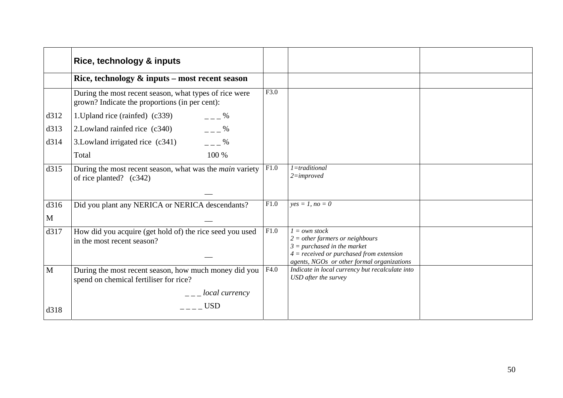|              | Rice, technology & inputs                                                                                      |      |                                                                                                                                                                                      |  |
|--------------|----------------------------------------------------------------------------------------------------------------|------|--------------------------------------------------------------------------------------------------------------------------------------------------------------------------------------|--|
|              | Rice, technology & inputs - most recent season                                                                 |      |                                                                                                                                                                                      |  |
|              | During the most recent season, what types of rice were<br>grown? Indicate the proportions (in per cent):       | F3.0 |                                                                                                                                                                                      |  |
| d312         | 1. Upland rice (rainfed) (c339) $\qquad \qquad \qquad = -2\%$                                                  |      |                                                                                                                                                                                      |  |
| d313         | $- - -$ %<br>2. Lowland rainfed rice (c340)                                                                    |      |                                                                                                                                                                                      |  |
| d314         | $- - -$ %<br>3. Lowland irrigated rice (c341)                                                                  |      |                                                                                                                                                                                      |  |
|              | 100 %<br>Total                                                                                                 |      |                                                                                                                                                                                      |  |
| d315         | During the most recent season, what was the <i>main</i> variety $ F1.0\rangle$<br>of rice planted? (c342)      |      | $1 = traditional$<br>$2 = improved$                                                                                                                                                  |  |
|              |                                                                                                                |      |                                                                                                                                                                                      |  |
| d316         | Did you plant any NERICA or NERICA descendants?                                                                | F1.0 | $yes = 1, no = 0$                                                                                                                                                                    |  |
| $\mathbf{M}$ |                                                                                                                |      |                                                                                                                                                                                      |  |
| d317         | How did you acquire (get hold of) the rice seed you used<br>in the most recent season?                         | F1.0 | $1 = own stock$<br>$2 = other farmers or neighborhoods$<br>$3 = purchased$ in the market<br>$4 = received$ or purchased from extension<br>agents, NGOs or other formal organizations |  |
| M            | During the most recent season, how much money did you $ F4.0\rangle$<br>spend on chemical fertiliser for rice? |      | Indicate in local currency but recalculate into<br>USD after the survey                                                                                                              |  |
|              | $\frac{1}{2}$ = $\frac{1}{2}$ local currency                                                                   |      |                                                                                                                                                                                      |  |
| d318         | <b>USD</b>                                                                                                     |      |                                                                                                                                                                                      |  |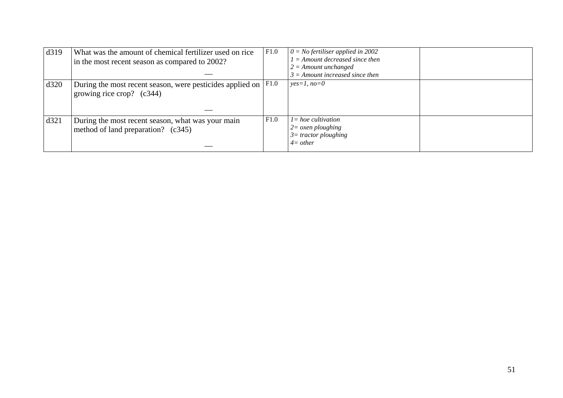| d319 | What was the amount of chemical fertilizer used on rice<br>in the most recent season as compared to 2002? | F1.0 | $0 = No$ fertiliser applied in 2002<br>$1 =$ Amount decreased since then<br>$2 =$ Amount unchanged<br>$3 =$ Amount increased since then |  |
|------|-----------------------------------------------------------------------------------------------------------|------|-----------------------------------------------------------------------------------------------------------------------------------------|--|
| d320 | During the most recent season, were pesticides applied on $ F1.0\rangle$<br>growing rice crop? $(c344)$   |      | $yes=1, no=0$                                                                                                                           |  |
| d321 | During the most recent season, what was your main<br>method of land preparation? (c345)                   | F1.0 | $l = hoe$ cultivation<br>$2 = \alpha$ <i>zen ploughing</i><br>$3=$ tractor ploughing<br>$4=other$                                       |  |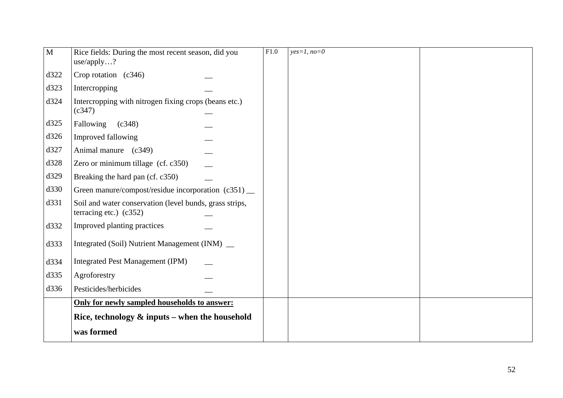| $\mathbf{M}$ | Rice fields: During the most recent season, did you<br>use/apply?                   | $\overline{F1.0}$ | $yes=1, no=0$ |  |
|--------------|-------------------------------------------------------------------------------------|-------------------|---------------|--|
| d322         | Crop rotation $(c346)$                                                              |                   |               |  |
| d323         | Intercropping                                                                       |                   |               |  |
| d324         | Intercropping with nitrogen fixing crops (beans etc.)<br>(c347)                     |                   |               |  |
| d325         | Fallowing<br>(c348)                                                                 |                   |               |  |
| d326         | Improved fallowing                                                                  |                   |               |  |
| d327         | Animal manure (c349)                                                                |                   |               |  |
| d328         | Zero or minimum tillage (cf. c350)                                                  |                   |               |  |
| d329         | Breaking the hard pan (cf. c350)                                                    |                   |               |  |
| d330         | Green manure/compost/residue incorporation (c351) __                                |                   |               |  |
| d331         | Soil and water conservation (level bunds, grass strips,<br>terracing etc.) $(c352)$ |                   |               |  |
| d332         | Improved planting practices                                                         |                   |               |  |
| d333         | Integrated (Soil) Nutrient Management (INM) _                                       |                   |               |  |
| d334         | Integrated Pest Management (IPM)                                                    |                   |               |  |
| d335         | Agroforestry                                                                        |                   |               |  |
| d336         | Pesticides/herbicides                                                               |                   |               |  |
|              | Only for newly sampled households to answer:                                        |                   |               |  |
|              | Rice, technology $\&$ inputs – when the household                                   |                   |               |  |
|              | was formed                                                                          |                   |               |  |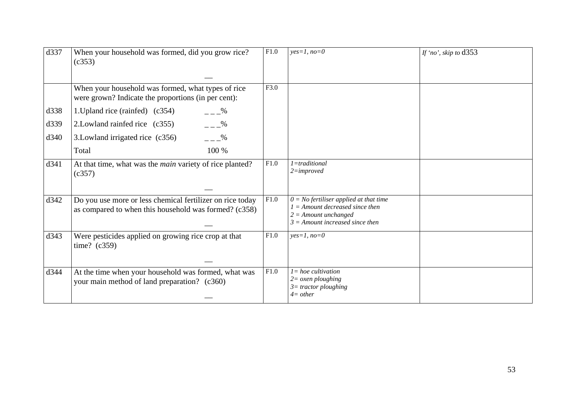| d337 | When your household was formed, did you grow rice?<br>(c353)                                                       | F1.0 | $yes=1, no=0$                                                                                                                                | If 'no', skip to d353 |
|------|--------------------------------------------------------------------------------------------------------------------|------|----------------------------------------------------------------------------------------------------------------------------------------------|-----------------------|
|      | When your household was formed, what types of rice<br>were grown? Indicate the proportions (in per cent):          | F3.0 |                                                                                                                                              |                       |
| d338 | 1. Upland rice (rainfed) (c354)<br>$- - \frac{9}{6}$                                                               |      |                                                                                                                                              |                       |
| d339 | $=-\frac{9}{6}$<br>2. Lowland rainfed rice (c355)                                                                  |      |                                                                                                                                              |                       |
| d340 | $= -\frac{9}{6}$<br>3. Lowland irrigated rice (c356)                                                               |      |                                                                                                                                              |                       |
|      | 100 %<br>Total                                                                                                     |      |                                                                                                                                              |                       |
| d341 | At that time, what was the <i>main</i> variety of rice planted?<br>(c357)                                          | F1.0 | 1=traditional<br>$2 = improved$                                                                                                              |                       |
| d342 | Do you use more or less chemical fertilizer on rice today<br>as compared to when this household was formed? (c358) | F1.0 | $0 = No$ fertiliser applied at that time<br>$1 =$ Amount decreased since then<br>$2 =$ Amount unchanged<br>$3 =$ Amount increased since then |                       |
| d343 | Were pesticides applied on growing rice crop at that<br>time? $(c359)$                                             | F1.0 | $yes=1, no=0$                                                                                                                                |                       |
| d344 | At the time when your household was formed, what was<br>your main method of land preparation? (c360)               | F1.0 | $l = hoe$ cultivation<br>$2 = \alpha$ <i>oxen ploughing</i><br>$3=$ tractor ploughing<br>$4=other$                                           |                       |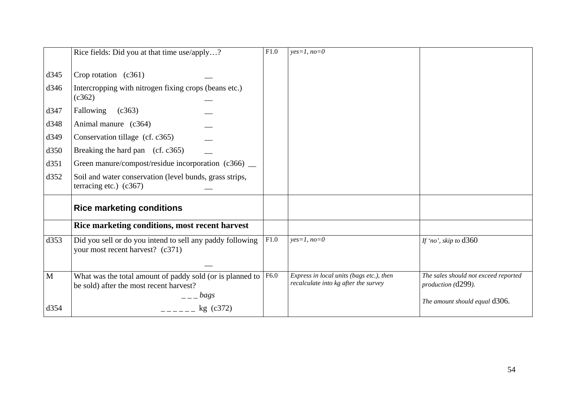|                                                              | Rice fields: Did you at that time use/apply?                                                                                                                                                                                                                                                                                                                    | F1.0 | $yes=1, no=0$                                                                    |                                                                                             |
|--------------------------------------------------------------|-----------------------------------------------------------------------------------------------------------------------------------------------------------------------------------------------------------------------------------------------------------------------------------------------------------------------------------------------------------------|------|----------------------------------------------------------------------------------|---------------------------------------------------------------------------------------------|
| d345<br>d346<br>d347<br>d348<br>d349<br>d350<br>d351<br>d352 | Crop rotation $(c361)$<br>Intercropping with nitrogen fixing crops (beans etc.)<br>(c362)<br>Fallowing<br>(c363)<br>Animal manure (c364)<br>Conservation tillage (cf. c365)<br>Breaking the hard pan (cf. c365)<br>Green manure/compost/residue incorporation $(c366)$ _<br>Soil and water conservation (level bunds, grass strips,<br>terracing etc.) $(c367)$ |      |                                                                                  |                                                                                             |
|                                                              | <b>Rice marketing conditions</b>                                                                                                                                                                                                                                                                                                                                |      |                                                                                  |                                                                                             |
|                                                              | Rice marketing conditions, most recent harvest                                                                                                                                                                                                                                                                                                                  |      |                                                                                  |                                                                                             |
| d353                                                         | Did you sell or do you intend to sell any paddy following<br>your most recent harvest? (c371)                                                                                                                                                                                                                                                                   | F1.0 | $yes=1, no=0$                                                                    | If 'no', skip to $d360$                                                                     |
| M<br>d354                                                    | What was the total amount of paddy sold (or is planned to $ F6.0\rangle$<br>be sold) after the most recent harvest?<br>$_{1}$ bags<br>$    -$ kg (c372)                                                                                                                                                                                                         |      | Express in local units (bags etc.), then<br>recalculate into kg after the survey | The sales should not exceed reported<br>production (d299).<br>The amount should equal d306. |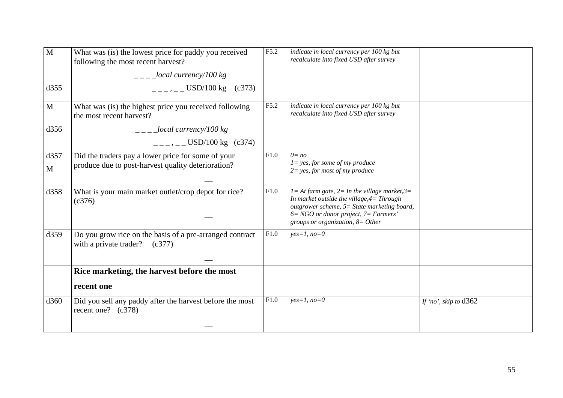| M<br>d355 | What was (is) the lowest price for paddy you received<br>following the most recent harvest?<br>$\frac{1}{2}$ - $\frac{1}{2}$ local currency/100 kg<br>$---, --- USD/100 kg$ (c373) | F5.2 | indicate in local currency per 100 kg but<br>recalculate into fixed USD after survey                                                                                                                                                |                         |
|-----------|------------------------------------------------------------------------------------------------------------------------------------------------------------------------------------|------|-------------------------------------------------------------------------------------------------------------------------------------------------------------------------------------------------------------------------------------|-------------------------|
| M         | What was (is) the highest price you received following<br>the most recent harvest?                                                                                                 | F5.2 | indicate in local currency per 100 kg but<br>recalculate into fixed USD after survey                                                                                                                                                |                         |
| d356      | $\frac{1}{2}$ - $\frac{1}{2}$ local currency/100 kg<br>$\mu = -$ , $\mu =$ USD/100 kg (c374)                                                                                       |      |                                                                                                                                                                                                                                     |                         |
| d357<br>M | Did the traders pay a lower price for some of your<br>produce due to post-harvest quality deterioration?                                                                           | F1.0 | $0 = no$<br>$l = yes$ , for some of my produce<br>$2 = yes$ , for most of my produce                                                                                                                                                |                         |
| d358      | What is your main market outlet/crop depot for rice?<br>(c376)                                                                                                                     | F1.0 | $l = At farm gate, 2 = In the village market, 3 =$<br>In market outside the village, $4=$ Through<br>outgrower scheme, 5= State marketing board,<br>$6 = NGO$ or donor project, $7 = Farmers'$<br>groups or organization, $8=Other$ |                         |
| d359      | Do you grow rice on the basis of a pre-arranged contract<br>with a private trader? $(c377)$                                                                                        | F1.0 | $yes=1, no=0$                                                                                                                                                                                                                       |                         |
|           | Rice marketing, the harvest before the most                                                                                                                                        |      |                                                                                                                                                                                                                                     |                         |
|           | recent one                                                                                                                                                                         |      |                                                                                                                                                                                                                                     |                         |
| d360      | Did you sell any paddy after the harvest before the most<br>recent one? $(c378)$                                                                                                   | F1.0 | $yes=1, no=0$                                                                                                                                                                                                                       | If 'no', skip to $d362$ |
|           |                                                                                                                                                                                    |      |                                                                                                                                                                                                                                     |                         |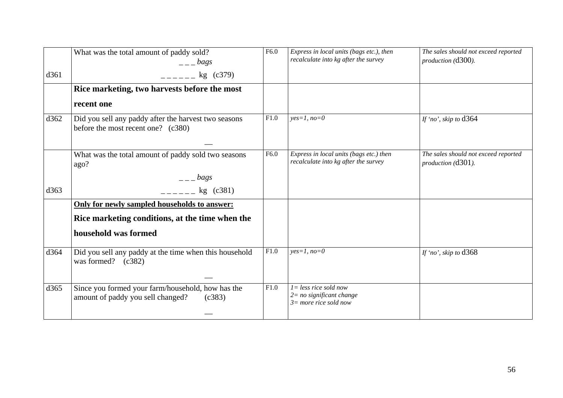|      | What was the total amount of paddy sold?<br>$=-\log s$                                           | F6.0 | Express in local units (bags etc.), then<br>recalculate into kg after the survey   | The sales should not exceed reported<br>production (d300). |
|------|--------------------------------------------------------------------------------------------------|------|------------------------------------------------------------------------------------|------------------------------------------------------------|
| d361 | $---$ kg (c379)                                                                                  |      |                                                                                    |                                                            |
|      | Rice marketing, two harvests before the most                                                     |      |                                                                                    |                                                            |
|      | recent one                                                                                       |      |                                                                                    |                                                            |
| d362 | Did you sell any paddy after the harvest two seasons<br>before the most recent one? (c380)       | F1.0 | $yes=1, no=0$                                                                      | If 'no', skip to d364                                      |
|      | What was the total amount of paddy sold two seasons<br>ago?                                      | F6.0 | Express in local units (bags etc.) then<br>recalculate into kg after the survey    | The sales should not exceed reported<br>production (d301). |
|      | $  bags$                                                                                         |      |                                                                                    |                                                            |
| d363 | $kg$ (c381)                                                                                      |      |                                                                                    |                                                            |
|      | Only for newly sampled households to answer:                                                     |      |                                                                                    |                                                            |
|      | Rice marketing conditions, at the time when the                                                  |      |                                                                                    |                                                            |
|      | household was formed                                                                             |      |                                                                                    |                                                            |
| d364 | Did you sell any paddy at the time when this household<br>was formed? $(c382)$                   | F1.0 | $yes=1, no=0$                                                                      | If 'no', skip to $d368$                                    |
|      |                                                                                                  |      |                                                                                    |                                                            |
| d365 | Since you formed your farm/household, how has the<br>amount of paddy you sell changed?<br>(c383) | F1.0 | $l = less rice sold now$<br>$2 = no$ significant change<br>$3=$ more rice sold now |                                                            |
|      |                                                                                                  |      |                                                                                    |                                                            |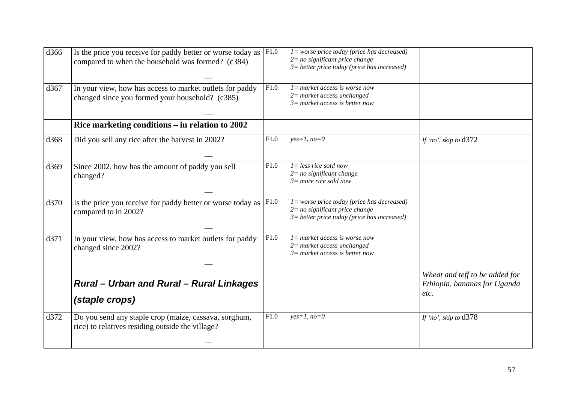| d366 | Is the price you receive for paddy better or worse today as<br>compared to when the household was formed? (c384) | F1.0 | $l = worse price today (price has decreased)$<br>$2=$ no significant price change<br>$3$ = better price today (price has increased) |                                                                        |
|------|------------------------------------------------------------------------------------------------------------------|------|-------------------------------------------------------------------------------------------------------------------------------------|------------------------------------------------------------------------|
| d367 | In your view, how has access to market outlets for paddy<br>changed since you formed your household? (c385)      | F1.0 | $l =$ market access is worse now<br>$2$ = market access unchanged<br>$3=$ market access is better now                               |                                                                        |
|      | Rice marketing conditions – in relation to 2002                                                                  |      |                                                                                                                                     |                                                                        |
| d368 | Did you sell any rice after the harvest in 2002?                                                                 | F1.0 | $yes=1, no=0$                                                                                                                       | If 'no', skip to $d372$                                                |
| d369 | Since 2002, how has the amount of paddy you sell<br>changed?                                                     | F1.0 | $I = less rice sold now$<br>$2=$ no significant change<br>$3=$ more rice sold now                                                   |                                                                        |
| d370 | Is the price you receive for paddy better or worse today as<br>compared to in 2002?                              | F1.0 | $l = worse price today (price has decreased)$<br>$2=$ no significant price change<br>$3$ = better price today (price has increased) |                                                                        |
| d371 | In your view, how has access to market outlets for paddy<br>changed since 2002?                                  | F1.0 | $l =$ market access is worse now<br>$2$ = market access unchanged<br>$3=$ market access is better now                               |                                                                        |
|      | <b>Rural - Urban and Rural - Rural Linkages</b><br>(staple crops)                                                |      |                                                                                                                                     | Wheat and teff to be added for<br>Ethiopia, bananas for Uganda<br>etc. |
| d372 | Do you send any staple crop (maize, cassava, sorghum,<br>rice) to relatives residing outside the village?        | F1.0 | $yes=1, no=0$                                                                                                                       | If 'no', skip to $d378$                                                |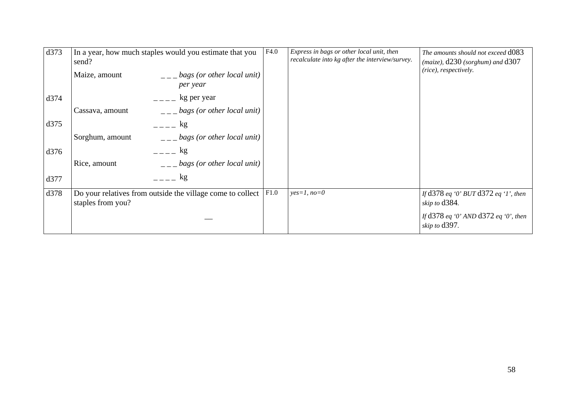| d373 | In a year, how much staples would you estimate that you<br>send?                | F4.0 | Express in bags or other local unit, then<br>recalculate into kg after the interview/survey. | The amounts should not exceed d083<br>$(maize)$ , $d230$ (sorghum) and $d307$ |
|------|---------------------------------------------------------------------------------|------|----------------------------------------------------------------------------------------------|-------------------------------------------------------------------------------|
|      | bags (or other local unit)<br>Maize, amount<br>per year                         |      |                                                                                              | (rice), respectively.                                                         |
| d374 | kg per year                                                                     |      |                                                                                              |                                                                               |
|      | bags (or other local unit)<br>Cassava, amount                                   |      |                                                                                              |                                                                               |
| d375 | $=-\frac{1}{2}$                                                                 |      |                                                                                              |                                                                               |
|      | bags (or other local unit)<br>Sorghum, amount                                   |      |                                                                                              |                                                                               |
| d376 | $=$ $\mathbf{kg}$                                                               |      |                                                                                              |                                                                               |
|      | bags (or other local unit)<br>Rice, amount                                      |      |                                                                                              |                                                                               |
| d377 | kg                                                                              |      |                                                                                              |                                                                               |
| d378 | Do your relatives from outside the village come to collect<br>staples from you? | F1.0 | $yes=1, no=0$                                                                                | If d378 eq '0' BUT d372 eq '1', then<br>skip to d384.                         |
|      |                                                                                 |      |                                                                                              | If d378 eq '0' AND d372 eq '0', then<br>skip to d397.                         |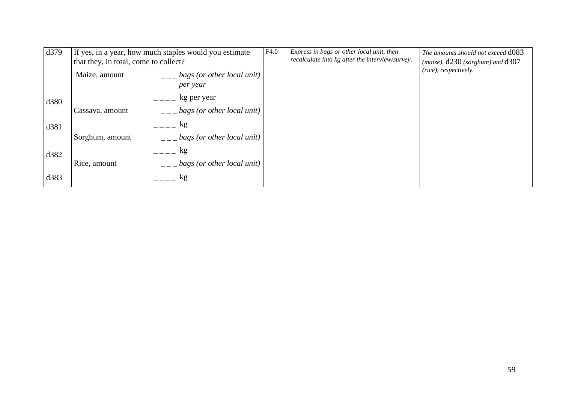| d379 | If yes, in a year, how much staples would you estimate<br>that they, in total, come to collect? |                                        | F4.0 | Express in bags or other local unit, then<br>recalculate into kg after the interview/survey. | The amounts should not exceed d083<br>$(maize), d230$ (sorghum) and $d307$ |
|------|-------------------------------------------------------------------------------------------------|----------------------------------------|------|----------------------------------------------------------------------------------------------|----------------------------------------------------------------------------|
|      | Maize, amount                                                                                   | bags (or other local unit)<br>per year |      |                                                                                              | (rice), respectively.                                                      |
| d380 |                                                                                                 | kg per year                            |      |                                                                                              |                                                                            |
|      | Cassava, amount                                                                                 | bags (or other local unit)             |      |                                                                                              |                                                                            |
| d381 |                                                                                                 | kg                                     |      |                                                                                              |                                                                            |
|      | Sorghum, amount                                                                                 | bags (or other local unit)             |      |                                                                                              |                                                                            |
| d382 |                                                                                                 | kg                                     |      |                                                                                              |                                                                            |
|      | Rice, amount                                                                                    | bags (or other local unit)             |      |                                                                                              |                                                                            |
| d383 |                                                                                                 | kg                                     |      |                                                                                              |                                                                            |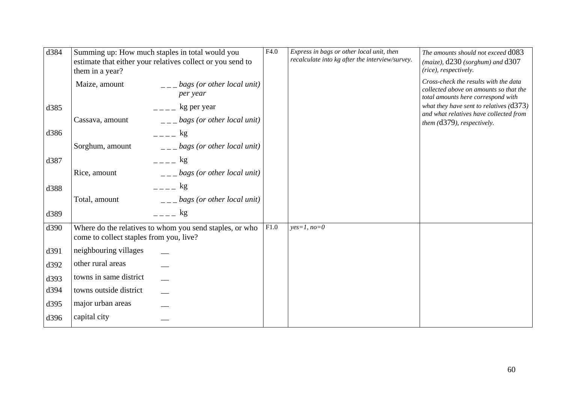| d384 | Summing up: How much staples in total would you<br>estimate that either your relatives collect or you send to<br>them in a year? |                                                                      | F4.0 | Express in bags or other local unit, then<br>recalculate into kg after the interview/survey. | The amounts should not exceed d083<br>(maize), d230 (sorghum) and d307<br>(rice), respectively.                       |
|------|----------------------------------------------------------------------------------------------------------------------------------|----------------------------------------------------------------------|------|----------------------------------------------------------------------------------------------|-----------------------------------------------------------------------------------------------------------------------|
|      | Maize, amount                                                                                                                    | $\frac{1}{1}$ = $\frac{1}{2}$ bags (or other local unit)<br>per year |      |                                                                                              | Cross-check the results with the data<br>collected above on amounts so that the<br>total amounts here correspond with |
| d385 |                                                                                                                                  | $---$ kg per year                                                    |      |                                                                                              | what they have sent to relatives $(d373)$                                                                             |
|      | Cassava, amount                                                                                                                  | $\frac{1}{1}$ = $\frac{1}{2}$ bags (or other local unit)             |      |                                                                                              | and what relatives have collected from<br>them (d379), respectively.                                                  |
| d386 |                                                                                                                                  | $=  \log$                                                            |      |                                                                                              |                                                                                                                       |
|      | Sorghum, amount                                                                                                                  | $\mu_{--}$ bags (or other local unit)                                |      |                                                                                              |                                                                                                                       |
| d387 |                                                                                                                                  | $   \mathbf{kg}$                                                     |      |                                                                                              |                                                                                                                       |
|      | Rice, amount                                                                                                                     | $\frac{1}{1}$ = $\frac{1}{2}$ bags (or other local unit)             |      |                                                                                              |                                                                                                                       |
| d388 |                                                                                                                                  | $   \mathop{\rm kg}$                                                 |      |                                                                                              |                                                                                                                       |
|      | Total, amount                                                                                                                    | $\frac{1}{1}$ = $\frac{1}{2}$ bags (or other local unit)             |      |                                                                                              |                                                                                                                       |
| d389 |                                                                                                                                  | $  -$ kg                                                             |      |                                                                                              |                                                                                                                       |
| d390 | come to collect staples from you, live?                                                                                          | Where do the relatives to whom you send staples, or who              | F1.0 | $yes=1, no=0$                                                                                |                                                                                                                       |
| d391 | neighbouring villages                                                                                                            |                                                                      |      |                                                                                              |                                                                                                                       |
| d392 | other rural areas                                                                                                                |                                                                      |      |                                                                                              |                                                                                                                       |
| d393 | towns in same district                                                                                                           |                                                                      |      |                                                                                              |                                                                                                                       |
| d394 | towns outside district                                                                                                           |                                                                      |      |                                                                                              |                                                                                                                       |
| d395 | major urban areas                                                                                                                |                                                                      |      |                                                                                              |                                                                                                                       |
| d396 | capital city                                                                                                                     |                                                                      |      |                                                                                              |                                                                                                                       |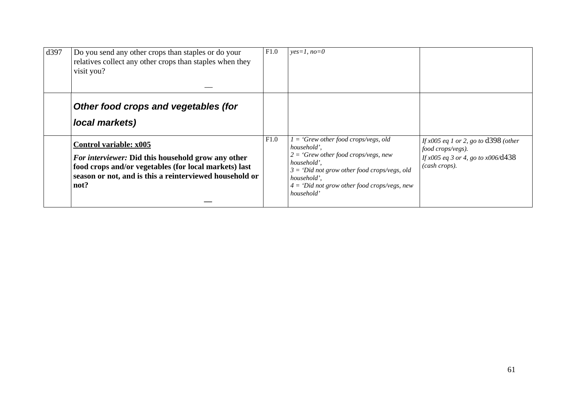| d397 | Do you send any other crops than staples or do your<br>relatives collect any other crops than staples when they<br>visit you?                                                                            | F1.0 | $yes=1, no=0$                                                                                                                                                                                                                                   |                                                                                                                                         |
|------|----------------------------------------------------------------------------------------------------------------------------------------------------------------------------------------------------------|------|-------------------------------------------------------------------------------------------------------------------------------------------------------------------------------------------------------------------------------------------------|-----------------------------------------------------------------------------------------------------------------------------------------|
|      | Other food crops and vegetables (for<br>local markets)                                                                                                                                                   |      |                                                                                                                                                                                                                                                 |                                                                                                                                         |
|      | Control variable: x005<br>For interviewer: Did this household grow any other<br>food crops and/or vegetables (for local markets) last<br>season or not, and is this a reinterviewed household or<br>not? | F1.0 | $1 = 'Grew other food crops/veys, old$<br>household',<br>$2 = 'Grew other food crops/veys, new$<br>household',<br>$3 = 'Did$ not grow other food crops/vegs, old<br>household',<br>$4 =$ 'Did not grow other food crops/vegs, new<br>household' | If $x005$ eq 1 or 2, go to $\frac{1398}{\text{other}}$<br>food crops/vegs).<br>If $x005$ eq 3 or 4, go to $x006$ /d438<br>(cash crops). |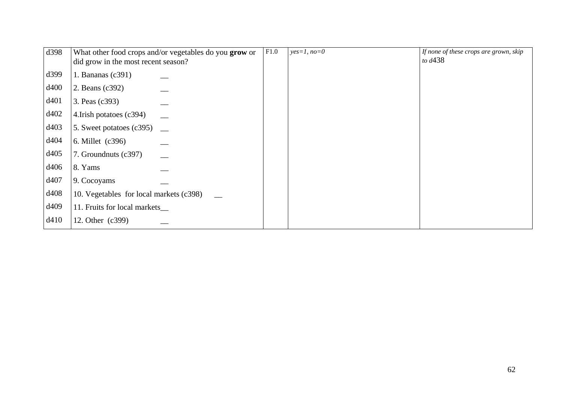| d398 | What other food crops and/or vegetables do you grow or<br>did grow in the most recent season? | F1.0 | $yes=1, no=0$ | If none of these crops are grown, skip<br>to $d438$ |
|------|-----------------------------------------------------------------------------------------------|------|---------------|-----------------------------------------------------|
| d399 | 1. Bananas $(c391)$                                                                           |      |               |                                                     |
| d400 | 2. Beans (c392)                                                                               |      |               |                                                     |
| d401 | 3. Peas (c393)                                                                                |      |               |                                                     |
| d402 | 4. Irish potatoes (c394)                                                                      |      |               |                                                     |
| d403 | 5. Sweet potatoes (c395)                                                                      |      |               |                                                     |
| d404 | 6. Millet (c396)                                                                              |      |               |                                                     |
| d405 | 7. Groundnuts (c397)                                                                          |      |               |                                                     |
| d406 | 8. Yams                                                                                       |      |               |                                                     |
| d407 | 9. Cocoyams                                                                                   |      |               |                                                     |
| d408 | 10. Vegetables for local markets (c398)                                                       |      |               |                                                     |
| d409 | 11. Fruits for local markets                                                                  |      |               |                                                     |
| d410 | 12. Other (c399)                                                                              |      |               |                                                     |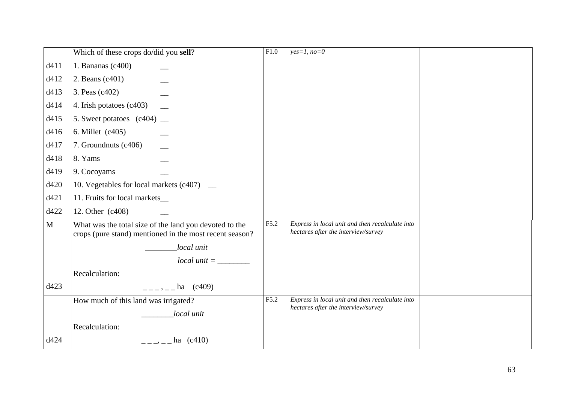|              | Which of these crops do/did you sell?                                                                             | F1.0 | $yes=1, no=0$                                                                          |  |
|--------------|-------------------------------------------------------------------------------------------------------------------|------|----------------------------------------------------------------------------------------|--|
| d411         | 1. Bananas $(c400)$                                                                                               |      |                                                                                        |  |
| d412         | 2. Beans (c401)                                                                                                   |      |                                                                                        |  |
| d413         | 3. Peas (c402)                                                                                                    |      |                                                                                        |  |
| d414         | 4. Irish potatoes (c403)                                                                                          |      |                                                                                        |  |
| d415         | 5. Sweet potatoes $(c404)$ $\_\_$                                                                                 |      |                                                                                        |  |
| d416         | 6. Millet (c405)                                                                                                  |      |                                                                                        |  |
| d417         | 7. Groundnuts (c406)                                                                                              |      |                                                                                        |  |
| d418         | 8. Yams                                                                                                           |      |                                                                                        |  |
| d419         | 9. Cocoyams                                                                                                       |      |                                                                                        |  |
| d420         | 10. Vegetables for local markets (c407) _                                                                         |      |                                                                                        |  |
| d421         | 11. Fruits for local markets_                                                                                     |      |                                                                                        |  |
| d422         | 12. Other (c408)                                                                                                  |      |                                                                                        |  |
| $\mathbf{M}$ | What was the total size of the land you devoted to the<br>crops (pure stand) mentioned in the most recent season? | F5.2 | Express in local unit and then recalculate into<br>hectares after the interview/survey |  |
|              | local unit                                                                                                        |      |                                                                                        |  |
|              | $local unit = \_$                                                                                                 |      |                                                                                        |  |
|              | Recalculation:                                                                                                    |      |                                                                                        |  |
| d423         | $---,---$ ha (c409)                                                                                               |      |                                                                                        |  |
|              | How much of this land was irrigated?                                                                              | F5.2 | Express in local unit and then recalculate into<br>hectares after the interview/survey |  |
|              | local unit                                                                                                        |      |                                                                                        |  |
|              | Recalculation:                                                                                                    |      |                                                                                        |  |
| d424         | $---,---$ ha (c410)                                                                                               |      |                                                                                        |  |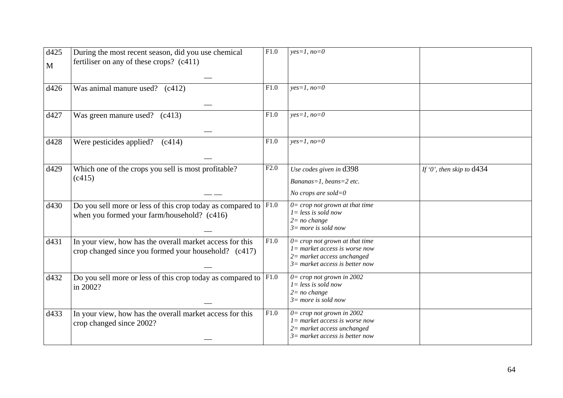| d425<br>$\mathbf{M}$ | During the most recent season, did you use chemical<br>fertiliser on any of these crops? (c411)                          | $\overline{F1.0}$ | $yes=1, no=0$                                                                                                                                     |                             |
|----------------------|--------------------------------------------------------------------------------------------------------------------------|-------------------|---------------------------------------------------------------------------------------------------------------------------------------------------|-----------------------------|
| d426                 | Was animal manure used? (c412)                                                                                           | F1.0              | $yes=1, no=0$                                                                                                                                     |                             |
| d427                 | Was green manure used? (c413)                                                                                            | F1.0              | $yes=1, no=0$                                                                                                                                     |                             |
| d428                 | Were pesticides applied? $(c414)$                                                                                        | F1.0              | $yes=1, no=0$                                                                                                                                     |                             |
| d429                 | Which one of the crops you sell is most profitable?<br>(c415)                                                            | F2.0              | Use codes given in d398<br>Bananas=1, beans=2 etc.<br>No crops are sold= $0$                                                                      | If '0', then skip to $d434$ |
| d430                 | Do you sell more or less of this crop today as compared to $ F1.0\rangle$<br>when you formed your farm/household? (c416) |                   | $0 = \text{crop not grown at that time}$<br>$l = less$ is sold now<br>$2 = no change$<br>$3=$ more is sold now                                    |                             |
| d431                 | In your view, how has the overall market access for this<br>crop changed since you formed your household? (c417)         | F1.0              | $0 = \text{crop not grown at that time}$<br>$l =$ market access is worse now<br>$2$ = market access unchanged<br>$3=$ market access is better now |                             |
| d432                 | Do you sell more or less of this crop today as compared to $ F1.0\rangle$<br>in 2002?                                    |                   | $0 =$ crop not grown in 2002<br>$l = less$ is sold now<br>$2=no$ change<br>$3=$ more is sold now                                                  |                             |
| d433                 | In your view, how has the overall market access for this<br>crop changed since 2002?                                     | F1.0              | $0 =$ crop not grown in 2002<br>$l =$ market access is worse now<br>$2$ = market access unchanged<br>$3=$ market access is better now             |                             |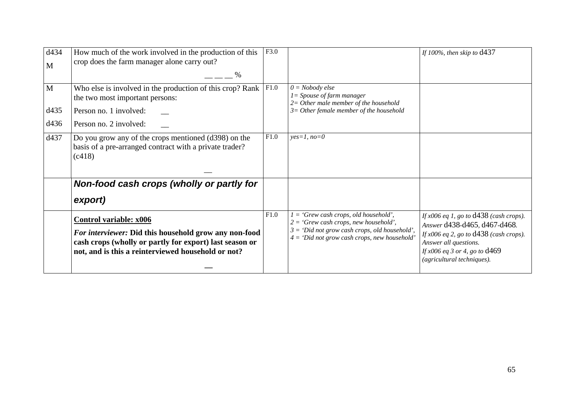| d434<br>M | How much of the work involved in the production of this<br>crop does the farm manager alone carry out?                                                                                                  | F3.0 |                                                                                                                                                                                       | If 100%, then skip to $d437$                                                                                                                                                                                         |
|-----------|---------------------------------------------------------------------------------------------------------------------------------------------------------------------------------------------------------|------|---------------------------------------------------------------------------------------------------------------------------------------------------------------------------------------|----------------------------------------------------------------------------------------------------------------------------------------------------------------------------------------------------------------------|
|           |                                                                                                                                                                                                         |      |                                                                                                                                                                                       |                                                                                                                                                                                                                      |
| M         | Who else is involved in the production of this crop? Rank<br>the two most important persons:                                                                                                            | F1.0 | $0 = Nobody$ else<br>$I = Spouse of farm manager$                                                                                                                                     |                                                                                                                                                                                                                      |
| d435      | Person no. 1 involved:                                                                                                                                                                                  |      | $2=$ Other male member of the household<br>$3=$ Other female member of the household                                                                                                  |                                                                                                                                                                                                                      |
| d436      | Person no. 2 involved:                                                                                                                                                                                  |      |                                                                                                                                                                                       |                                                                                                                                                                                                                      |
| d437      | Do you grow any of the crops mentioned (d398) on the<br>basis of a pre-arranged contract with a private trader?<br>(c418)                                                                               | F1.0 | $yes=1, no=0$                                                                                                                                                                         |                                                                                                                                                                                                                      |
|           | Non-food cash crops (wholly or partly for                                                                                                                                                               |      |                                                                                                                                                                                       |                                                                                                                                                                                                                      |
|           | export)                                                                                                                                                                                                 |      |                                                                                                                                                                                       |                                                                                                                                                                                                                      |
|           | <b>Control variable: x006</b><br>For interviewer: Did this household grow any non-food<br>cash crops (wholly or partly for export) last season or<br>not, and is this a reinterviewed household or not? | F1.0 | $=$ 'Grew cash crops, old household',<br>$2 = 'Grew$ cash crops, new household',<br>$3 = 'Did not grow cash crops, old household',$<br>$4 = 'Did not grow cash crops, new household'$ | If $x006$ eq 1, go to $d438$ (cash crops).<br>Answer d438-d465, d467-d468.<br>If $x006$ eq 2, go to $d438$ (cash crops).<br>Answer all questions.<br>If $x006$ eq 3 or 4, go to $d469$<br>(agricultural techniques). |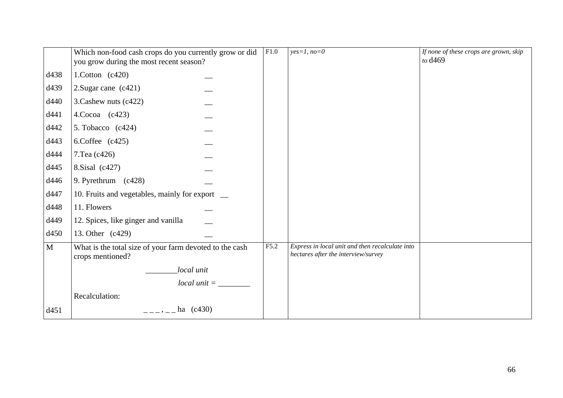|              | Which non-food cash crops do you currently grow or did<br>you grow during the most recent season? | F1.0 | $yes=1, no=0$                                                                          | If none of these crops are grown, skip<br>to d <sub>469</sub> |
|--------------|---------------------------------------------------------------------------------------------------|------|----------------------------------------------------------------------------------------|---------------------------------------------------------------|
| d438         | 1. Cotton $(c420)$                                                                                |      |                                                                                        |                                                               |
| d439         | 2. Sugar cane $(c421)$                                                                            |      |                                                                                        |                                                               |
| d440         | 3. Cashew nuts (c422)                                                                             |      |                                                                                        |                                                               |
| d441         | $4$ .Cocoa (c423)                                                                                 |      |                                                                                        |                                                               |
| d442         | 5. Tobacco $(c424)$                                                                               |      |                                                                                        |                                                               |
| d443         | 6.Coffee $(c425)$                                                                                 |      |                                                                                        |                                                               |
| d444         | 7. Tea (c426)                                                                                     |      |                                                                                        |                                                               |
| d445         | 8. Sisal (c427)                                                                                   |      |                                                                                        |                                                               |
| d446         | 9. Pyrethrum (c428)                                                                               |      |                                                                                        |                                                               |
| d447         | 10. Fruits and vegetables, mainly for export _                                                    |      |                                                                                        |                                                               |
| d448         | 11. Flowers                                                                                       |      |                                                                                        |                                                               |
| d449         | 12. Spices, like ginger and vanilla                                                               |      |                                                                                        |                                                               |
| d450         | 13. Other (c429)                                                                                  |      |                                                                                        |                                                               |
| $\mathbf{M}$ | What is the total size of your farm devoted to the cash<br>crops mentioned?                       | F5.2 | Express in local unit and then recalculate into<br>hectares after the interview/survey |                                                               |
|              | local unit                                                                                        |      |                                                                                        |                                                               |
|              | $local unit =$                                                                                    |      |                                                                                        |                                                               |
|              | Recalculation:                                                                                    |      |                                                                                        |                                                               |
| d451         | $---,---$ ha (c430)                                                                               |      |                                                                                        |                                                               |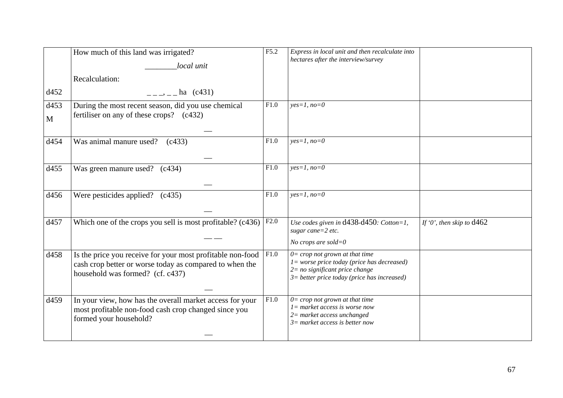| d452                 | How much of this land was irrigated?<br>local unit<br>Recalculation:<br>$\frac{1}{2}$ , $\frac{1}{2}$ , $\frac{1}{2}$ , $\frac{1}{2}$ (c431)              | F5.2 | Express in local unit and then recalculate into<br>hectares after the interview/survey                                                                                    |                             |
|----------------------|-----------------------------------------------------------------------------------------------------------------------------------------------------------|------|---------------------------------------------------------------------------------------------------------------------------------------------------------------------------|-----------------------------|
| d453<br>$\mathbf{M}$ | During the most recent season, did you use chemical<br>fertiliser on any of these crops? (c432)                                                           | F1.0 | $yes=1, no=0$                                                                                                                                                             |                             |
| d454                 | Was animal manure used?<br>(c433)                                                                                                                         | F1.0 | $yes=1, no=0$                                                                                                                                                             |                             |
| d455                 | Was green manure used? (c434)                                                                                                                             | F1.0 | $yes=1, no=0$                                                                                                                                                             |                             |
| d456                 | Were pesticides applied? $(c435)$                                                                                                                         | F1.0 | $yes=1, no=0$                                                                                                                                                             |                             |
| d457                 | Which one of the crops you sell is most profitable? (c436)                                                                                                | F2.0 | Use codes given in $d438-d450$ : Cotton=1,<br>sugar cane= $2$ etc.<br>No crops are sold= $0$                                                                              | If '0', then skip to $d462$ |
| d458                 | Is the price you receive for your most profitable non-food<br>cash crop better or worse today as compared to when the<br>household was formed? (cf. c437) | F1.0 | $0 =$ crop not grown at that time<br>$l = worse price today (price has decreased)$<br>$2 = no$ significant price change<br>$3$ = better price today (price has increased) |                             |
| d459                 | In your view, how has the overall market access for your<br>most profitable non-food cash crop changed since you<br>formed your household?                | F1.0 | $0=$ crop not grown at that time<br>$l =$ market access is worse now<br>$2$ = market access unchanged<br>$3=$ market access is better now                                 |                             |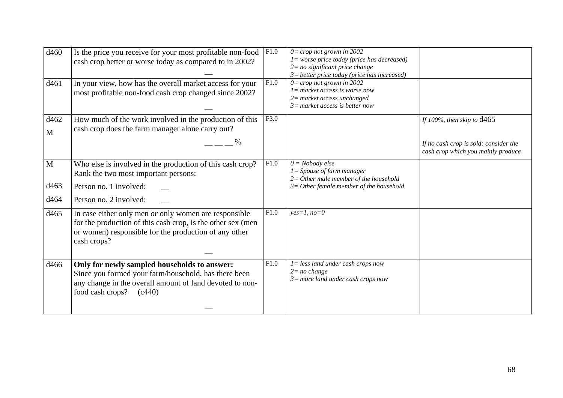| d460<br>d461                 | Is the price you receive for your most profitable non-food<br>cash crop better or worse today as compared to in 2002?<br>In your view, how has the overall market access for your<br>most profitable non-food cash crop changed since 2002? | F1.0<br>F1.0 | $0 =$ crop not grown in 2002<br>$l = worse price today (price has decreased)$<br>$2=$ no significant price change<br>$3$ = better price today (price has increased)<br>$0 =$ crop not grown in 2002<br>$l =$ market access is worse now<br>$2$ = market access unchanged<br>$3=$ market access is better now |                                                                                                             |
|------------------------------|---------------------------------------------------------------------------------------------------------------------------------------------------------------------------------------------------------------------------------------------|--------------|--------------------------------------------------------------------------------------------------------------------------------------------------------------------------------------------------------------------------------------------------------------------------------------------------------------|-------------------------------------------------------------------------------------------------------------|
| d462<br>$\mathbf{M}$         | How much of the work involved in the production of this<br>cash crop does the farm manager alone carry out?                                                                                                                                 | F3.0         |                                                                                                                                                                                                                                                                                                              | If 100%, then skip to $d465$<br>If no cash crop is sold: consider the<br>cash crop which you mainly produce |
| $\mathbf{M}$<br>d463<br>d464 | Who else is involved in the production of this cash crop?<br>Rank the two most important persons:<br>Person no. 1 involved:<br>Person no. 2 involved:                                                                                       | F1.0         | $0 = Nobody$ else<br>$l = Spouse of farm manager$<br>$2=$ Other male member of the household<br>$3=$ Other female member of the household                                                                                                                                                                    |                                                                                                             |
| d465                         | In case either only men or only women are responsible<br>for the production of this cash crop, is the other sex (men<br>or women) responsible for the production of any other<br>cash crops?                                                | F1.0         | $yes=1, no=0$                                                                                                                                                                                                                                                                                                |                                                                                                             |
| d466                         | Only for newly sampled households to answer:<br>Since you formed your farm/household, has there been<br>any change in the overall amount of land devoted to non-<br>food cash crops?<br>(c440)                                              | F1.0         | $l = less$ land under cash crops now<br>$2 = no change$<br>$3=$ more land under cash crops now                                                                                                                                                                                                               |                                                                                                             |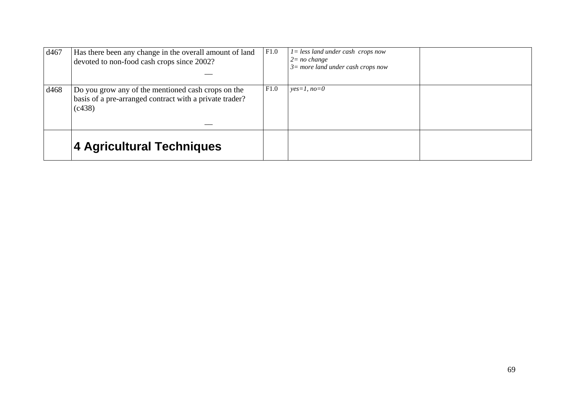| d467 | Has there been any change in the overall amount of land<br>devoted to non-food cash crops since 2002?                   | F1.0 | $l =$ less land under cash crops now<br>$2=no$ change<br>$3 = more$ land under cash crops now |
|------|-------------------------------------------------------------------------------------------------------------------------|------|-----------------------------------------------------------------------------------------------|
| d468 | Do you grow any of the mentioned cash crops on the<br>basis of a pre-arranged contract with a private trader?<br>(c438) | F1.0 | $yes=1, no=0$                                                                                 |
|      | 4 Agricultural Techniques                                                                                               |      |                                                                                               |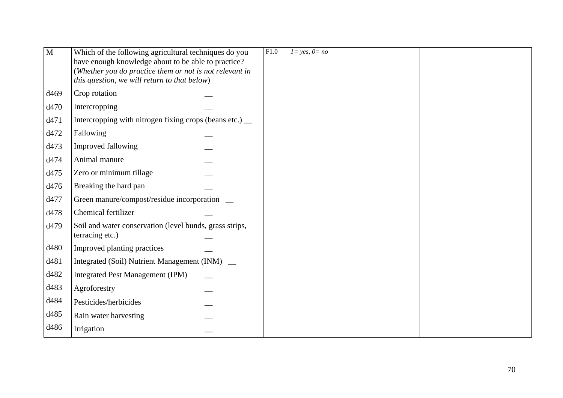| $\overline{\mathbf{M}}$ | Which of the following agricultural techniques do you<br>have enough knowledge about to be able to practice?<br>(Whether you do practice them or not is not relevant in<br>this question, we will return to that below) | F1.0 | $l = \sqrt{yes, 0} = no$ |  |
|-------------------------|-------------------------------------------------------------------------------------------------------------------------------------------------------------------------------------------------------------------------|------|--------------------------|--|
| d469                    | Crop rotation                                                                                                                                                                                                           |      |                          |  |
| d470                    | Intercropping                                                                                                                                                                                                           |      |                          |  |
| d471                    | Intercropping with nitrogen fixing crops (beans etc.) __                                                                                                                                                                |      |                          |  |
| d472                    | Fallowing                                                                                                                                                                                                               |      |                          |  |
| d473                    | Improved fallowing                                                                                                                                                                                                      |      |                          |  |
| d474                    | Animal manure                                                                                                                                                                                                           |      |                          |  |
| d475                    | Zero or minimum tillage                                                                                                                                                                                                 |      |                          |  |
| d476                    | Breaking the hard pan                                                                                                                                                                                                   |      |                          |  |
| d477                    | Green manure/compost/residue incorporation                                                                                                                                                                              |      |                          |  |
| d478                    | Chemical fertilizer                                                                                                                                                                                                     |      |                          |  |
| d479                    | Soil and water conservation (level bunds, grass strips,<br>terracing etc.)                                                                                                                                              |      |                          |  |
| d480                    | Improved planting practices                                                                                                                                                                                             |      |                          |  |
| d481                    | Integrated (Soil) Nutrient Management (INM) _                                                                                                                                                                           |      |                          |  |
| d482                    | <b>Integrated Pest Management (IPM)</b>                                                                                                                                                                                 |      |                          |  |
| d483                    | Agroforestry                                                                                                                                                                                                            |      |                          |  |
| d484                    | Pesticides/herbicides                                                                                                                                                                                                   |      |                          |  |
| d485                    | Rain water harvesting                                                                                                                                                                                                   |      |                          |  |
| d486                    | Irrigation                                                                                                                                                                                                              |      |                          |  |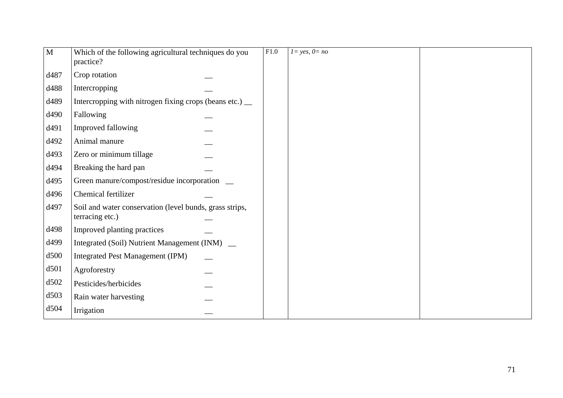| M    | Which of the following agricultural techniques do you<br>practice?         | F1.0 | $l = yes, 0 = no$ |  |
|------|----------------------------------------------------------------------------|------|-------------------|--|
| d487 | Crop rotation                                                              |      |                   |  |
| d488 | Intercropping                                                              |      |                   |  |
| d489 | Intercropping with nitrogen fixing crops (beans etc.) __                   |      |                   |  |
| d490 | Fallowing                                                                  |      |                   |  |
| d491 | Improved fallowing                                                         |      |                   |  |
| d492 | Animal manure                                                              |      |                   |  |
| d493 | Zero or minimum tillage                                                    |      |                   |  |
| d494 | Breaking the hard pan                                                      |      |                   |  |
| d495 | Green manure/compost/residue incorporation                                 |      |                   |  |
| d496 | Chemical fertilizer                                                        |      |                   |  |
| d497 | Soil and water conservation (level bunds, grass strips,<br>terracing etc.) |      |                   |  |
| d498 | Improved planting practices                                                |      |                   |  |
| d499 | Integrated (Soil) Nutrient Management (INM) _                              |      |                   |  |
| d500 | <b>Integrated Pest Management (IPM)</b>                                    |      |                   |  |
| d501 | Agroforestry                                                               |      |                   |  |
| d502 | Pesticides/herbicides                                                      |      |                   |  |
| d503 | Rain water harvesting                                                      |      |                   |  |
| d504 | Irrigation                                                                 |      |                   |  |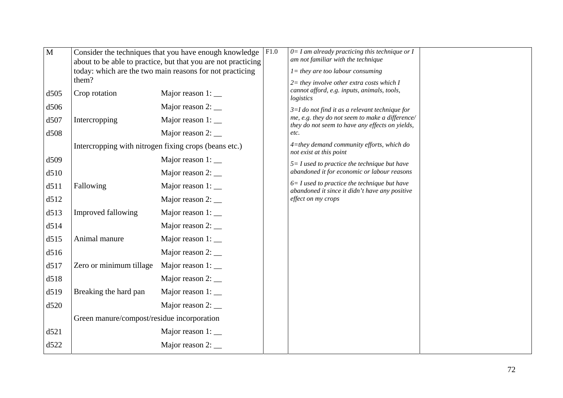| M    |                                            | Consider the techniques that you have enough knowledge        | F1.0 | $0=I$ am already practicing this technique or I                                                    |  |
|------|--------------------------------------------|---------------------------------------------------------------|------|----------------------------------------------------------------------------------------------------|--|
|      |                                            | about to be able to practice, but that you are not practicing |      | am not familiar with the technique                                                                 |  |
|      |                                            | today: which are the two main reasons for not practicing      |      | $l =$ they are too labour consuming                                                                |  |
|      | them?                                      |                                                               |      | $2$ = they involve other extra costs which I                                                       |  |
| d505 | Crop rotation                              | Major reason $1:$ $\_\_$                                      |      | cannot afford, e.g. inputs, animals, tools,<br>logistics                                           |  |
| d506 |                                            |                                                               |      | $3=I$ do not find it as a relevant technique for                                                   |  |
| d507 | Intercropping                              | Major reason 1: __                                            |      | me, e.g. they do not seem to make a difference/<br>they do not seem to have any effects on yields, |  |
| d508 |                                            |                                                               |      | etc.                                                                                               |  |
|      |                                            | Intercropping with nitrogen fixing crops (beans etc.)         |      | 4=they demand community efforts, which do<br>not exist at this point                               |  |
| d509 |                                            | Major reason $1:$ $\_\_$                                      |      | $5 = I$ used to practice the technique but have                                                    |  |
| d510 |                                            | Major reason $2:$ $\_\_$                                      |      | abandoned it for economic or labour reasons                                                        |  |
| d511 | Fallowing                                  | Major reason $1:$ $\_\_$                                      |      | $6 = I$ used to practice the technique but have<br>abandoned it since it didn't have any positive  |  |
| d512 |                                            |                                                               |      | effect on my crops                                                                                 |  |
| d513 | Improved fallowing                         | Major reason 1: __                                            |      |                                                                                                    |  |
| d514 |                                            |                                                               |      |                                                                                                    |  |
| d515 | Animal manure                              | Major reason $1:$ $\_\_$                                      |      |                                                                                                    |  |
| d516 |                                            |                                                               |      |                                                                                                    |  |
| d517 | Zero or minimum tillage                    | Major reason 1:                                               |      |                                                                                                    |  |
| d518 |                                            | Major reason $2:$ $\_\_$                                      |      |                                                                                                    |  |
| d519 | Breaking the hard pan                      | Major reason $1:$ $\_\_$                                      |      |                                                                                                    |  |
| d520 |                                            | Major reason 2: __                                            |      |                                                                                                    |  |
|      | Green manure/compost/residue incorporation |                                                               |      |                                                                                                    |  |
| d521 |                                            | Major reason 1: __                                            |      |                                                                                                    |  |
| d522 |                                            | Major reason $2:$ $\_\_$                                      |      |                                                                                                    |  |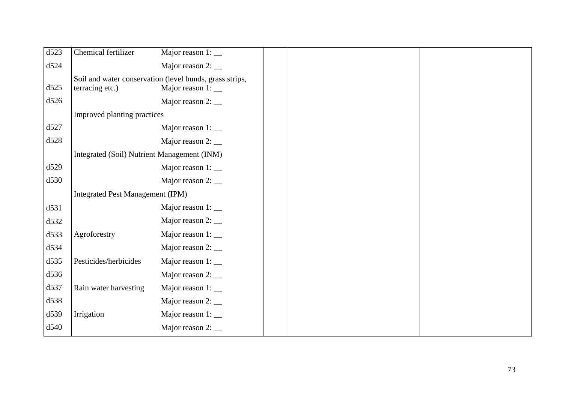| d523 | Chemical fertilizer                         | Major reason $1:$ $\_\_$                                                            |  |  |
|------|---------------------------------------------|-------------------------------------------------------------------------------------|--|--|
| d524 |                                             | Major reason $2:$ $\_\_$                                                            |  |  |
| d525 | terracing etc.)                             | Soil and water conservation (level bunds, grass strips,<br>Major reason $1:$ $\_\_$ |  |  |
| d526 |                                             | Major reason 2: __                                                                  |  |  |
|      | Improved planting practices                 |                                                                                     |  |  |
| d527 |                                             | Major reason $1:$ $\_\_$                                                            |  |  |
| d528 |                                             | Major reason $2:$ $\_\_$                                                            |  |  |
|      | Integrated (Soil) Nutrient Management (INM) |                                                                                     |  |  |
| d529 |                                             | Major reason $1:$ $\_\_$                                                            |  |  |
| d530 |                                             | Major reason $2:$ $\_\_$                                                            |  |  |
|      | <b>Integrated Pest Management (IPM)</b>     |                                                                                     |  |  |
| d531 |                                             | Major reason $1:$ $\_\_$                                                            |  |  |
| d532 |                                             | Major reason $2:$ $\_\_$                                                            |  |  |
| d533 | Agroforestry                                | Major reason $1:$ $\_\_$                                                            |  |  |
| d534 |                                             | Major reason $2:$ $\_\_$                                                            |  |  |
| d535 | Pesticides/herbicides                       | Major reason $1:$ $\_\_$                                                            |  |  |
| d536 |                                             | Major reason $2:$ $\_\_$                                                            |  |  |
| d537 | Rain water harvesting                       | Major reason 1:                                                                     |  |  |
| d538 |                                             |                                                                                     |  |  |
| d539 | Irrigation                                  | Major reason $1:$ $\_\_$                                                            |  |  |
| d540 |                                             | Major reason $2:$ $\_\_$                                                            |  |  |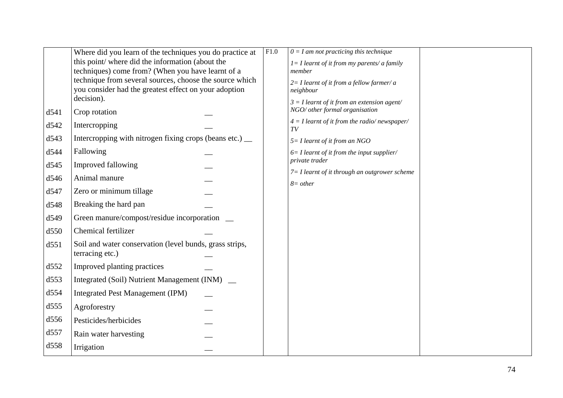|      | Where did you learn of the techniques you do practice at | F1.0 | $0 = I$ am not practicing this technique                        |  |
|------|----------------------------------------------------------|------|-----------------------------------------------------------------|--|
|      | this point/where did the information (about the          |      | $I = I$ learnt of it from my parents/ a family                  |  |
|      | techniques) come from? (When you have learnt of a        |      | member                                                          |  |
|      | technique from several sources, choose the source which  |      | $2=$ I learnt of it from a fellow farmer/ a                     |  |
|      | you consider had the greatest effect on your adoption    |      | neighbour                                                       |  |
|      | decision).                                               |      | $3 = I$ learnt of it from an extension agent/                   |  |
| d541 | Crop rotation                                            |      | NGO/ other formal organisation                                  |  |
| d542 | Intercropping                                            |      | $4 = I$ learnt of it from the radio/newspaper/<br>TV            |  |
| d543 | Intercropping with nitrogen fixing crops (beans etc.) _  |      | $5 = I$ learnt of it from an NGO                                |  |
| d544 | Fallowing                                                |      | $6=$ I learnt of it from the input supplier/                    |  |
| d545 | Improved fallowing                                       |      | private trader                                                  |  |
| d546 | Animal manure                                            |      | $7 = I$ learnt of it through an outgrower scheme<br>$8 = other$ |  |
| d547 | Zero or minimum tillage                                  |      |                                                                 |  |
| d548 | Breaking the hard pan                                    |      |                                                                 |  |
| d549 | Green manure/compost/residue incorporation               |      |                                                                 |  |
| d550 | Chemical fertilizer                                      |      |                                                                 |  |
| d551 | Soil and water conservation (level bunds, grass strips,  |      |                                                                 |  |
|      | terracing etc.)                                          |      |                                                                 |  |
| d552 | Improved planting practices                              |      |                                                                 |  |
| d553 | Integrated (Soil) Nutrient Management (INM) _            |      |                                                                 |  |
| d554 | <b>Integrated Pest Management (IPM)</b>                  |      |                                                                 |  |
| d555 | Agroforestry                                             |      |                                                                 |  |
| d556 | Pesticides/herbicides                                    |      |                                                                 |  |
| d557 | Rain water harvesting                                    |      |                                                                 |  |
| d558 | Irrigation                                               |      |                                                                 |  |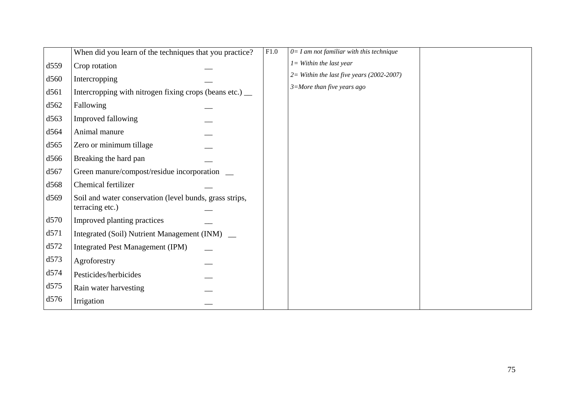|      | When did you learn of the techniques that you practice?                    | F1.0 | $0 = I$ am not familiar with this technique |  |
|------|----------------------------------------------------------------------------|------|---------------------------------------------|--|
| d559 | Crop rotation                                                              |      | $I =$ Within the last year                  |  |
| d560 | Intercropping                                                              |      | $2=$ Within the last five years (2002-2007) |  |
| d561 | Intercropping with nitrogen fixing crops (beans etc.) __                   |      | $3 = More than five years ago$              |  |
| d562 | Fallowing                                                                  |      |                                             |  |
| d563 | Improved fallowing                                                         |      |                                             |  |
| d564 | Animal manure                                                              |      |                                             |  |
| d565 | Zero or minimum tillage                                                    |      |                                             |  |
| d566 | Breaking the hard pan                                                      |      |                                             |  |
| d567 | Green manure/compost/residue incorporation _                               |      |                                             |  |
| d568 | Chemical fertilizer                                                        |      |                                             |  |
| d569 | Soil and water conservation (level bunds, grass strips,<br>terracing etc.) |      |                                             |  |
| d570 | Improved planting practices                                                |      |                                             |  |
| d571 | Integrated (Soil) Nutrient Management (INM) _                              |      |                                             |  |
| d572 | <b>Integrated Pest Management (IPM)</b>                                    |      |                                             |  |
| d573 | Agroforestry                                                               |      |                                             |  |
| d574 | Pesticides/herbicides                                                      |      |                                             |  |
| d575 | Rain water harvesting                                                      |      |                                             |  |
| d576 | Irrigation                                                                 |      |                                             |  |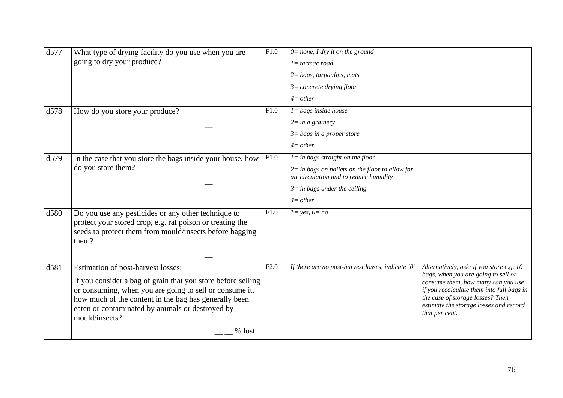| d577<br>d578 | What type of drying facility do you use when you are<br>going to dry your produce?<br>How do you store your produce?                                                                                                                                                                                     | $\overline{F1.0}$<br>F1.0 | $0 = none$ , I dry it on the ground<br>$l = \text{tarmac road}$<br>$2 = bags$ , tarpaulins, mats<br>$3=$ concrete drying floor<br>$4=other$<br>$l = bags$ inside house<br>$2 = in a grainery$ |                                                                                                                                                                                                                                                                    |
|--------------|----------------------------------------------------------------------------------------------------------------------------------------------------------------------------------------------------------------------------------------------------------------------------------------------------------|---------------------------|-----------------------------------------------------------------------------------------------------------------------------------------------------------------------------------------------|--------------------------------------------------------------------------------------------------------------------------------------------------------------------------------------------------------------------------------------------------------------------|
|              |                                                                                                                                                                                                                                                                                                          |                           | $3 = bags$ in a proper store<br>$4=other$                                                                                                                                                     |                                                                                                                                                                                                                                                                    |
| d579         | In the case that you store the bags inside your house, how<br>do you store them?                                                                                                                                                                                                                         | F1.0                      | $l = in$ bags straight on the floor<br>$2 =$ in bags on pallets on the floor to allow for<br>air circulation and to reduce humidity<br>$3 =$ in bags under the ceiling<br>$4=other$           |                                                                                                                                                                                                                                                                    |
| d580         | Do you use any pesticides or any other technique to<br>protect your stored crop, e.g. rat poison or treating the<br>seeds to protect them from mould/insects before bagging<br>them?                                                                                                                     | F1.0                      | $l = yes, 0 = no$                                                                                                                                                                             |                                                                                                                                                                                                                                                                    |
| d581         | Estimation of post-harvest losses:<br>If you consider a bag of grain that you store before selling<br>or consuming, when you are going to sell or consume it,<br>how much of the content in the bag has generally been<br>eaten or contaminated by animals or destroyed by<br>mould/insects?<br>$%$ lost | F2.0                      | If there are no post-harvest losses, indicate '0'                                                                                                                                             | Alternatively, ask: if you store e.g. 10<br>bags, when you are going to sell or<br>consume them, how many can you use<br>if you recalculate them into full bags in<br>the case of storage losses? Then<br>estimate the storage losses and record<br>that per cent. |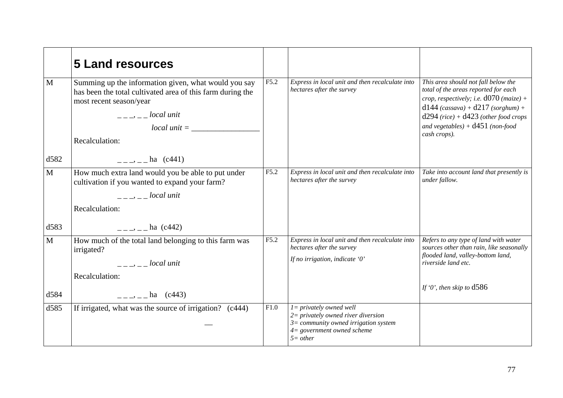|              | <b>5 Land resources</b>                                                                                                                                                                                                                                                                                                                                                                                                                                                                                     |      |                                                                                                                                                                      |                                                                                                                                                                                                                                                                   |
|--------------|-------------------------------------------------------------------------------------------------------------------------------------------------------------------------------------------------------------------------------------------------------------------------------------------------------------------------------------------------------------------------------------------------------------------------------------------------------------------------------------------------------------|------|----------------------------------------------------------------------------------------------------------------------------------------------------------------------|-------------------------------------------------------------------------------------------------------------------------------------------------------------------------------------------------------------------------------------------------------------------|
| $\mathbf{M}$ | Summing up the information given, what would you say<br>has been the total cultivated area of this farm during the<br>most recent season/year<br>$\frac{1}{2}$ $\frac{1}{2}$ $\frac{1}{2}$ $\frac{1}{2}$ $\frac{1}{2}$ $\frac{1}{2}$ $\frac{1}{2}$ $\frac{1}{2}$ $\frac{1}{2}$ $\frac{1}{2}$ $\frac{1}{2}$ $\frac{1}{2}$ $\frac{1}{2}$ $\frac{1}{2}$ $\frac{1}{2}$ $\frac{1}{2}$ $\frac{1}{2}$ $\frac{1}{2}$ $\frac{1}{2}$ $\frac{1}{2}$ $\frac{1}{2}$ $\frac{1}{2}$<br>$local unit = \_$<br>Recalculation: | F5.2 | Express in local unit and then recalculate into<br>hectares after the survey                                                                                         | This area should not fall below the<br>total of the areas reported for each<br>crop, respectively; i.e. $d070$ (maize) +<br>$d144 (cassava) + d217 (sorghum) +$<br>$d294$ (rice) + $d423$ (other food crops<br>and vegetables) + $d451$ (non-food<br>cash crops). |
| d582         | $\frac{1}{2}$ , $\frac{1}{2}$ , $\frac{1}{2}$ , $\frac{1}{2}$ (c441)                                                                                                                                                                                                                                                                                                                                                                                                                                        |      |                                                                                                                                                                      |                                                                                                                                                                                                                                                                   |
| $\mathbf{M}$ | How much extra land would you be able to put under<br>cultivation if you wanted to expand your farm?<br>$-- local$ unit<br>Recalculation:                                                                                                                                                                                                                                                                                                                                                                   | F5.2 | Express in local unit and then recalculate into<br>hectares after the survey                                                                                         | Take into account land that presently is<br>under fallow.                                                                                                                                                                                                         |
| d583         | $=-\frac{1}{2}$ – ha (c442)                                                                                                                                                                                                                                                                                                                                                                                                                                                                                 |      |                                                                                                                                                                      |                                                                                                                                                                                                                                                                   |
| $\mathbf{M}$ | How much of the total land belonging to this farm was<br>irrigated?<br>$\frac{1}{2}$ $\frac{1}{2}$ $\frac{1}{2}$ $\frac{1}{2}$ $\frac{1}{2}$ $\frac{1}{2}$ $\frac{1}{2}$ $\frac{1}{2}$ $\frac{1}{2}$ $\frac{1}{2}$ $\frac{1}{2}$ $\frac{1}{2}$ $\frac{1}{2}$ $\frac{1}{2}$ $\frac{1}{2}$ $\frac{1}{2}$ $\frac{1}{2}$ $\frac{1}{2}$ $\frac{1}{2}$ $\frac{1}{2}$ $\frac{1}{2}$ $\frac{1}{2}$<br>Recalculation:                                                                                                | F5.2 | Express in local unit and then recalculate into<br>hectares after the survey<br>If no irrigation, indicate '0'                                                       | Refers to any type of land with water<br>sources other than rain, like seasonally<br>flooded land, valley-bottom land,<br>riverside land etc.<br>If '0', then skip to $d586$                                                                                      |
| d584         | $= \rightarrow$ $ -$ ha (c443)                                                                                                                                                                                                                                                                                                                                                                                                                                                                              |      |                                                                                                                                                                      |                                                                                                                                                                                                                                                                   |
| d585         | If irrigated, what was the source of irrigation? (c444)                                                                                                                                                                                                                                                                                                                                                                                                                                                     | F1.0 | $l = \text{privately owned well}$<br>$2$ = privately owned river diversion<br>$3=$ community owned irrigation system<br>$4 = government$ owned scheme<br>$5 = other$ |                                                                                                                                                                                                                                                                   |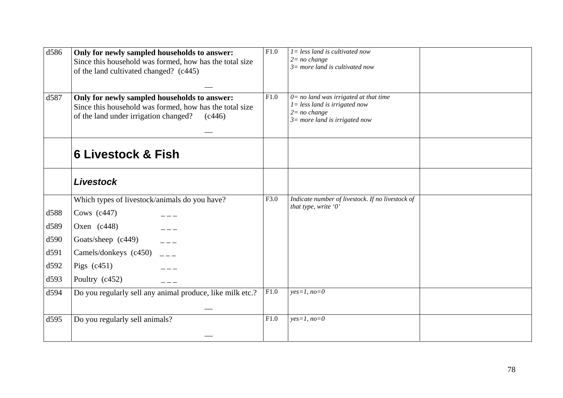| d586 | Only for newly sampled households to answer:<br>Since this household was formed, how has the total size<br>of the land cultivated changed? (c445)          | F1.0 | $1 = less$ land is cultivated now<br>$2=no$ change<br>$3=$ more land is cultivated now                                           |  |
|------|------------------------------------------------------------------------------------------------------------------------------------------------------------|------|----------------------------------------------------------------------------------------------------------------------------------|--|
|      |                                                                                                                                                            |      |                                                                                                                                  |  |
| d587 | Only for newly sampled households to answer:<br>Since this household was formed, how has the total size<br>of the land under irrigation changed?<br>(c446) | F1.0 | $0 = no$ land was irrigated at that time<br>$1 = less$ land is irrigated now<br>$2=no$ change<br>$3=$ more land is irrigated now |  |
|      | <b>6 Livestock &amp; Fish</b>                                                                                                                              |      |                                                                                                                                  |  |
|      | <b>Livestock</b>                                                                                                                                           |      |                                                                                                                                  |  |
|      | Which types of livestock/animals do you have?                                                                                                              | F3.0 | Indicate number of livestock. If no livestock of<br>that type, write '0'                                                         |  |
| d588 | Cows $(c447)$                                                                                                                                              |      |                                                                                                                                  |  |
| d589 | Oxen $(c448)$                                                                                                                                              |      |                                                                                                                                  |  |
| d590 | Goats/sheep (c449)                                                                                                                                         |      |                                                                                                                                  |  |
| d591 | Camels/donkeys (c450)                                                                                                                                      |      |                                                                                                                                  |  |
| d592 | Pigs $(c451)$                                                                                                                                              |      |                                                                                                                                  |  |
| d593 | Poultry (c452)                                                                                                                                             |      |                                                                                                                                  |  |
| d594 | Do you regularly sell any animal produce, like milk etc.?                                                                                                  | F1.0 | $yes=1, no=0$                                                                                                                    |  |
|      |                                                                                                                                                            |      |                                                                                                                                  |  |
| d595 | Do you regularly sell animals?                                                                                                                             | F1.0 | $yes=1, no=0$                                                                                                                    |  |
|      |                                                                                                                                                            |      |                                                                                                                                  |  |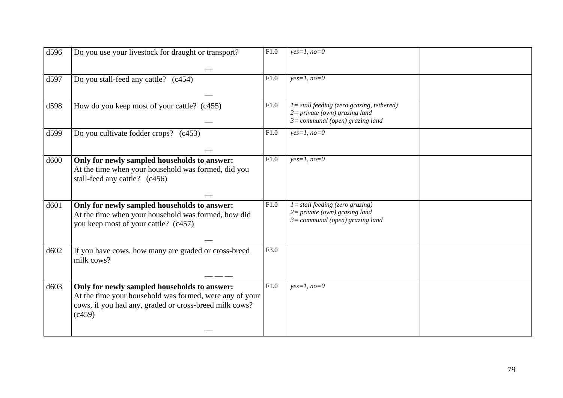| d596 | Do you use your livestock for draught or transport?                                                                                         | F1.0 | $yes=1, no=0$                                                                                                         |  |
|------|---------------------------------------------------------------------------------------------------------------------------------------------|------|-----------------------------------------------------------------------------------------------------------------------|--|
|      |                                                                                                                                             |      |                                                                                                                       |  |
| d597 | Do you stall-feed any cattle? (c454)                                                                                                        | F1.0 | $yes=1, no=0$                                                                                                         |  |
|      |                                                                                                                                             |      |                                                                                                                       |  |
| d598 | How do you keep most of your cattle? (c455)                                                                                                 | F1.0 | $l =$ stall feeding (zero grazing, tethered)<br>$2 = private (own) grazing land$<br>$3=$ communal (open) grazing land |  |
| d599 | Do you cultivate fodder crops? (c453)                                                                                                       | F1.0 | $yes=1, no=0$                                                                                                         |  |
| d600 | Only for newly sampled households to answer:<br>At the time when your household was formed, did you<br>stall-feed any cattle? (c456)        | F1.0 | $yes=1, no=0$                                                                                                         |  |
| d601 | Only for newly sampled households to answer:<br>At the time when your household was formed, how did<br>you keep most of your cattle? (c457) | F1.0 | $l =$ stall feeding (zero grazing)<br>$2 = private (own) grazing land$<br>$3=$ communal (open) grazing land           |  |
|      |                                                                                                                                             |      |                                                                                                                       |  |
| d602 | If you have cows, how many are graded or cross-breed<br>milk cows?                                                                          | F3.0 |                                                                                                                       |  |
| d603 | Only for newly sampled households to answer:                                                                                                | F1.0 | $yes=1, no=0$                                                                                                         |  |
|      | At the time your household was formed, were any of your<br>cows, if you had any, graded or cross-breed milk cows?<br>(c459)                 |      |                                                                                                                       |  |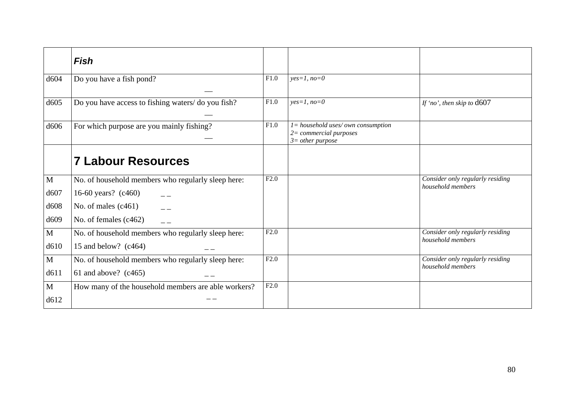|                  | Fish                                                |      |                                                                                        |                                                       |
|------------------|-----------------------------------------------------|------|----------------------------------------------------------------------------------------|-------------------------------------------------------|
| d604             | Do you have a fish pond?                            | F1.0 | $yes=1, no=0$                                                                          |                                                       |
|                  |                                                     |      |                                                                                        |                                                       |
| d605             | Do you have access to fishing waters/ do you fish?  | F1.0 | $yes=1, no=0$                                                                          | If 'no', then skip to $d607$                          |
| d606             | For which purpose are you mainly fishing?           | F1.0 | $l =$ household uses/own consumption<br>$2= commercial$ purposes<br>$3=$ other purpose |                                                       |
|                  | <b>7 Labour Resources</b>                           |      |                                                                                        |                                                       |
| M                | No. of household members who regularly sleep here:  | F2.0 |                                                                                        | Consider only regularly residing<br>household members |
| d607             | 16-60 years? (c460)                                 |      |                                                                                        |                                                       |
| d <sub>608</sub> | No. of males $(c461)$                               |      |                                                                                        |                                                       |
| d <sub>609</sub> | No. of females $(c462)$                             |      |                                                                                        |                                                       |
| $\mathbf{M}$     | No. of household members who regularly sleep here:  | F2.0 |                                                                                        | Consider only regularly residing<br>household members |
| d610             | 15 and below? $(c464)$                              |      |                                                                                        |                                                       |
| $\mathbf{M}$     | No. of household members who regularly sleep here:  | F2.0 |                                                                                        | Consider only regularly residing                      |
| d611             | 61 and above? $(c465)$                              |      |                                                                                        | household members                                     |
| M                | How many of the household members are able workers? | F2.0 |                                                                                        |                                                       |
| d612             |                                                     |      |                                                                                        |                                                       |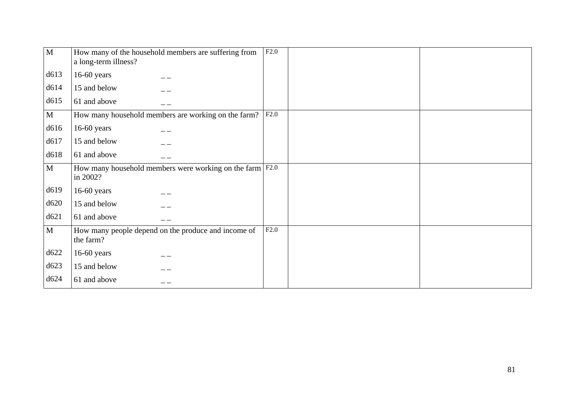| $\mathbf{M}$ | How many of the household members are suffering from<br>a long-term illness?   | F2.0 |  |
|--------------|--------------------------------------------------------------------------------|------|--|
| d613         | $16-60$ years                                                                  |      |  |
| d614         | 15 and below                                                                   |      |  |
| d615         | 61 and above                                                                   |      |  |
| $\mathbf{M}$ | How many household members are working on the farm?                            | F2.0 |  |
| d616         | $16-60$ years                                                                  |      |  |
| d617         | 15 and below                                                                   |      |  |
| d618         | 61 and above                                                                   |      |  |
| $\mathbf{M}$ | How many household members were working on the farm $ F2.0\rangle$<br>in 2002? |      |  |
| d619         | $16-60$ years                                                                  |      |  |
| d620         | 15 and below                                                                   |      |  |
| d621         | 61 and above                                                                   |      |  |
| $\mathbf{M}$ | How many people depend on the produce and income of<br>the farm?               | F2.0 |  |
| d622         | 16-60 years                                                                    |      |  |
| d623         | 15 and below                                                                   |      |  |
| d624         | 61 and above                                                                   |      |  |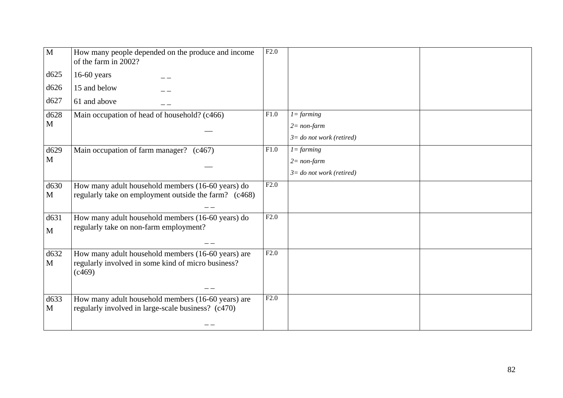| $\overline{M}$ | How many people depended on the produce and income<br>of the farm in 2002?                               | F2.0 |                             |  |
|----------------|----------------------------------------------------------------------------------------------------------|------|-----------------------------|--|
| d625           | $16-60$ years                                                                                            |      |                             |  |
| d626           | 15 and below                                                                                             |      |                             |  |
| d627           | 61 and above                                                                                             |      |                             |  |
| d628           | Main occupation of head of household? (c466)                                                             | F1.0 | $1 = farming$               |  |
| M              |                                                                                                          |      | $2 = non-farm$              |  |
|                |                                                                                                          |      | $3 =$ do not work (retired) |  |
| d629           | Main occupation of farm manager? (c467)                                                                  | F1.0 | $1 = farming$               |  |
| $\mathbf{M}$   |                                                                                                          |      | $2 = non-farm$              |  |
|                |                                                                                                          |      | $3 =$ do not work (retired) |  |
| d630           | How many adult household members (16-60 years) do                                                        | F2.0 |                             |  |
| M              | regularly take on employment outside the farm? (c468)                                                    |      |                             |  |
|                |                                                                                                          |      |                             |  |
| d631           | How many adult household members (16-60 years) do<br>regularly take on non-farm employment?              | F2.0 |                             |  |
| $\mathbf{M}$   |                                                                                                          |      |                             |  |
|                |                                                                                                          |      |                             |  |
| d632<br>M      | How many adult household members (16-60 years) are<br>regularly involved in some kind of micro business? | F2.0 |                             |  |
|                | (c469)                                                                                                   |      |                             |  |
|                |                                                                                                          |      |                             |  |
|                |                                                                                                          | F2.0 |                             |  |
| d633<br>M      | How many adult household members (16-60 years) are<br>regularly involved in large-scale business? (c470) |      |                             |  |
|                |                                                                                                          |      |                             |  |
|                |                                                                                                          |      |                             |  |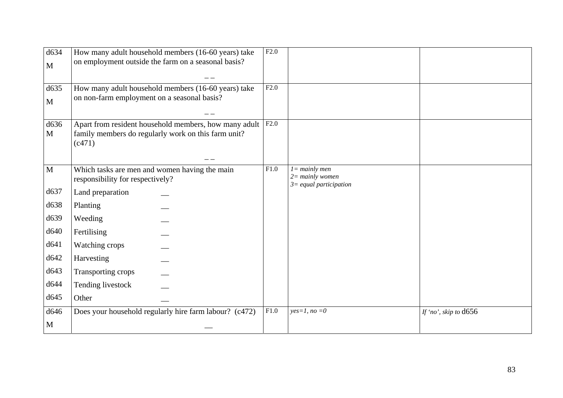| d634         | How many adult household members (16-60 years) take                               | $\overline{F2.0}$ |                           |                         |
|--------------|-----------------------------------------------------------------------------------|-------------------|---------------------------|-------------------------|
| $\mathbf{M}$ | on employment outside the farm on a seasonal basis?                               |                   |                           |                         |
|              |                                                                                   |                   |                           |                         |
| d635         | How many adult household members (16-60 years) take                               | F2.0              |                           |                         |
| $\mathbf{M}$ | on non-farm employment on a seasonal basis?                                       |                   |                           |                         |
|              |                                                                                   |                   |                           |                         |
| d636         | Apart from resident household members, how many adult                             | F2.0              |                           |                         |
| M            | family members do regularly work on this farm unit?<br>(c471)                     |                   |                           |                         |
|              |                                                                                   |                   |                           |                         |
|              |                                                                                   | F1.0              | $l = mainly$ men          |                         |
| $\mathbf M$  | Which tasks are men and women having the main<br>responsibility for respectively? |                   | $2 =$ mainly women        |                         |
| d637         |                                                                                   |                   | $3 =$ equal participation |                         |
|              | Land preparation                                                                  |                   |                           |                         |
| d638         | Planting                                                                          |                   |                           |                         |
| d639         | Weeding                                                                           |                   |                           |                         |
| d640         | Fertilising                                                                       |                   |                           |                         |
| d641         | Watching crops                                                                    |                   |                           |                         |
| d642         | Harvesting                                                                        |                   |                           |                         |
| d643         | Transporting crops                                                                |                   |                           |                         |
| d644         | Tending livestock                                                                 |                   |                           |                         |
| d645         | Other                                                                             |                   |                           |                         |
| d646         | Does your household regularly hire farm labour? (c472)                            | ${\rm F}1.0$      | $yes=1, no=0$             | If 'no', skip to $d656$ |
| M            |                                                                                   |                   |                           |                         |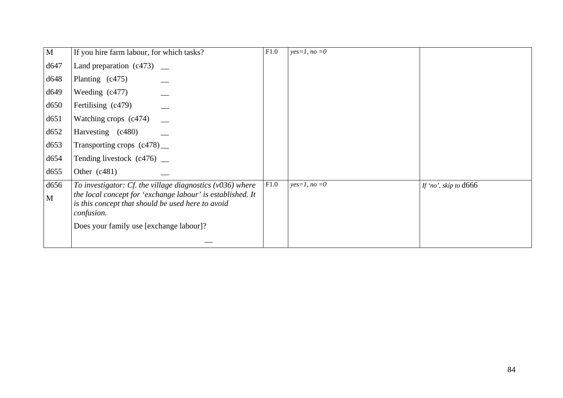| $\mathbf{M}$ | If you hire farm labour, for which tasks?                                                                                            | F1.0 | $yes=1, no=0$ |                       |
|--------------|--------------------------------------------------------------------------------------------------------------------------------------|------|---------------|-----------------------|
| d647         | Land preparation $(c473)$ __                                                                                                         |      |               |                       |
| d648         | Planting (c475)                                                                                                                      |      |               |                       |
| d649         | Weeding $(c477)$                                                                                                                     |      |               |                       |
| d650         | Fertilising (c479)                                                                                                                   |      |               |                       |
| d651         | Watching crops (c474)                                                                                                                |      |               |                       |
| d652         | Harvesting (c480)                                                                                                                    |      |               |                       |
| d653         | Transporting crops $(c478)$ __                                                                                                       |      |               |                       |
| d654         | Tending livestock $(c476)$ _                                                                                                         |      |               |                       |
| d655         | Other $(c481)$                                                                                                                       |      |               |                       |
| d656         | To investigator: Cf. the village diagnostics $(v036)$ where                                                                          | F1.0 | $yes=1, no=0$ | If 'no', skip to d666 |
| M            | the local concept for 'exchange labour' is established. It<br>is this concept that should be used here to avoid<br><i>confusion.</i> |      |               |                       |
|              | Does your family use [exchange labour]?                                                                                              |      |               |                       |
|              |                                                                                                                                      |      |               |                       |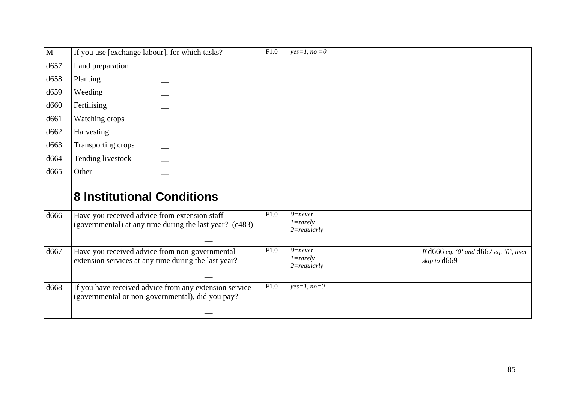| $\overline{M}$   | If you use [exchange labour], for which tasks?                                                             | $\overline{F1.0}$ | $yes=1, no=0$                                 |                                                            |
|------------------|------------------------------------------------------------------------------------------------------------|-------------------|-----------------------------------------------|------------------------------------------------------------|
| d657             | Land preparation                                                                                           |                   |                                               |                                                            |
| d658             | Planting                                                                                                   |                   |                                               |                                                            |
| d659             | Weeding                                                                                                    |                   |                                               |                                                            |
| d <sub>660</sub> | Fertilising                                                                                                |                   |                                               |                                                            |
| d661             | Watching crops                                                                                             |                   |                                               |                                                            |
| d662             | Harvesting                                                                                                 |                   |                                               |                                                            |
| d663             | Transporting crops                                                                                         |                   |                                               |                                                            |
| d664             | Tending livestock                                                                                          |                   |                                               |                                                            |
| d665             | Other                                                                                                      |                   |                                               |                                                            |
|                  | <b>8 Institutional Conditions</b>                                                                          |                   |                                               |                                                            |
| d666             | Have you received advice from extension staff<br>(governmental) at any time during the last year? (c483)   | F1.0              | $0$ =never<br>$1 = rarely$<br>$2 = regularly$ |                                                            |
| d667             | Have you received advice from non-governmental<br>extension services at any time during the last year?     | F1.0              | $0$ =never<br>$1 = rarely$<br>$2 = regularly$ | If $d666$ eq. '0' and $d667$ eq. '0', then<br>skip to d669 |
| d668             | If you have received advice from any extension service<br>(governmental or non-governmental), did you pay? | F1.0              | $yes=1, no=0$                                 |                                                            |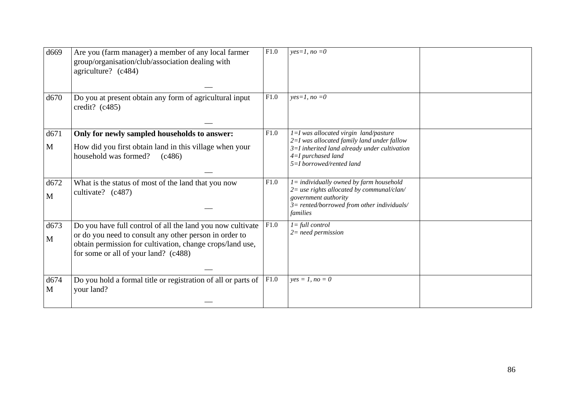| d669      | Are you (farm manager) a member of any local farmer<br>group/organisation/club/association dealing with<br>agriculture? (c484)                                                                                            | F1.0 | $yes=1, no=0$                                                                                                                                                                             |  |
|-----------|---------------------------------------------------------------------------------------------------------------------------------------------------------------------------------------------------------------------------|------|-------------------------------------------------------------------------------------------------------------------------------------------------------------------------------------------|--|
| d670      | Do you at present obtain any form of agricultural input<br>credit? $(c485)$                                                                                                                                               | F1.0 | $yes=1, no=0$                                                                                                                                                                             |  |
| d671<br>M | Only for newly sampled households to answer:<br>How did you first obtain land in this village when your<br>household was formed?<br>(c486)                                                                                | F1.0 | $l=I$ was allocated virgin land/pasture<br>2=I was allocated family land under fallow<br>$3=I$ inherited land already under cultivation<br>4=I purchased land<br>5=I borrowed/rented land |  |
| d672<br>M | What is the status of most of the land that you now<br>cultivate? (c487)                                                                                                                                                  | F1.0 | $l =$ individually owned by farm household<br>$2=$ use rights allocated by communal/clan/<br>government authority<br>$3$ = rented/borrowed from other individuals/<br>families            |  |
| d673<br>M | Do you have full control of all the land you now cultivate<br>or do you need to consult any other person in order to<br>obtain permission for cultivation, change crops/land use,<br>for some or all of your land? (c488) | F1.0 | $I = full control$<br>$2$ = need permission                                                                                                                                               |  |
| d674<br>M | Do you hold a formal title or registration of all or parts of<br>your land?                                                                                                                                               | F1.0 | $yes = 1, no = 0$                                                                                                                                                                         |  |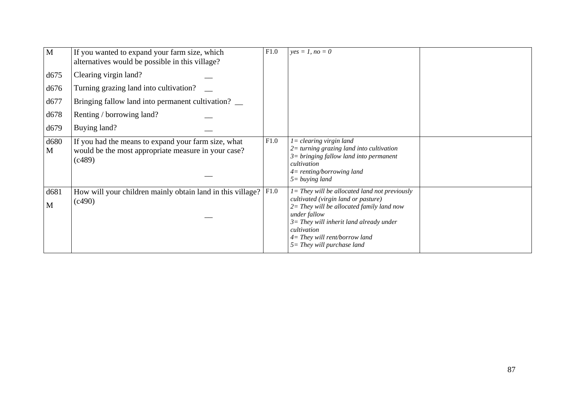| M         | If you wanted to expand your farm size, which<br>alternatives would be possible in this village?                     | F1.0 | $yes = 1, no = 0$                                                                                                                                                                                                                                                                      |  |
|-----------|----------------------------------------------------------------------------------------------------------------------|------|----------------------------------------------------------------------------------------------------------------------------------------------------------------------------------------------------------------------------------------------------------------------------------------|--|
| d675      | Clearing virgin land?                                                                                                |      |                                                                                                                                                                                                                                                                                        |  |
| d676      | Turning grazing land into cultivation?                                                                               |      |                                                                                                                                                                                                                                                                                        |  |
| d677      | Bringing fallow land into permanent cultivation?                                                                     |      |                                                                                                                                                                                                                                                                                        |  |
| d678      | Renting / borrowing land?                                                                                            |      |                                                                                                                                                                                                                                                                                        |  |
| d679      | Buying land?                                                                                                         |      |                                                                                                                                                                                                                                                                                        |  |
| d680<br>M | If you had the means to expand your farm size, what<br>would be the most appropriate measure in your case?<br>(c489) | F1.0 | $l =$ clearing virgin land<br>$2$ = turning grazing land into cultivation<br>$3 = bringing$ fallow land into permanent<br>cultivation<br>$4$ = renting/borrowing land<br>$5 = buying$ land                                                                                             |  |
| d681<br>M | How will your children mainly obtain land in this village?<br>(c490)                                                 | F1.0 | $I =$ They will be allocated land not previously<br>cultivated (virgin land or pasture)<br>$2=$ They will be allocated family land now<br>under fallow<br>$3=$ They will inherit land already under<br>cultivation<br>$4=$ They will rent/borrow land<br>$5 = They$ will purchase land |  |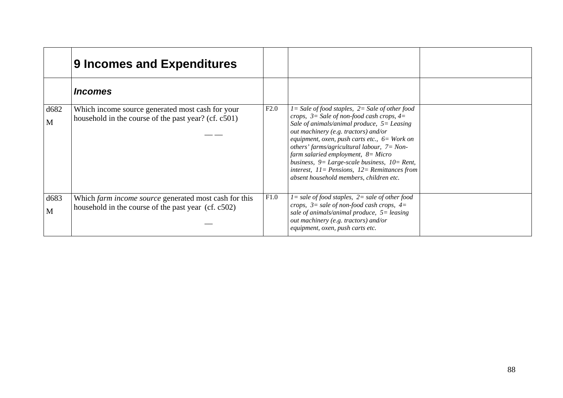|           | <b>9 Incomes and Expenditures</b>                                                                            |      |                                                                                                                                                                                                                                                                                                                                                                                                                                                                                                       |  |
|-----------|--------------------------------------------------------------------------------------------------------------|------|-------------------------------------------------------------------------------------------------------------------------------------------------------------------------------------------------------------------------------------------------------------------------------------------------------------------------------------------------------------------------------------------------------------------------------------------------------------------------------------------------------|--|
|           | <i><u><b>Incomes</b></u></i>                                                                                 |      |                                                                                                                                                                                                                                                                                                                                                                                                                                                                                                       |  |
| d682<br>M | Which income source generated most cash for your<br>household in the course of the past year? (cf. c501)     | F2.0 | $I = Sale$ of food staples, $2 = Sale$ of other food<br>crops, $3 =$ Sale of non-food cash crops, $4 =$<br>Sale of animals/animal produce, $5 =$ Leasing<br>out machinery (e.g. tractors) and/or<br>equipment, oxen, push carts etc., $6=$ Work on<br>others' farms/agricultural labour, $7 = Non-$<br>farm salaried employment, $8 = Micro$<br>business, $9 = Large-scale business$ , $10 = Rent$ ,<br>interest, $11 =$ Pensions, $12 =$ Remittances from<br>absent household members, children etc. |  |
| d683<br>M | Which farm income source generated most cash for this<br>household in the course of the past year (cf. c502) | F1.0 | $l = sale of food staples, 2 = sale of other food$<br>crops, $3 =$ sale of non-food cash crops, $4 =$<br>sale of animals/animal produce, $5 =$ leasing<br>out machinery (e.g. tractors) and/or<br>equipment, oxen, push carts etc.                                                                                                                                                                                                                                                                    |  |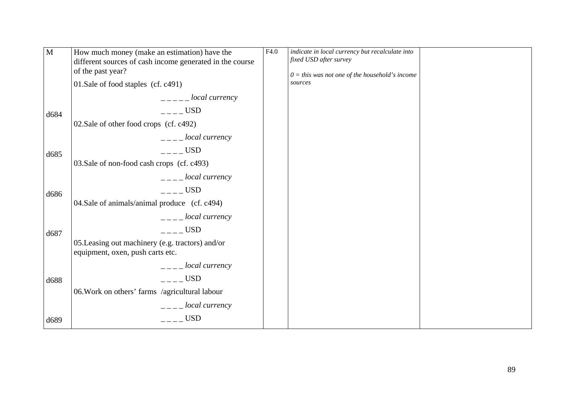| $\mathbf{M}$ | How much money (make an estimation) have the<br>different sources of cash income generated in the course<br>of the past year? | F4.0 | indicate in local currency but recalculate into<br>fixed USD after survey<br>$0 =$ this was not one of the household's income |  |
|--------------|-------------------------------------------------------------------------------------------------------------------------------|------|-------------------------------------------------------------------------------------------------------------------------------|--|
|              | 01.Sale of food staples (cf. c491)                                                                                            |      | sources                                                                                                                       |  |
|              | $-- local currency$                                                                                                           |      |                                                                                                                               |  |
| d684         | $---$ USD                                                                                                                     |      |                                                                                                                               |  |
|              | 02. Sale of other food crops (cf. c492)                                                                                       |      |                                                                                                                               |  |
|              | $\frac{1}{2}$ - $\frac{1}{2}$ local currency                                                                                  |      |                                                                                                                               |  |
| d685         | $---$ USD                                                                                                                     |      |                                                                                                                               |  |
|              | 03. Sale of non-food cash crops (cf. c493)                                                                                    |      |                                                                                                                               |  |
|              | $\frac{1}{2}$ = $\frac{1}{2}$ local currency                                                                                  |      |                                                                                                                               |  |
| d686         | $---$ USD                                                                                                                     |      |                                                                                                                               |  |
|              | 04. Sale of animals/animal produce (cf. c494)                                                                                 |      |                                                                                                                               |  |
|              | $---$ local currency                                                                                                          |      |                                                                                                                               |  |
| d687         | $---$ USD                                                                                                                     |      |                                                                                                                               |  |
|              | 05. Leasing out machinery (e.g. tractors) and/or<br>equipment, oxen, push carts etc.                                          |      |                                                                                                                               |  |
|              | $\frac{1}{2}$ - $\frac{1}{2}$ local currency                                                                                  |      |                                                                                                                               |  |
| d688         | USD                                                                                                                           |      |                                                                                                                               |  |
|              | 06. Work on others' farms /agricultural labour                                                                                |      |                                                                                                                               |  |
|              | $L_{-}$ = $L_{0}$ = local currency                                                                                            |      |                                                                                                                               |  |
| d689         | $---$ USD                                                                                                                     |      |                                                                                                                               |  |
|              |                                                                                                                               |      |                                                                                                                               |  |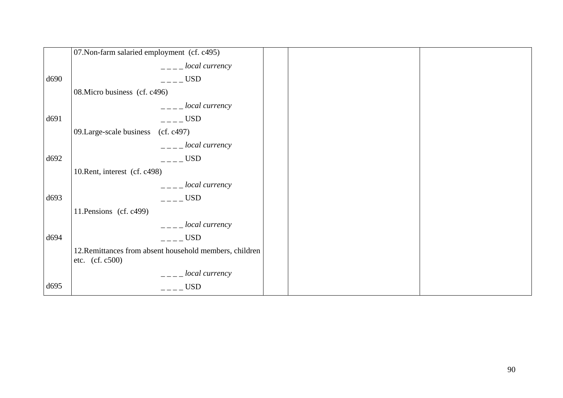|      | 07. Non-farm salaried employment (cf. c495)                                  |  |
|------|------------------------------------------------------------------------------|--|
|      | $---$ local currency                                                         |  |
| d690 | $---$ USD                                                                    |  |
|      | 08. Micro business (cf. c496)                                                |  |
|      | $\frac{1}{2}$ = $\frac{1}{2}$ local currency                                 |  |
| d691 | $---$ USD                                                                    |  |
|      | 09. Large-scale business (cf. c497)                                          |  |
|      | $\frac{1}{2}$ = $\frac{1}{2}$ local currency                                 |  |
| d692 | $---$ USD                                                                    |  |
|      | 10. Rent, interest (cf. c498)                                                |  |
|      | $---$ local currency                                                         |  |
| d693 | $---$ USD                                                                    |  |
|      | 11. Pensions (cf. c499)                                                      |  |
|      | $---$ local currency                                                         |  |
| d694 | $---$ USD                                                                    |  |
|      | 12. Remittances from absent household members, children<br>etc. $(cf. c500)$ |  |
|      | $\frac{1}{2}$ = $\frac{1}{2}$ local currency                                 |  |
| d695 | $\overline{a}$ – $\overline{c}$ USD                                          |  |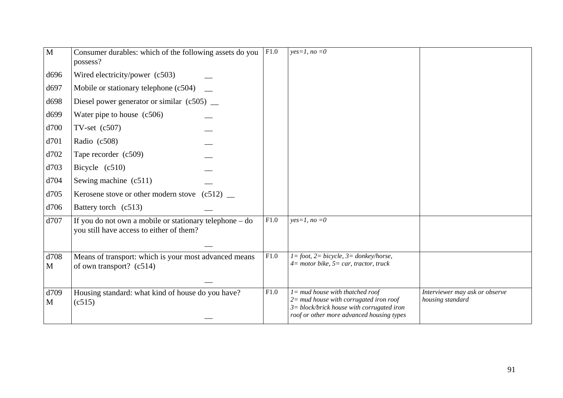| $\mathbf{M}$ | Consumer durables: which of the following assets do you<br>possess?                                          | F1.0 | $yes=1, no=0$                                                                                                                                                                 |                                                    |
|--------------|--------------------------------------------------------------------------------------------------------------|------|-------------------------------------------------------------------------------------------------------------------------------------------------------------------------------|----------------------------------------------------|
| d696         | Wired electricity/power (c503)                                                                               |      |                                                                                                                                                                               |                                                    |
| d697         | Mobile or stationary telephone (c504)                                                                        |      |                                                                                                                                                                               |                                                    |
| d698         | Diesel power generator or similar $(c505)$ $\_\_$                                                            |      |                                                                                                                                                                               |                                                    |
| d699         | Water pipe to house $(c506)$                                                                                 |      |                                                                                                                                                                               |                                                    |
| d700         | TV-set $(c507)$                                                                                              |      |                                                                                                                                                                               |                                                    |
| d701         | Radio (c508)                                                                                                 |      |                                                                                                                                                                               |                                                    |
| d702         | Tape recorder (c509)                                                                                         |      |                                                                                                                                                                               |                                                    |
| d703         | Bicycle $(c510)$                                                                                             |      |                                                                                                                                                                               |                                                    |
| d704         | Sewing machine (c511)                                                                                        |      |                                                                                                                                                                               |                                                    |
| d705         | Kerosene stove or other modern stove $(c512)$                                                                |      |                                                                                                                                                                               |                                                    |
| d706         | Battery torch (c513)                                                                                         |      |                                                                                                                                                                               |                                                    |
| d707         | If you do not own a mobile or stationary telephone $-\text{ do}$<br>you still have access to either of them? | F1.0 | $yes=1, no=0$                                                                                                                                                                 |                                                    |
|              |                                                                                                              |      |                                                                                                                                                                               |                                                    |
| d708<br>M    | Means of transport: which is your most advanced means<br>of own transport? (c514)                            | F1.0 | $1 = foot, 2 = bicycle, 3 = donkey/horse,$<br>$4=$ motor bike, $5=$ car, tractor, truck                                                                                       |                                                    |
|              |                                                                                                              |      |                                                                                                                                                                               |                                                    |
| d709<br>M    | Housing standard: what kind of house do you have?<br>(c515)                                                  | F1.0 | $l =$ mud house with thatched roof<br>$2 =$ mud house with corrugated iron roof<br>$3 = block/b$ rick house with corrugated iron<br>roof or other more advanced housing types | Interviewer may ask or observe<br>housing standard |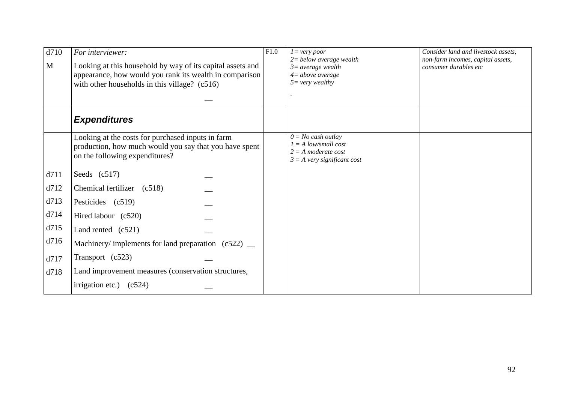| d710 | For interviewer:                                                                                                                                                       | F1.0 | $l = very poor$<br>$2 =$ below average wealth                                                            | Consider land and livestock assets,<br>non-farm incomes, capital assets, |
|------|------------------------------------------------------------------------------------------------------------------------------------------------------------------------|------|----------------------------------------------------------------------------------------------------------|--------------------------------------------------------------------------|
| M    | Looking at this household by way of its capital assets and<br>appearance, how would you rank its wealth in comparison<br>with other households in this village? (c516) |      | $3=average$ wealth<br>$4 = above average$<br>$5 = very \, wealthy$                                       | consumer durables etc                                                    |
|      |                                                                                                                                                                        |      |                                                                                                          |                                                                          |
|      | <b>Expenditures</b>                                                                                                                                                    |      |                                                                                                          |                                                                          |
|      | Looking at the costs for purchased inputs in farm<br>production, how much would you say that you have spent<br>on the following expenditures?                          |      | $0 = No$ cash outlay<br>$I = A$ low/small cost<br>$2 = A$ moderate cost<br>$3 = A$ very significant cost |                                                                          |
| d711 | Seeds $(c517)$                                                                                                                                                         |      |                                                                                                          |                                                                          |
| d712 | Chemical fertilizer (c518)                                                                                                                                             |      |                                                                                                          |                                                                          |
| d713 | Pesticides (c519)                                                                                                                                                      |      |                                                                                                          |                                                                          |
| d714 | Hired labour (c520)                                                                                                                                                    |      |                                                                                                          |                                                                          |
| d715 | Land rented $(c521)$                                                                                                                                                   |      |                                                                                                          |                                                                          |
| d716 | Machinery/ implements for land preparation $(c522)$ _                                                                                                                  |      |                                                                                                          |                                                                          |
| d717 | Transport (c523)                                                                                                                                                       |      |                                                                                                          |                                                                          |
| d718 | Land improvement measures (conservation structures,                                                                                                                    |      |                                                                                                          |                                                                          |
|      | irrigation etc.) $(c524)$                                                                                                                                              |      |                                                                                                          |                                                                          |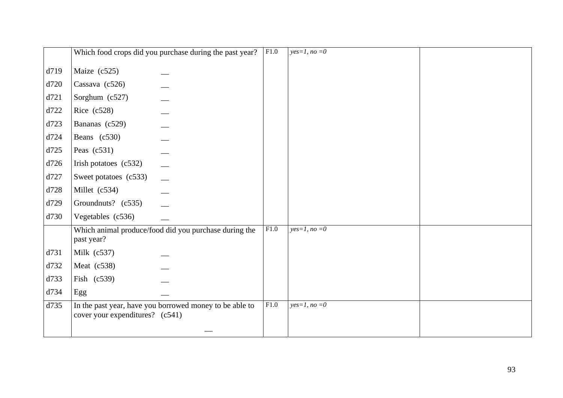|      |                                   | Which food crops did you purchase during the past year? | F1.0 | $yes=1, no=0$ |  |
|------|-----------------------------------|---------------------------------------------------------|------|---------------|--|
| d719 | Maize (c525)                      |                                                         |      |               |  |
| d720 | Cassava $(c526)$                  |                                                         |      |               |  |
| d721 | Sorghum (c527)                    |                                                         |      |               |  |
| d722 | Rice $(c528)$                     |                                                         |      |               |  |
| d723 | Bananas (c529)                    |                                                         |      |               |  |
| d724 | Beans (c530)                      |                                                         |      |               |  |
| d725 | Peas $(c531)$                     |                                                         |      |               |  |
| d726 | Irish potatoes $(c532)$           |                                                         |      |               |  |
| d727 | Sweet potatoes (c533)             |                                                         |      |               |  |
| d728 | Millet (c534)                     |                                                         |      |               |  |
| d729 | Groundnuts? (c535)                |                                                         |      |               |  |
| d730 | Vegetables (c536)                 |                                                         |      |               |  |
|      | past year?                        | Which animal produce/food did you purchase during the   | F1.0 | $yes=1, no=0$ |  |
| d731 | Milk $(c537)$                     |                                                         |      |               |  |
| d732 | Meat $(c538)$                     |                                                         |      |               |  |
| d733 | Fish (c539)                       |                                                         |      |               |  |
| d734 | Egg                               |                                                         |      |               |  |
| d735 | cover your expenditures? $(c541)$ | In the past year, have you borrowed money to be able to | F1.0 | $yes=1, no=0$ |  |